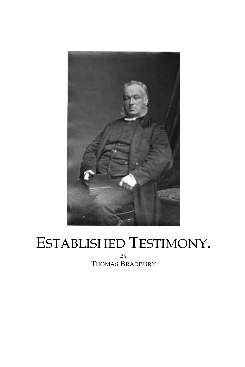

## ESTABLISHED TESTIMONY. BY THOMAS BRADBURY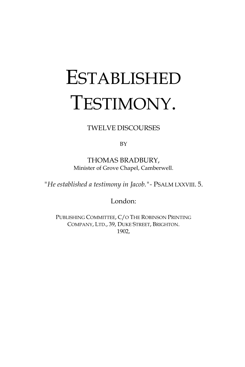# **ESTABLISHED** TESTIMONY.

TWELVE DISCOURSES

BY

THOMAS BRADBURY, Minister of Grove Chapel, Camberwell.

*"He established a testimony in Jacob."-* PSALM LXXVIII. 5.

London:

PUBLISHING COMMITTEE, C/O THE ROBINSON PRINTING COMPANY, LTD., 39, DUKE STREET, BRIGHTON. 1902,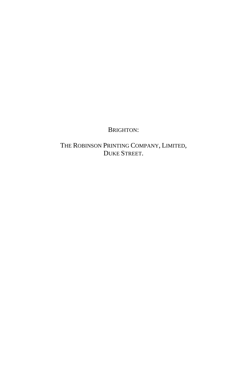#### BRIGHTON:

THE ROBINSON PRINTING COMPANY, LIMITED, DUKE STREET.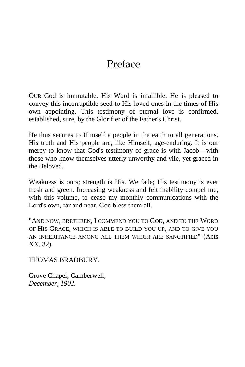# Preface

OUR God is immutable. His Word is infallible. He is pleased to convey this incorruptible seed to His loved ones in the times of His own appointing. This testimony of eternal love is confirmed, established, sure, by the Glorifier of the Father's Christ.

He thus secures to Himself a people in the earth to all generations. His truth and His people are, like Himself, age-enduring. It is our mercy to know that God's testimony of grace is with Jacob—with those who know themselves utterly unworthy and vile, yet graced in the Beloved.

Weakness is ours; strength is His. We fade; His testimony is ever fresh and green. Increasing weakness and felt inability compel me, with this volume, to cease my monthly communications with the Lord's own, far and near. God bless them all.

"AND NOW, BRETHREN, I COMMEND YOU TO GOD, AND TO THE WORD OF HIS GRACE, WHICH IS ABLE TO BUILD YOU UP, AND TO GIVE YOU AN INHERITANCE AMONG ALL THEM WHICH ARE SANCTIFIED" (Acts XX. 32).

THOMAS BRADBURY.

Grove Chapel, Camberwell, *December, 1902.*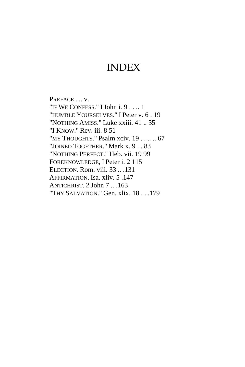### INDEX

PREFACE .... v. "IF WE CONFESS." I John i. 9 . . .. 1 "HUMBLE YOURSELVES." I Peter v. 6 . 19 "NOTHING AMISS." Luke xxiii. 41 .. 35 "I KNOW." Rev. iii. 8 51 "MY THOUGHTS." Psalm xciv. 19 . . .. .. 67 "JOINED TOGETHER." Mark x. 9 . . 83 "NOTHING PERFECT." Heb. vii. 19 99 FOREKNOWLEDGE, I Peter i. 2 115 ELECTION. Rom. viii. 33 .. .131 AFFIRMATION. Isa. xliv. 5 .147 ANTICHRIST. 2 John 7 .. .163 "THY SALVATION." Gen. xlix. 18 . . .179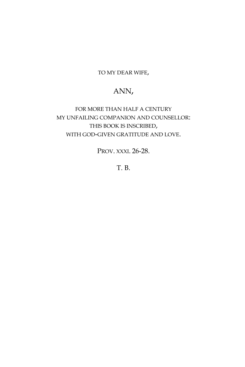TO MY DEAR WIFE,

#### ANN,

FOR MORE THAN HALF A CENTURY MY UNFAILING COMPANION AND COUNSELLOR: THIS BOOK IS INSCRIBED, WITH GOD-GIVEN GRATITUDE AND LOVE.

PROV. XXXI. 26-28.

T. B.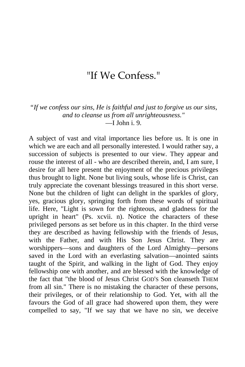## "If We Confess."

*"If we confess our sins, He is faithful and just to forgive us our sins, and to cleanse us from all unrighteousness."*  $\equiv$ I John i. 9.

A subject of vast and vital importance lies before us. It is one in which we are each and all personally interested. I would rather say, a succession of subjects is presented to our view. They appear and rouse the interest of all - who are described therein, and, I am sure, I desire for all here present the enjoyment of the precious privileges thus brought to light. None but living souls, whose life is Christ, can truly appreciate the covenant blessings treasured in this short verse. None but the children of light can delight in the sparkles of glory, yes, gracious glory, springing forth from these words of spiritual life. Here, "Light is sown for the righteous, and gladness for the upright in heart" (Ps. xcvii. n). Notice the characters of these privileged persons as set before us in this chapter. In the third verse they are described as having fellowship with the friends of Jesus, with the Father, and with His Son Jesus Christ. They are worshippers—sons and daughters of the Lord Almighty—persons saved in the Lord with an everlasting salvation—anointed saints taught of the Spirit, and walking in the light of God. They enjoy fellowship one with another, and are blessed with the knowledge of the fact that "the blood of Jesus Christ GOD'S Son cleanseth THEM from all sin." There is no mistaking the character of these persons, their privileges, or of their relationship to God. Yet, with all the favours the God of all grace had showered upon them, they were compelled to say, "If we say that we have no sin, we deceive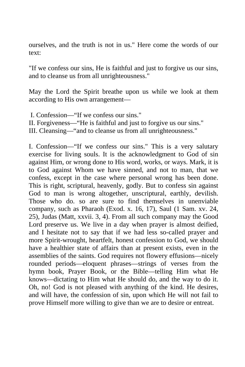ourselves, and the truth is not in us." Here come the words of our text:

"If we confess our sins, He is faithful and just to forgive us our sins, and to cleanse us from all unrighteousness."

May the Lord the Spirit breathe upon us while we look at them according to His own arrangement—

- I. Confession—"If we confess our sins."
- II. Forgiveness—"He is faithful and just to forgive us our sins."
- III. Cleansing—"and to cleanse us from all unrighteousness."

I. Confession—"If we confess our sins." This is a very salutary exercise for living souls. It is the acknowledgment to God of sin against Him, or wrong done to His word, works, or ways. Mark, it is to God against Whom we have sinned, and not to man, that we confess, except in the case where personal wrong has been done. This is right, scriptural, heavenly, godly. But to confess sin against God to man is wrong altogether, unscriptural, earthly, devilish. Those who do. so are sure to find themselves in unenviable company, such as Pharaoh (Exod. x. 16, 17), Saul (1 Sam. xv. 24, 25), Judas (Matt, xxvii. 3, 4). From all such company may the Good Lord preserve us. We live in a day when prayer is almost deified, and I hesitate not to say that if we had less so-called prayer and more Spirit-wrought, heartfelt, honest confession to God, we should have a healthier state of affairs than at present exists, even in the assemblies of the saints. God requires not flowery effusions—nicely rounded periods—eloquent phrases—strings of verses from the hymn book, Prayer Book, or the Bible—telling Him what He knows—dictating to Him what He should do, and the way to do it. Oh, no! God is not pleased with anything of the kind. He desires, and will have, the confession of sin, upon which He will not fail to prove Himself more willing to give than we are to desire or entreat.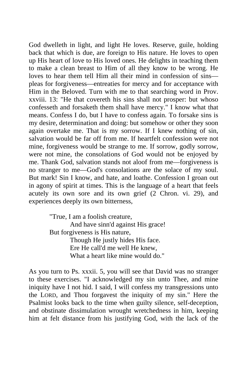God dwelleth in light, and light He loves. Reserve, guile, holding back that which is due, are foreign to His nature. He loves to open up His heart of love to His loved ones. He delights in teaching them to make a clean breast to Him of all they know to be wrong. He loves to hear them tell Him all their mind in confession of sins pleas for forgiveness—entreaties for mercy and for acceptance with Him in the Beloved. Turn with me to that searching word in Prov. xxviii. 13: "He that covereth his sins shall not prosper: but whoso confesseth and forsaketh them shall have mercy." I know what that means. Confess I do, but I have to confess again. To forsake sins is my desire, determination and doing: but somehow or other they soon again overtake me. That is my sorrow. If I knew nothing of sin, salvation would be far off from me. If heartfelt confession were not mine, forgiveness would be strange to me. If sorrow, godly sorrow, were not mine, the consolations of God would not be enjoyed by me. Thank God, salvation stands not aloof from me—forgiveness is no stranger to me—God's consolations are the solace of my soul. But mark! Sin I know, and hate, and loathe. Confession I groan out in agony of spirit at times. This is the language of a heart that feels acutely its own sore and its own grief (2 Chron. vi. 29), and experiences deeply its own bitterness,

> "True, I am a foolish creature, And have sinn'd against His grace! But forgiveness is His nature, Though He justly hides His face. Ere He call'd me well He knew, What a heart like mine would do."

As you turn to Ps. xxxii. 5, you will see that David was no stranger to these exercises. "I acknowledged my sin unto Thee, and mine iniquity have I not hid. I said, I will confess my transgressions unto the LORD, and Thou forgavest the iniquity of my sin." Here the Psalmist looks back to the time when guilty silence, self-deception, and obstinate dissimulation wrought wretchedness in him, keeping him at felt distance from his justifying God, with the lack of the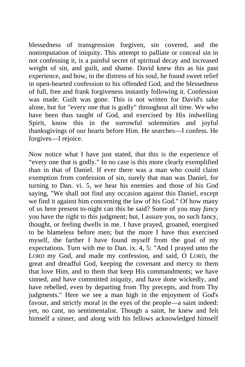blessedness of transgression forgiven, sin covered, and the nonimputation of iniquity. This attempt to palliate or conceal sin in not confessing it, is a painful secret of spiritual decay and increased weight of sin, and guilt, and shame. David knew this as his past experience, and how, in the distress of his soul, he found sweet relief in open-hearted confession to his offended God, and the blessedness of full, free and frank forgiveness instantly following it. Confession was made. Guilt was gone. This is not written for David's sake alone, but for "every one that is godly" throughout all time. We who have been thus taught of God, and exercised by His indwelling Spirit, know this in the sorrowful solemnities and joyful thanksgivings of our hearts before Him. He searches—I confess. He forgives—I rejoice.

Now notice what I have just stated, that this is the experience of "every one that is godly." In no case is this more clearly exemplified than in that of Daniel. If ever there was a man who could claim exemption from confession of sin, surely that man was Daniel, for turning to Dan. vi. 5, we hear his enemies and those of his God saying, "We shall not find any occasion against this Daniel, except we find it against him concerning the law of his God." Of how many of us here present to-night can this be said? Some of you may *fancy*  you have the right to this judgment; but, I assure you, no such fancy, thought, or feeling dwells in me. I have prayed, groaned, energised to be blameless before men; but the more I have thus exercised myself, the farther I have found myself from the goal of my expectations. Turn with me to Dan. ix. 4, 5: "And I prayed unto the LORD my God, and made my confession, and said, O LORD, the great and dreadful God, keeping the covenant and mercy to them that love Him, and to them that keep His commandments; we have sinned, and have committed iniquity, and have done wickedly, and have rebelled, even by departing from Thy precepts, and from Thy judgments." Here we see a man high in the enjoyment of God's favour, and strictly moral in the eyes of the people—a saint indeed: yet, no cant, no sentimentalist. Though a saint, he knew and felt himself a sinner, and along with his fellows acknowledged himself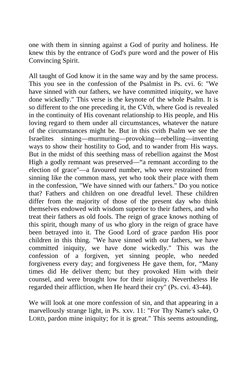one with them in sinning against a God of purity and holiness. He knew this by the entrance of God's pure word and the power of His Convincing Spirit.

All taught of God know it in the same way and by the same process. This you see in the confession of the Psalmist in Ps. cvi. 6: "We have sinned with our fathers, we have committed iniquity, we have done wickedly." This verse is the keynote of the whole Psalm. It is so different to the one preceding it, the CVth, where God is revealed in the continuity of His covenant relationship to His people, and His loving regard to them under all circumstances, whatever the nature of the circumstances might be. But in this cvith Psalm we see the Israelites sinning—murmuring—provoking—rebelling—inventing ways to show their hostility to God, and to wander from His ways. But in the midst of this seething mass of rebellion against the Most High a godly remnant was preserved—"a remnant according to the election of grace"—a favoured number, who were restrained from sinning like the common mass, yet who took their place with them in the confession, "We have sinned with our fathers." Do you notice that? Fathers and children on one dreadful level. These children differ from the majority of those of the present day who think themselves endowed with wisdom superior to their fathers, and who treat their fathers as old fools. The reign of grace knows nothing of this spirit, though many of us who glory in the reign of grace have been betrayed into it. The Good Lord of grace pardon His poor children in this thing. "We have sinned with our fathers, we have committed iniquity, we have done wickedly." This was the confession of a forgiven, yet sinning people, who needed forgiveness every day; and forgiveness He gave them, for, "Many times did He deliver them; but they provoked Him with their counsel, and were brought low for their iniquity. Nevertheless He regarded their affliction, when He heard their cry" (Ps. cvi. 43-44).

We will look at one more confession of sin, and that appearing in a marvellously strange light, in Ps. xxv. 11: "For Thy Name's sake, O LORD, pardon mine iniquity; for it is great." This seems astounding,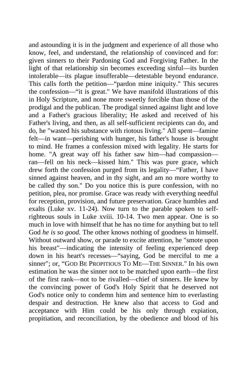and astounding it is in the judgment and experience of all those who know, feel, and understand, the relationship of convinced and for: given sinners to their Pardoning God and Forgiving Father. In the light of that relationship sin becomes exceeding sinful—its burden intolerable—its plague insufferable—detestable beyond endurance. This calls forth the petition—"pardon mine iniquity." This secures the confession—"it is great." We have manifold illustrations of this in Holy Scripture, and none more sweetly forcible than those of the prodigal and the publican. The prodigal sinned against light and love and a Father's gracious liberality; He asked and received of his Father's living, and then, as all self-sufficient recipients can do, and do, he "wasted his substance with riotous living." All spent—famine felt—in want—perishing with hunger, his father's house is brought to mind. He frames a confession mixed with legality. He starts for home. "A great way off his father saw him—had compassion ran—fell on his neck—kissed him." This was pure grace, which drew forth the confession purged from its legality—"Father, I have sinned against heaven, and in thy sight, and am no more worthy to be called thy son." Do you notice this is pure confession, with no petition, plea, nor promise. Grace was ready with everything needful for reception, provision, and future preservation. Grace humbles and exalts (Luke xv. 11-24). Now turn to the parable spoken to selfrighteous souls in Luke xviii. 10-14. Two men appear. One is so much in love with himself that he has no time for anything but to tell God *he is so good*. The other knows nothing of goodness in himself. Without outward show, or parade to excite attention, he "smote upon his breast"—indicating the intensity of feeling experienced deep down in his heart's recesses—"saying, God be merciful to me a sinner"; or, "GOD BE PROPITIOUS TO ME—THE SINNER." In his own estimation he was the sinner not to be matched upon earth—the first of the first rank—not to be rivalled—chief of sinners. He knew by the convincing power of God's Holy Spirit that he deserved not God's notice only to condemn him and sentence him to everlasting despair and destruction. He knew also that access to God and acceptance with Him could be his only through expiation, propitiation, and reconciliation, by the obedience and blood of his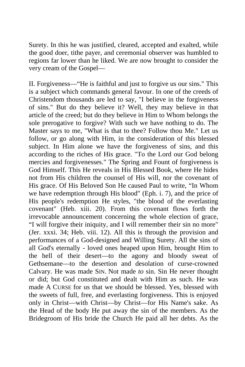Surety. In this he was justified, cleared, accepted and exalted, while the good doer, tithe payer, and ceremonial observer was humbled to regions far lower than he liked. We are now brought to consider the very cream of the Gospel—

II. Forgiveness—"He is faithful and just to forgive us our sins." This is a subject which commands general favour. In one of the creeds of Christendom thousands are led to say, "I believe in the forgiveness of sins." But do they believe it? Well, they may believe in that article of the creed; but do they believe in Him to Whom belongs the sole prerogative to forgive? With such we have nothing to do. The Master says to me, "What is that to thee? Follow thou Me." Let us follow, or go along with Him, in the consideration of this blessed subject. In Him alone we have the forgiveness of sins, and this according to the riches of His grace. "To the Lord our God belong mercies and forgivenesses." The Spring and Fount of forgiveness is God Himself. This He reveals in His Blessed Book, where He hides not from His children the counsel of His will, nor the covenant of His grace. Of His Beloved Son He caused Paul to write, "In Whom we have redemption through His blood" (Eph. i. 7), and the price of His people's redemption He styles, "the blood of the everlasting covenant" (Heb. xiii. 20). From this covenant flows forth the irrevocable announcement concerning the whole election of grace, "I will forgive their iniquity, and I will remember their sin no more" (Jer. xxxi. 34; Heb. viii. 12). All this is through the provision and performances of a God-designed and Willing Surety. All the sins of all God's eternally - loved ones heaped upon Him, brought Him to the hell of their desert—to the agony and bloody sweat of Gethsemane—to the desertion and desolation of curse-crowned Calvary. He was made SIN. Not made *to* sin. Sin He never thought or did; but God constituted and dealt with Him as such. He was made A CURSE for us that we should be blessed. Yes, blessed with the sweets of full, free, and everlasting forgiveness. This is enjoyed only in Christ—with Christ—by Christ—for His Name's sake. As the Head of the body He put away the sin of the members. As the Bridegroom of His bride the Church He paid all her debts. As the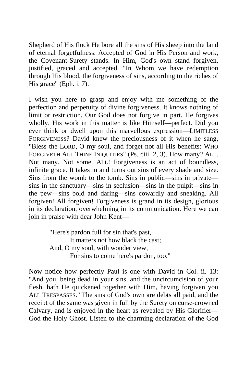Shepherd of His flock He bore all the sins of His sheep into the land of eternal forgetfulness. Accepted of God in His Person and work, the Covenant-Surety stands. In Him, God's own stand forgiven, justified, graced and accepted. "In Whom we have redemption through His blood, the forgiveness of sins, according to the riches of His grace" (Eph. i. 7).

I wish you here to grasp and enjoy with me something of the perfection and perpetuity of divine forgiveness. It knows nothing of limit or restriction. Our God does not forgive in part. He forgives wholly. His work in this matter is like Himself—perfect. Did you ever think or dwell upon this marvellous expression—LIMITLESS FORGIVENESS? David knew the preciousness of it when he sang, "Bless the LORD, O my soul, and forget not all His benefits: WHO FORGIVETH ALL THINE INIQUITIES" (Ps. ciii. 2, 3). How many? ALL. Not many. Not some. ALL! Forgiveness is an act of boundless, infinite grace. It takes in and turns out sins of every shade and size. Sins from the womb to the tomb. Sins in public—sins in private sins in the sanctuary—sins in seclusion—sins in the pulpit—sins in the pew—sins bold and daring—sins cowardly and sneaking. All forgiven! All forgiven! Forgiveness is grand in its design, glorious in its declaration, overwhelming in its communication. Here we can join in praise with dear John Kent—

> "Here's pardon full for sin that's past, It matters not how black the cast; And, O my soul, with wonder view, For sins to come here's pardon, too."

Now notice how perfectly Paul is one with David in Col. ii. 13: "And you, being dead in your sins, and the uncircumcision of your flesh, hath He quickened together with Him, having forgiven you ALL TRESPASSES." The sins of God's own are debts all paid, and the receipt of the same was given in full by the Surety on curse-crowned Calvary, and is enjoyed in the heart as revealed by His Glorifier— God the Holy Ghost. Listen to the charming declaration of the God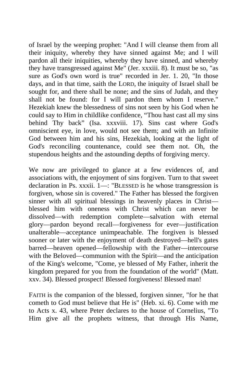of Israel by the weeping prophet: "And I will cleanse them from all their iniquity, whereby they have sinned against Me; and I will pardon all their iniquities, whereby they have sinned, and whereby they have transgressed against Me" (Jer. xxxiii. 8). It must be so, "as sure as God's own word is true" recorded in Jer. 1. 20, "In those days, and in that time, saith the LORD, the iniquity of Israel shall be sought for, and there shall be none; and the sins of Judah, and they shall not be found: for I will pardon them whom I reserve." Hezekiah knew the blessedness of sins not seen by his God when he could say to Him in childlike confidence, "Thou hast cast all my sins behind Thy back" (Isa. xxxviii. 17). Sins cast where God's omniscient eye, in love, would not see them; and with an Infinite God between him and his sins, Hezekiah, looking at the light of God's reconciling countenance, could see them not. Oh, the stupendous heights and the astounding depths of forgiving mercy.

We now are privileged to glance at a few evidences of, and associations with, the enjoyment of sins forgiven. Turn to that sweet declaration in Ps. xxxii. 1—: "BLESSED is he whose transgression is forgiven, whose sin is covered." The Father has blessed the forgiven sinner with all spiritual blessings in heavenly places in Christ blessed him with oneness with Christ which can never be dissolved—with redemption complete—salvation with eternal glory—pardon beyond recall—forgiveness for ever—justification unalterable—acceptance unimpeachable. The forgiven is blessed sooner or later with the enjoyment of death destroyed—hell's gates barred—heaven opened—fellowship with the Father—intercourse with the Beloved—communion with the Spirit—and the anticipation of the King's welcome, "Come, ye blessed of My Father, inherit the kingdom prepared for you from the foundation of the world" (Matt. xxv. 34). Blessed prospect! Blessed forgiveness! Blessed man!

FAITH is the companion of the blessed, forgiven sinner, "for he that cometh to God must believe that He is" (Heb. xi. 6). Come with me to Acts x. 43, where Peter declares to the house of Cornelius, "To Him give all the prophets witness, that through His Name,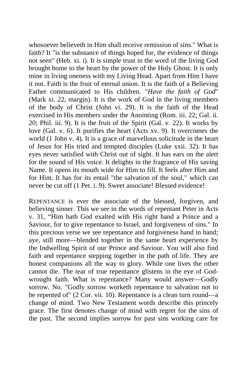whosoever believeth in Him shall receive remission of sins." What is faith? It "is the substance of things hoped for, the evidence of things not seen" (Heb. xi. i). It is simple trust in the word of the living God brought home to the heart by the power of the Holy Ghost. It is only mine in living oneness with my Living Head. Apart from Him I have it not. Faith is the fruit of eternal union. It is the faith of a Believing Father communicated to His children. "*Have the faith of God*" (Mark xi. 22, margin). It is the work of God in the living members of the body of Christ (John vi. 29). It is the faith of the Head exercised in His members under the Anointing (Rom. iii. 22; Gal. ii. 20; Phil. iii. 9). It is the fruit of the Spirit (Gal. v. 22). It works by love (Gal. v. 6). It purifies the heart (Acts xv. 9). It overcomes the world (1 John v. 4). It is a grace of marvellous solicitude in the heart of Jesus for His tried and tempted disciples (Luke xxii. 32). It has eyes never satisfied with Christ out of sight. It has ears on the alert for the sound of His voice. It delights in the fragrance of His saving Name. It opens its mouth wide for Him to fill. It feels after Him and for Him. It has for its entail "the salvation of the soul," which can never be cut off (1 Pet. i. 9). Sweet associate! Blessed evidence!

REPENTANCE is ever the associate of the blessed, forgiven, and believing sinner. This we see in the words of repentant Peter in Acts v. 31, "Him hath God exalted with His right hand a Prince and a Saviour, for to give repentance to Israel, and forgiveness of sins." In this precious verse we see repentance and forgiveness hand in hand; aye, still more—blended together in the same heart experience by the Indwelling Spirit of our Prince and Saviour. You will also find faith and repentance stepping together in the path of life. They are honest companions all the way to glory. While one lives the other cannot die. The tear of true repentance glistens in the eye of Godwrought faith. What is repentance? Many would answer—Godly sorrow. No. "Godly sorrow worketh repentance to salvation not to be repented of" (2 Cor. vii. 10). Repentance is a clean turn round—a change of mind. Two New Testament words describe this princely grace. The first denotes change of mind with regret for the sins of the past. The second implies sorrow for past sins working care for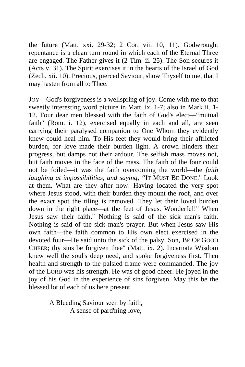the future (Matt. xxi. 29-32; 2 Cor. vii. 10, 11). Godwrought repentance is a clean turn round in which each of the Eternal Three are engaged. The Father gives it (2 Tim. ii. 25). The Son secures it (Acts v. 31). The Spirit exercises it in the hearts of the Israel of God (Zech. xii. 10). Precious, pierced Saviour, show Thyself to me, that I may hasten from all to Thee.

JOY—God's forgiveness is a wellspring of joy. Come with me to that sweetly interesting word picture in Matt. ix. 1-7; also in Mark ii. 1- 12. Four dear men blessed with the faith of God's elect—"mutual faith" (Rom. i. 12), exercised equally in each and all, are seen carrying their paralysed companion to One Whom they evidently knew could heal him. To His feet they would bring their afflicted burden, for love made their burden light. A crowd hinders their progress, but damps not their ardour. The selfish mass moves not, but faith moves in the face of the mass. The faith of the four could not be foiled—it was the faith overcoming the world—the *faith laughing at impossibilities, and saying, "*IT MUST BE DONE." Look at them. What are they after now! Having located the very spot where Jesus stood, with their burden they mount the roof, and over the exact spot the tiling is removed. They let their loved burden down in the right place—at the feet of Jesus. Wonderful!" When Jesus saw their faith." Nothing is said of the sick man's faith. Nothing is said of the sick man's prayer. But when Jesus saw His own faith—the faith common to His own elect exercised in the devoted four—He said unto the sick of the palsy, Son, BE OF GOOD CHEER; thy sins be forgiven thee" (Matt. ix. 2). Incarnate Wisdom knew well the soul's deep need, and spoke forgiveness first. Then health and strength to the palsied frame were commanded. The joy of the LORD was his strength. He was of good cheer. He joyed in the joy of his God in the experience of sins forgiven. May this be the blessed lot of each of us here present.

> A Bleeding Saviour seen by faith, A sense of pard'ning love,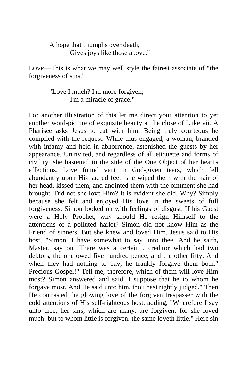A hope that triumphs over death, Gives joys like those above."

LOVE—This is what we may well style the fairest associate of "the forgiveness of sins."

> "Love I much? I'm more forgiven; I'm a miracle of grace."

For another illustration of this let me direct your attention to yet another word-picture of exquisite beauty at the close of Luke vii. A Pharisee asks Jesus to eat with him. Being truly courteous he complied with the request. While thus engaged, a woman, branded with infamy and held in abhorrence, astonished the guests by her appearance. Uninvited, and regardless of all etiquette and forms of civility, she hastened to the side of the One Object of her heart's affections. Love found vent in God-given tears, which fell abundantly upon His sacred feet; she wiped them with the hair of her head, kissed them, and anointed them with the ointment she had brought. Did not she love Him? It is evident she did. Why? Simply because she felt and enjoyed His love in the sweets of full forgiveness. Simon looked on with feelings of disgust. If his Guest were a Holy Prophet, why should He resign Himself to the attentions of a polluted harlot? Simon did not know Him as the Friend of sinners. But she knew and loved Him. Jesus said to His host, "Simon, I have somewhat to say unto thee. And he saith, Master, say on. There was a certain . creditor which had two debtors, the one owed five hundred pence, and the other fifty. And when they had nothing to pay, he frankly forgave them both." Precious Gospel!" Tell me, therefore, which of them will love Him most? Simon answered and said, I suppose that he to whom he forgave most. And He said unto him, thou hast rightly judged." Then He contrasted the glowing love of the forgiven trespasser with the cold attentions of His self-righteous host, adding, "Wherefore I say unto thee, her sins, which are many, are forgiven; for she loved much: but to whom little is forgiven, the same loveth little." Here sin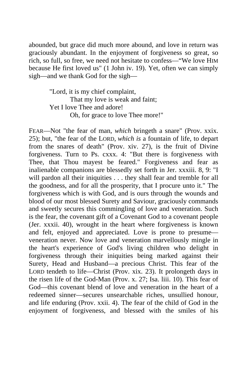abounded, but grace did much more abound, and love in return was graciously abundant. In the enjoyment of forgiveness so great, so rich, so full, so free, we need not hesitate to confess—"We love HIM because He first loved us" (1 John iv. 19). Yet, often we can simply sigh—and we thank God for the sigh—

> "Lord, it is my chief complaint, That my love is weak and faint; Yet I love Thee and adore! Oh, for grace to love Thee more!"

FEAR—Not "the fear of man, *which* bringeth a snare" (Prov. xxix. 25); but, "the fear of the LORD, *which is* a fountain of life, to depart from the snares of death" (Prov. xiv. 27), is the fruit of Divine forgiveness. Turn to Ps. cxxx. 4: "But there is forgiveness with Thee, that Thou mayest be feared." Forgiveness and fear as inalienable companions are blessedly set forth in Jer. xxxiii. 8, 9: "I will pardon all their iniquities . . . they shall fear and tremble for all the goodness, and for all the prosperity, that I procure unto it." The forgiveness which is with God, and is ours through the wounds and blood of our most blessed Surety and Saviour, graciously commands and sweetly secures this commingling of love and veneration. Such is the fear, the covenant gift of a Covenant God to a covenant people (Jer. xxxii. 40), wrought in the heart where forgiveness is known and felt, enjoyed and appreciated. Love is prone to presume veneration never. Now love and veneration marvellously mingle in the heart's experience of God's living children who delight in forgiveness through their iniquities being marked against their Surety, Head and Husband—a precious Christ. This fear of the LORD tendeth to life—Christ (Prov. xix. 23). It prolongeth days in the risen life of the God-Man (Prov. x. 27; Isa. liii. 10). This fear of God—this covenant blend of love and veneration in the heart of a redeemed sinner—secures unsearchable riches, unsullied honour, and life enduring (Prov. xxii. 4). The fear of the child of God in the enjoyment of forgiveness, and blessed with the smiles of his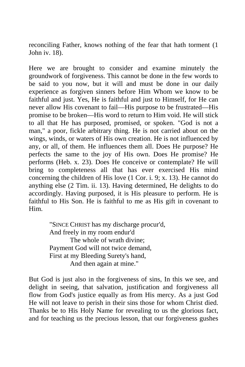reconciling Father, knows nothing of the fear that hath torment (1 John iv. 18).

Here we are brought to consider and examine minutely the groundwork of forgiveness. This cannot be done in the few words to be said to you now, but it will and must be done in our daily experience as forgiven sinners before Him Whom we know to be faithful and just. Yes, He is faithful and just to Himself, for He can never allow His covenant to fail—His purpose to be frustrated—His promise to be broken—His word to return to Him void. He will stick to all that He has purposed, promised, or spoken. "God is not a man," a poor, fickle arbitrary thing. He is not carried about on the wings, winds, or waters of His own creation. He is not influenced by any, or all, of them. He influences them all. Does He purpose? He perfects the same to the joy of His own. Does He promise? He performs (Heb. x. 23). Does He conceive or contemplate? He will bring to completeness all that has ever exercised His mind concerning the children of His love (1 Cor. i. 9; x. 13). He cannot do anything else (2 Tim. ii. 13). Having determined, He delights to do accordingly. Having purposed, it is His pleasure to perform. He is faithful to His Son. He is faithful to me as His gift in covenant to Him.

> "SINCE CHRIST has my discharge procur'd, And freely in my room endur'd The whole of wrath divine; Payment God will not twice demand, First at my Bleeding Surety's hand, And then again at mine."

But God is just also in the forgiveness of sins, In this we see, and delight in seeing, that salvation, justification and forgiveness all flow from God's justice equally as from His mercy. As a just God He will not leave to perish in their sins those for whom Christ died. Thanks be to His Holy Name for revealing to us the glorious fact, and for teaching us the precious lesson, that our forgiveness gushes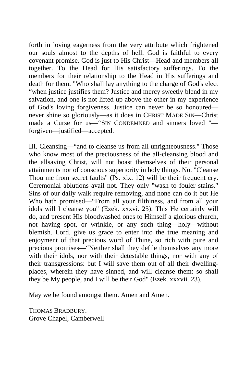forth in loving eagerness from the very attribute which frightened our souls almost to the depths of hell. God is faithful to every covenant promise. God is just to His Christ—Head and members all together. To the Head for His satisfactory sufferings. To the members for their relationship to the Head in His sufferings and death for them. "Who shall lay anything to the charge of God's elect "when justice justifies them? Justice and mercy sweetly blend in my salvation, and one is not lifted up above the other in my experience of God's loving forgiveness. Justice can never be so honoured never shine so gloriously—as it does in CHRIST MADE SIN—Christ made a Curse for us—"SIN CONDEMNED and sinners loved " forgiven—justified—accepted.

III. Cleansing—"and to cleanse us from all unrighteousness." Those who know most of the preciousness of the all-cleansing blood and the allsaving Christ, will not boast themselves of their personal attainments nor of conscious superiority in holy things. No. "Cleanse Thou me from secret faults" (Ps. xix. 12) will be their frequent cry. Ceremonial ablutions avail not. They only "wash to fouler stains." Sins of our daily walk require removing, and none can do it but He Who hath promised—"From all your filthiness, and from all your idols will I cleanse you" (Ezek. xxxvi. 25). This He certainly will do, and present His bloodwashed ones to Himself a glorious church, not having spot, or wrinkle, or any such thing—holy—without blemish. Lord, give us grace to enter into the true meaning and enjoyment of that precious word of Thine, so rich with pure and precious promises—"Neither shall they defile themselves any more with their idols, nor with their detestable things, nor with any of their transgressions: but I will save them out of all their dwellingplaces, wherein they have sinned, and will cleanse them: so shall they be My people, and I will be their God" (Ezek. xxxvii. 23).

May we be found amongst them. Amen and Amen.

THOMAS BRADBURY. Grove Chapel, Camberwell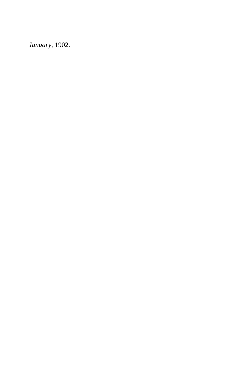*January,* 1902.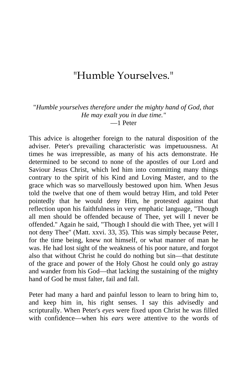## "Humble Yourselves."

"*Humble yourselves therefore under the mighty hand of God, that He may exalt you in due time."* —1 Peter

This advice is altogether foreign to the natural disposition of the adviser. Peter's prevailing characteristic was impetuousness. At times he was irrepressible, as many of his acts demonstrate. He determined to be second to none of the apostles of our Lord and Saviour Jesus Christ, which led him into committing many things contrary to the spirit of his Kind and Loving Master, and to the grace which was so marvellously bestowed upon him. When Jesus told the twelve that one of them would betray Him, and told Peter pointedly that he would deny Him, he protested against that reflection upon his faithfulness in very emphatic language, "Though all men should be offended because of Thee, yet will I never be offended.'' Again he said, "Though I should die with Thee, yet will I not deny Thee" (Matt. xxvi. 33, 35). This was simply because Peter, for the time being, knew not himself, or what manner of man he was. He had lost sight of the weakness of his poor nature, and forgot also that without Christ he could do nothing but sin—that destitute of the grace and power of the Holy Ghost he could only go astray and wander from his God—that lacking the sustaining of the mighty hand of God he must falter, fail and fall.

Peter had many a hard and painful lesson to learn to bring him to, and keep him in, his right senses. I say this advisedly and scripturally. When Peter's *eyes* were fixed upon Christ he was filled with confidence—when his *ears* were attentive to the words of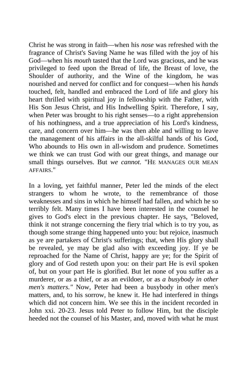Christ he was strong in faith—when his *nose* was refreshed with the fragrance of Christ's Saving Name he was filled with the joy of his God—when his *mouth* tasted that the Lord was gracious, and he was privileged to feed upon the Bread of life, the Breast of love, the Shoulder of authority, and the Wine of the kingdom, he was nourished and nerved for conflict and for conquest—when his *hands*  touched, felt, handled and embraced the Lord of life and glory his heart thrilled with spiritual joy in fellowship with the Father, with His Son Jesus Christ, and His Indwelling Spirit. Therefore, I say, when Peter was brought to his right senses—to a right apprehension of his nothingness, and a true appreciation of his Lord's kindness, care, and concern over him—he was then able and willing to leave the management of his affairs in the all-skilful hands of his God, Who abounds to His own in all-wisdom and prudence. Sometimes we think we can trust God with our great things, and manage our small things ourselves. But *we cannot.* "HE MANAGES OUR MEAN AFFAIRS."

In a loving, yet faithful manner, Peter led the minds of the elect strangers to whom he wrote, to the remembrance of those weaknesses and sins in which he himself had fallen, and which he so terribly felt. Many times I have been interested in the counsel he gives to God's elect in the previous chapter. He says, "Beloved, think it not strange concerning the fiery trial which is to try you, as though some strange thing happened unto you: but rejoice, inasmuch as ye are partakers of Christ's sufferings; that, when His glory shall be revealed, ye may be glad also with exceeding joy. If ye be reproached for the Name of Christ, happy are ye; for the Spirit of glory and of God resteth upon you: on their part He is evil spoken of, but on your part He is glorified. But let none of you suffer as a murderer, or as a thief, or as an evildoer, or as *a busybody in other men's matters."* Now, Peter had been a busybody in other men's matters, and, to his sorrow, he knew it. He had interfered in things which did not concern him. We see this in the incident recorded in John xxi. 20-23. Jesus told Peter to follow Him, but the disciple heeded not the counsel of his Master, and, moved with what he must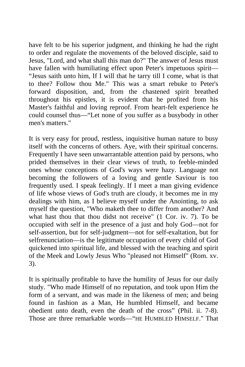have felt to be his superior judgment, and thinking he had the right to order and regulate the movements of the beloved disciple, said to Jesus, "Lord, and what shall this man do?" The answer of Jesus must have fallen with humiliating effect upon Peter's impetuous spirit— "Jesus saith unto him, If I will that he tarry till I come, what is that to thee? Follow thou Me." This was a smart rebuke to Peter's forward disposition, and, from the chastened spirit breathed throughout his epistles, it is evident that he profited from his Master's faithful and loving reproof. From heart-felt experience he could counsel thus—"Let none of you suffer as a busybody in other men's matters."

It is very easy for proud, restless, inquisitive human nature to busy itself with the concerns of others. Aye, with their spiritual concerns. Frequently I have seen unwarrantable attention paid by persons, who prided themselves in their clear views of truth, to feeble-minded ones whose conceptions of God's ways were hazy. Language not becoming the followers of a loving and gentle Saviour is too frequently used. I speak feelingly. If I meet a man giving evidence of life whose views of God's truth are cloudy, it becomes me in my dealings with him, as I believe myself under the Anointing, to ask myself the question, "Who maketh thee to differ from another? And what hast thou that thou didst not receive" (1 Cor. iv. 7). To be occupied with self in the presence of a just and holy God—not for self-assertion, but for self-judgment—not for self-exaltation, but for selfrenunciation—is the legitimate occupation of every child of God quickened into spiritual life, and blessed with the teaching and spirit of the Meek and Lowly Jesus Who "pleased not Himself" (Rom. xv. 3).

It is spiritually profitable to have the humility of Jesus for our daily study. "Who made Himself of no reputation, and took upon Him the form of a servant, and was made in the likeness of men; and being found in fashion as a Man, He humbled Himself, and became obedient unto death, even the death of the cross" (Phil. ii. 7-8). Those are three remarkable words—"HE HUMBLED HIMSELF." That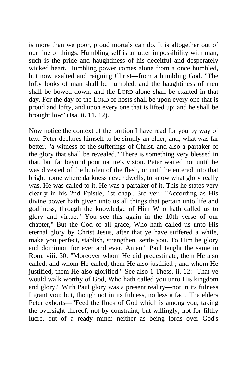is more than we poor, proud mortals can do. It is altogether out of our line of things. Humbling self is an utter impossibility with man, such is the pride and haughtiness of his deceitful and desperately wicked heart. Humbling power comes alone from a once humbled, but now exalted and reigning Christ—from a humbling God. "The lofty looks of man shall be humbled, and the haughtiness of men shall be bowed down, and the LORD alone shall be exalted in that day. For the day of the LORD of hosts shall be upon every one that is proud and lofty, and upon every one that is lifted up; and he shall be brought low" (Isa. ii. 11, 12).

Now notice the context of the portion I have read for you by way of text. Peter declares himself to be simply an elder, and, what was far better, "a witness of the sufferings of Christ, and also a partaker of the glory that shall be revealed." There is something very blessed in that, but far beyond poor nature's vision. Peter waited not until he was divested of the burden of the flesh, or until he entered into that bright home where darkness never dwells, to know what glory really was. He was called to it. He was a partaker of it. This he states very clearly in his 2nd Epistle, 1st chap., 3rd ver.: "According as His divine power hath given unto us all things that pertain unto life and godliness, through the knowledge of Him Who hath called us to glory and virtue." You see this again in the 10th verse of our chapter," But the God of all grace, Who hath called us unto His eternal glory by Christ Jesus, after that ye have suffered a while, make you perfect, stablish, strengthen, settle you. To Him be glory and dominion for ever and ever. Amen." Paul taught the same in Rom. viii. 30: "Moreover whom He did predestinate, them He also called: and whom He called, them He also justified ; and whom He justified, them He also glorified." See also 1 Thess. ii. 12: "That ye would walk worthy of God, Who hath called you unto His kingdom and glory." With Paul glory was a present reality—not in its fulness I grant you; but, though not in its fulness, no less a fact. The elders Peter exhorts—"Feed the flock of God which is among you, taking the oversight thereof, not by constraint, but willingly; not for filthy lucre, but of a ready mind; neither as being lords over God's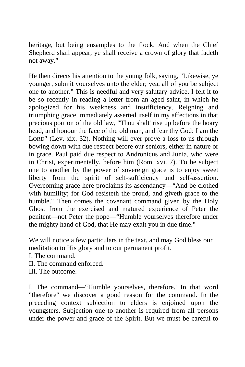heritage, but being ensamples to the flock. And when the Chief Shepherd shall appear, ye shall receive a crown of glory that fadeth not away."

He then directs his attention to the young folk, saying, "Likewise, ye younger, submit yourselves unto the elder; yea, all of you be subject one to another." This is needful and very salutary advice. I felt it to be so recently in reading a letter from an aged saint, in which he apologized for his weakness and insufficiency. Reigning and triumphing grace immediately asserted itself in my affections in that precious portion of the old law, "Thou shalt' rise up before the hoary head, and honour the face of the old man, and fear thy God: I am the LORD" (Lev. xix. 32). Nothing will ever prove a loss to us through bowing down with due respect before our seniors, either in nature or in grace. Paul paid due respect to Andronicus and Junia, who were in Christ, experimentally, before him (Rom. xvi. 7). To be subject one to another by the power of sovereign grace is to enjoy sweet liberty from the spirit of self-sufficiency and self-assertion. Overcoming grace here proclaims its ascendancy—"And be clothed with humility; for God resisteth the proud, and giveth grace to the humble." Then comes the covenant command given by the Holy Ghost from the exercised and matured experience of Peter the penitent—not Peter the pope—"Humble yourselves therefore under the mighty hand of God, that He may exalt you in due time."

We will notice a few particulars in the text, and may God bless our meditation to His glory and to our permanent profit.

I. The command.

II. The command enforced.

III. The outcome.

I. The command—"Humble yourselves, therefore.' In that word "therefore" we discover a good reason for the command. In the preceding context subjection to elders is enjoined upon the youngsters. Subjection one to another is required from all persons under the power and grace of the Spirit. But we must be careful to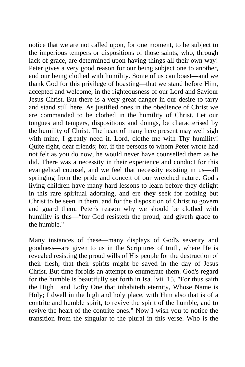notice that we are not called upon, for one moment, to be subject to the imperious tempers or dispositions of those saints, who, through lack of grace, are determined upon having things all their own way! Peter gives a very good reason for our being subject one to another, and our being clothed with humility. Some of us can boast—and we thank God for this privilege of boasting—that we stand before Him, accepted and welcome, in the righteousness of our Lord and Saviour Jesus Christ. But there is a very great danger in our desire to tarry and stand still here. As justified ones in the obedience of Christ we are commanded to be clothed in the humility of Christ. Let our tongues and tempers, dispositions and doings, be characterised by the humility of Christ. The heart of many here present may well sigh with mine, I greatly need it. Lord, clothe me with Thy humility! Quite right, dear friends; for, if the persons to whom Peter wrote had not felt as you do now, he would never have counselled them as he did. There was a necessity in their experience and conduct for this evangelical counsel, and we feel that necessity existing in us—all springing from the pride and conceit of our wretched nature. God's living children have many hard lessons to learn before they delight in this rare spiritual adorning, and ere they seek for nothing but Christ to be seen in them, and for the disposition of Christ to govern and guard them. Peter's reason why we should be clothed with humility is this—"for God resisteth the proud, and giveth grace to the humble."

Many instances of these—many displays of God's severity and goodness—are given to us in the Scriptures of truth, where He is revealed resisting the proud wills of His people for the destruction of their flesh, that their spirits might be saved in the day of Jesus Christ. But time forbids an attempt to enumerate them. God's regard for the humble is beautifully set forth in Isa. lvii. 15, "For thus saith the High . and Lofty One that inhabiteth eternity, Whose Name is Holy; I dwell in the high and holy place, with Him also that is of a contrite and humble spirit, to revive the spirit of the humble, and to revive the heart of the contrite ones." Now I wish you to notice the transition from the singular to the plural in this verse. Who is the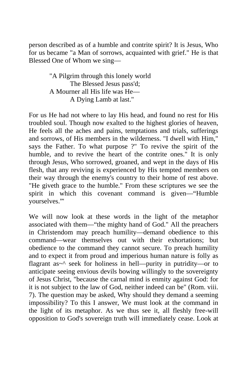person described as of a humble and contrite spirit? It is Jesus, Who for us became "a Man of sorrows, acquainted with grief." He is that Blessed One of Whom we sing—

> "A Pilgrim through this lonely world The Blessed Jesus pass'd; A Mourner all His life was He— A Dying Lamb at last."

For us He had not where to lay His head, and found no rest for His troubled soul. Though now exalted to the highest glories of heaven, He feels all the aches and pains, temptations and trials, sufferings and sorrows, of His members in the wilderness. "I dwell with Him," says the Father. To what purpose ?" To revive the spirit of the humble, and to revive the heart of the contrite ones." It is only through Jesus, Who sorrowed, groaned, and wept in the days of His flesh, that any reviving is experienced by His tempted members on their way through the enemy's country to their home of rest above. "He giveth grace to the humble." From these scriptures we see the spirit in which this covenant command is given—"Humble yourselves."'

We will now look at these words in the light of the metaphor associated with them—"the mighty hand of God." All the preachers in Christendom may preach humility—demand obedience to this command—wear themselves out with their exhortations; but obedience to the command they cannot secure. To preach humility and to expect it from proud and imperious human nature is folly as flagrant as~ $\alpha$  seek for holiness in hell—purity in putridity—or to anticipate seeing envious devils bowing willingly to the sovereignty of Jesus Christ, "because the carnal mind is enmity against God: for it is not subject to the law of God, neither indeed can be" (Rom. viii. 7). The question may be asked, Why should they demand a seeming impossibility? To this I answer, We must look at the command in the light of its metaphor. As we thus see it, all fleshly free-will opposition to God's sovereign truth will immediately cease. Look at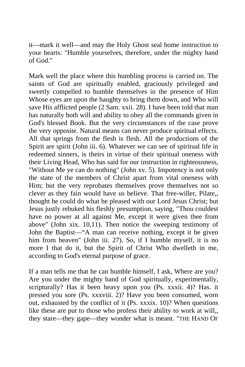it—mark it well—and may the Holy Ghost seal home instruction to your hearts: "Humble yourselves, therefore, under the mighty hand of God."

Mark well the place where this humbling process is carried on. The saints of God are spiritually enabled, graciously privileged and sweetly compelled to humble themselves in the presence of Him Whose eyes are upon the haughty to bring them down, and Who will save His afflicted people (2 Sam. xxii. 28). I have been told that man has naturally both will and ability to obey all the commands given in God's blessed Book. But the very circumstances of the case prove the very opposite. Natural means can never produce spiritual effects. All that springs from the flesh is flesh. All the productions of the Spirit are spirit (John iii. 6). Whatever we can see of spiritual life in redeemed sinners, is theirs in virtue of their spiritual oneness with their Living Head, Who has said for our instruction in righteousness, "Without Me ye can do nothing" (John xv. 5). Impotency is not only the state of the members of Christ apart from vital oneness with Him; but the very reprobates themselves prove themselves not so clever as they fain would have us believe. That free-willer, Pilate,, thought he could do what he pleased with our Lord Jesus Christ; but Jesus justly rebuked his fleshly presumption, saying, "Thou couldest have no power at all against Me, except it were given thee from above" (John xix. 10,11). Then notice the sweeping testimony of John the Baptist—"A man can receive nothing, except it be given him from heaven" (John iii. 27). So, if I humble myself, it is no more I that do it, but the Spirit of Christ Who dwelleth in me, according to God's eternal purpose of grace.

If a man tells me that he can humble himself, I ask, Where are you? Are you under the mighty hand of God spiritually, experimentally, scripturally? Has it been heavy upon you (Ps. xxxii. 4)? Has. it pressed you sore (Ps. xxxviii. 2)? Have you been consumed, worn out, exhausted by the conflict of it (Ps. xxxix. 10)? When questions like these are put to those who profess their ability to work at will,, they stare—they gape—they wonder what is meant. "THE HAND OF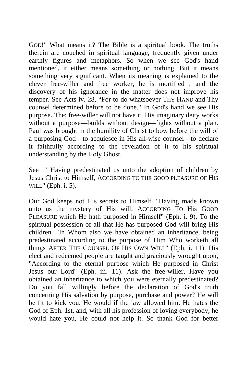GOD!" What means it? The Bible is a spiritual book. The truths therein are couched in spiritual language, frequently given under earthly figures and metaphors. So when we see God's hand mentioned, it either means something or nothing. But it means something very significant. When its meaning is explained to the clever free-willer and free worker, he is mortified ; and the discovery of his ignorance in the matter does not improve his temper. See Acts iv. 28, "For to do whatsoever THY HAND and Thy counsel determined before to be done." In God's hand we see His purpose. The: free-willer will not have it. His imaginary deity works without a purpose—builds without design—fights without a plan. Paul was brought in the humility of Christ to bow before the will of a purposing God—to acquiesce in His all-wise counsel—to declare it faithfully according to the revelation of it to his spiritual understanding by the Holy Ghost.

See !" Having predestinated us unto the adoption of children by Jesus Christ to Himself, ACCORDING TO THE GOOD PLEASURE OF HIS WILL" (Eph. i. 5).

Our God keeps not His secrets to Himself. "Having made known unto us the mystery of His will, ACCORDING TO His GOOD PLEASURE which He hath purposed in Himself" (Eph. i. 9). To the spiritual possession of all that He has purposed God will bring His children. "In Whom also we have obtained an inheritance, being predestinated according to the purpose of Him Who worketh all things AFTER THE COUNSEL OF HIS OWN WILL" (Eph. i. 11). His elect and redeemed people are taught and graciously wrought upon, "According to the eternal purpose which He purposed in Christ Jesus our Lord" (Eph. iii. 11). Ask the free-willer, Have you obtained an inheritance to which you were eternally predestinated? Do you fall willingly before the declaration of God's truth concerning His salvation by purpose, purchase and power? He will be fit to kick you. He would if the law allowed him. He hates the God of Eph. 1st, and, with all his profession of loving everybody, he would hate you, He could not help it. So thank God for better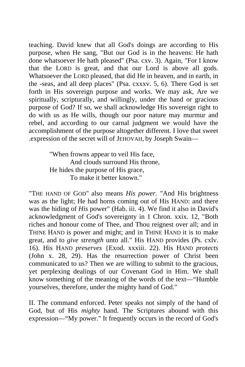teaching. David knew that all God's doings are according to His purpose, when He sang, "But our God is in the heavens: He hath done whatsoever He hath pleased" (Psa. cxv. 3). Again, "For I know that the LORD is great, and that our Lord is above all gods. Whatsoever the LORD pleased, that did He in heaven, and in earth, in the -seas, and all deep places" (Psa. cxxxv. 5, 6). There God is set forth in His sovereign purpose and works. We may ask, Are we spiritually, scripturally, and willingly, under the hand or gracious purpose of God? If so, we shall acknowledge His sovereign right to do with us as He wills, though our poor nature may murmur and rebel, and according to our carnal judgment we would have the accomplishment of the purpose altogether different. I love that sweet .expression of the secret will of JEHOVAH, by Joseph Swain—

> "When frowns appear to veil His face, And clouds surround His throne, He hides the purpose of His grace, To make it better known."

"THE HAND OF GOD" also means *His power.* "And His brightness was as the light; He had horns coming out of His HAND: and there was the hiding of *His* power" (Hab. iii. 4). We find it also in David's acknowledgment of God's sovereignty in 1 Chron. xxix. 12, "Both riches and honour come of Thee, and Thou reignest over all; and in THINE HAND is power and might; and in THINE HAND it is to make great, and to *give strength* unto all." His HAND provides (Ps. cxlv. 16). His HAND *preserves* {Exod. xxxiii. 22). His HAND *protects*  (John x. 28, 29). Has the resurrection power of Christ been communicated to us? Then we are willing to submit to the gracious, yet perplexing dealings of our Covenant God in Him. We shall know something of the meaning of the words of the text—"Humble yourselves, therefore, under the mighty hand of God."

II. The command enforced. Peter speaks not simply of the hand of God, but of His *mighty* hand. The Scriptures abound with this expression—"My power." It frequently occurs in the record of God's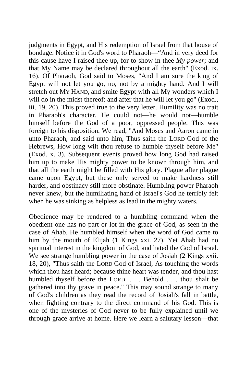judgments in Egypt, and His redemption of Israel from that house of bondage. Notice it in God's word to Pharaoh—"And in very deed for this cause have I raised thee up, for to show in thee *My power*; and that My Name may be declared throughout all the earth" (Exod. ix. 16). Of Pharaoh, God said to Moses, "And I am sure the king of Egypt will not let you go, no, not by a mighty hand. And I will stretch out MY HAND, and smite Egypt with all My wonders which I will do in the midst thereof: and after that he will let you go" (Exod., iii. 19, 20). This proved true to the very letter. Humility was no trait in Pharaoh's character. He could not—he would not—humble himself before the God of a poor, oppressed people. This was foreign to his disposition. We read, "And Moses and Aaron came in unto Pharaoh, and said unto him, Thus saith the LORD God of the Hebrews, How long wilt thou refuse to humble thyself before Me" (Exod. x. 3). Subsequent events proved how long God had raised him up to make His mighty power to be known through him, and that all the earth might be filled with His glory. Plague after plague came upon Egypt, but these only served to make hardness still harder, and obstinacy still more obstinate. Humbling power Pharaoh never knew, but the humiliating hand of Israel's God he terribly felt when he was sinking as helpless as lead in the mighty waters.

Obedience may be rendered to a humbling command when the obedient one has no part or lot in the grace of God, as seen in the case of Ahab. He humbled himself when the word of God came to him by the mouth of Elijah (1 Kings xxi. 27). Yet Ahab had no spiritual interest in the kingdom of God, and hated the God of Israel. We see strange humbling power in the case of Josiah (2 Kings xxii. 18, 20), "Thus saith the LORD God of Israel, As touching the words which thou hast heard; because thine heart was tender, and thou hast humbled thyself before the LORD. . . . Behold . . . thou shalt be gathered into thy grave in peace." This may sound strange to many of God's children as they read the record of Josiah's fall in battle, when fighting contrary to the direct command of his God. This is one of the mysteries of God never to be fully explained until we through grace arrive at home. Here we learn a salutary lesson—that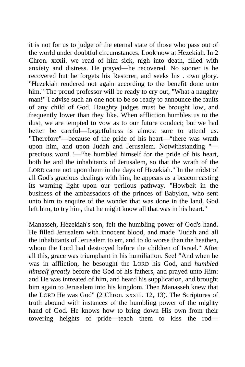it is not for us to judge of the eternal state of those who pass out of the world under doubtful circumstances. Look now at Hezekiah. In 2 Chron. xxxii. we read of him sick, nigh into death, filled with anxiety and distress. He prayed—he recovered. No sooner is he recovered but he forgets his Restorer, and seeks his . own glory. "Hezekiah rendered not again according to the benefit done unto him." The proud professor will be ready to cry out, "What a naughty man!" I advise such an one not to be so ready to announce the faults of any child of God. Haughty judges must be brought low, and frequently lower than they like. When affliction humbles us to the dust, we are tempted to vow as to our future conduct; but we had better be careful—forgetfulness is almost sure to attend us. "Therefore"—because of the pride of his heart—"there was wrath upon him, and upon Judah and Jerusalem. Notwithstanding " precious word !—"he humbled himself for the pride of his heart, both he and the inhabitants of Jerusalem, so that the wrath of the LORD came not upon them in the days of Hezekiah." In the midst of all God's gracious dealings with him, he appears as a beacon casting its warning light upon our perilous pathway. "Howbeit in the business of the ambassadors of the princes of Babylon, who sent unto him to enquire of the wonder that was done in the land, God left him, to try him, that he might know all that was in his heart."

Manasseh, Hezekiah's son, felt the humbling power of God's hand. He filled Jerusalem with innocent blood, and made "Judah and all the inhabitants of Jerusalem to err, and to do worse than the heathen, whom the Lord had destroyed before the children of Israel." After all this, grace was triumphant in his humiliation. See! "And when he was in affliction, he besought the LORD his God, and *humbled himself greatly* before the God of his fathers, and prayed unto Him: and He was intreated of him, and heard his supplication, and brought him again to Jerusalem into his kingdom. Then Manasseh knew that the LORD He was God" (2 Chron. xxxiii. 12, 13). The Scriptures of truth abound with instances of the humbling power of the mighty hand of God. He knows how to bring down His own from their towering heights of pride—teach them to kiss the rod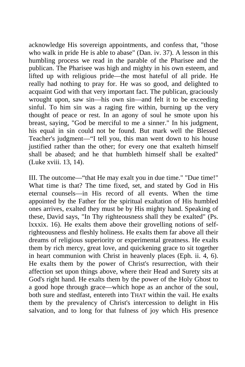acknowledge His sovereign appointments, and confess that, "those who walk in pride He is able to abase" (Dan. iv. 37). A lesson in this humbling process we read in the parable of the Pharisee and the publican. The Pharisee was high and mighty in his own esteem, and lifted up with religious pride—the most hateful of all pride. He really had nothing to pray for. He was so good, and delighted to acquaint God with that very important fact. The publican, graciously wrought upon, saw sin—his own sin—and felt it to be exceeding sinful. To him sin was a raging fire within, burning up the very thought of peace or rest. In an agony of soul he smote upon his breast, saying, "God be merciful to me a sinner." In his judgment, his equal in sin could not be found. But mark well the Blessed Teacher's judgment—"I tell you, this man went down to his house justified rather than the other; for every one that exalteth himself shall be abased; and he that humbleth himself shall be exalted" (Luke xviii. 13, 14).

III. The outcome—"that He may exalt you in due time." "Due time!" What time is that? The time fixed, set, and stated by God in His eternal counsels—in His record of all events. When the time appointed by the Father for the spiritual exaltation of His humbled ones arrives, exalted they must be by His mighty hand. Speaking of these, David says, "In Thy righteousness shall they be exalted" (Ps. lxxxix. 16). He exalts them above their grovelling notions of selfrighteousness and fleshly holiness. He exalts them far above all their dreams of religious superiority or experimental greatness. He exalts them by rich mercy, great love, and quickening grace to sit together in heart communion with Christ in heavenly places (Eph. ii. 4, 6). He exalts them by the power of Christ's resurrection, with their affection set upon things above, where their Head and Surety sits at God's right hand. He exalts them by the power of the Holy Ghost to a good hope through grace—which hope as an anchor of the soul, both sure and stedfast, entereth into THAT within the vail. He exalts them by the prevalency of Christ's intercession to delight in His salvation, and to long for that fulness of joy which His presence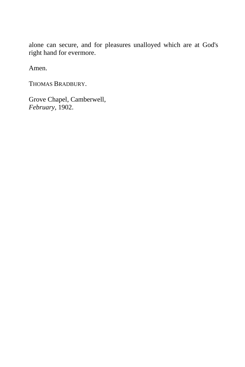alone can secure, and for pleasures unalloyed which are at God's right hand for evermore.

Amen.

THOMAS BRADBURY.

Grove Chapel, Camberwell, *February,* 1902.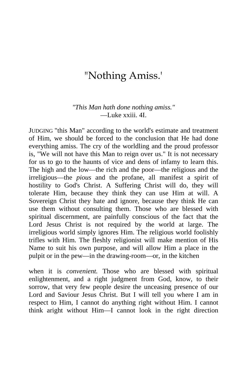## "Nothing Amiss.'

## *"This Man hath done nothing amiss."* —Luke xxiii. 4I.

JUDGING "this Man" according to the world's estimate and treatment of Him, we should be forced to the conclusion that He had done everything amiss. The cry of the worldling and the proud professor is, "We will not have this Man to reign over us." It is not necessary for us to go to the haunts of vice and dens of infamy to learn this. The high and the low—the rich and the poor—the religious and the irreligious—the *pious* and the profane, all manifest a spirit of hostility to God's Christ. A Suffering Christ will do, they will tolerate Him, because they think they can use Him at will. A Sovereign Christ they hate and ignore, because they think He can use them without consulting them. Those who are blessed with spiritual discernment, are painfully conscious of the fact that the Lord Jesus Christ is not required by the world at large. The irreligious world simply ignores Him. The religious world foolishly trifles with Him. The fleshly religionist will make mention of His Name to suit his own purpose, and will allow Him a place in the pulpit or in the pew—in the drawing-room—or, in the kitchen

when it is *convenient.* Those who are blessed with spiritual enlightenment, and a right judgment from God, know, to their sorrow, that very few people desire the unceasing presence of our Lord and Saviour Jesus Christ. But I will tell you where I am in respect to Him, I cannot do anything right without Him. I cannot think aright without Him—I cannot look in the right direction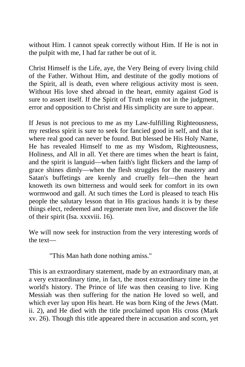without Him. I cannot speak correctly without Him. If He is not in the pulpit with me, I had far rather be out of it.

Christ Himself is the Life, aye, the Very Being of every living child of the Father. Without Him, and destitute of the godly motions of the Spirit, all is death, even where religious activity most is seen. Without His love shed abroad in the heart, enmity against God is sure to assert itself. If the Spirit of Truth reign not in the judgment, error and opposition to Christ and His simplicity are sure to appear.

If Jesus is not precious to me as my Law-fulfilling Righteousness, my restless spirit is sure to seek for fancied good in self, and that is where real good can never be found. But blessed be His Holy Name, He has revealed Himself to me as my Wisdom, Righteousness, Holiness, and All in all. Yet there are times when the heart is faint, and the spirit is languid—when faith's light flickers and the lamp of grace shines dimly—when the flesh struggles for the mastery and Satan's buffetings are keenly and cruelly felt—then the heart knoweth its own bitterness and would seek for comfort in its own wormwood and gall. At such times the Lord is pleased to teach His people the salutary lesson that in His gracious hands it is by these things elect, redeemed and regenerate men live, and discover the life of their spirit (Isa. xxxviii. 16).

We will now seek for instruction from the very interesting words of the text—

"This Man hath done nothing amiss."

This is an extraordinary statement, made by an extraordinary man, at a very extraordinary time, in fact, the most extraordinary time in the world's history. The Prince of life was then ceasing to live. King Messiah was then suffering for the nation He loved so well, and which ever lay upon His heart. He was born King of the Jews (Matt. ii. 2), and He died with the title proclaimed upon His cross (Mark xv. 26). Though this title appeared there in accusation and scorn, yet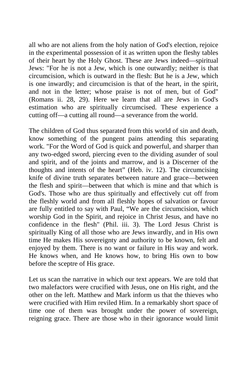all who are not aliens from the holy nation of God's election, rejoice in the experimental possession of it as written upon the fleshy tables of their heart by the Holy Ghost. These are Jews indeed—spiritual Jews: "For he is not a Jew, which is one outwardly; neither is that circumcision, which is outward in the flesh: But he is a Jew, which is one inwardly; and circumcision is that of the heart, in the spirit, and not in the letter; whose praise is not of men, but of God" (Romans ii. 28, 29). Here we learn that all are Jews in God's estimation who are spiritually circumcised. These experience a cutting off—a cutting all round—a severance from the world.

The children of God thus separated from this world of sin and death, know something of the pungent pains attending this separating work. "For the Word of God is quick and powerful, and sharper than any two-edged sword, piercing even to the dividing asunder of soul and spirit, and of the joints and marrow, and is a Discerner of the thoughts and intents of the heart" (Heb. iv. 12). The circumcising knife of divine truth separates between nature and grace—between the flesh and spirit—between that which is mine and that which is God's. Those who are thus spiritually and effectively cut off from the fleshly world and from all fleshly hopes of salvation or favour are fully entitled to say with Paul, "We are the circumcision, which worship God in the Spirit, and rejoice in Christ Jesus, and have no confidence in the flesh" (Phil. iii. 3). The Lord Jesus Christ is spiritually King of all those who are Jews inwardly, and in His own time He makes His sovereignty and authority to be known, felt and enjoyed by them. There is no want or failure in His way and work. He knows when, and He knows how, to bring His own to bow before the sceptre of His grace.

Let us scan the narrative in which our text appears. We are told that two malefactors were crucified with Jesus, one on His right, and the other on the left. Matthew and Mark inform us that the thieves who were crucified with Him reviled Him. In a remarkably short space of time one of them was brought under the power of sovereign, reigning grace. There are those who in their ignorance would limit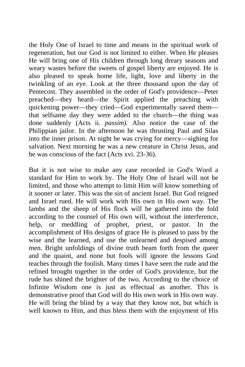the Holy One of Israel to time and means in the spiritual work of regeneration, but our God is not limited to either. When He pleases He will bring one of His children through long dreary seasons and weary wastes before the sweets of gospel liberty are enjoyed. He is also pleased to speak home life, light, love and liberty in the twinkling of an eye. Look at the three thousand upon the day of Pentecost. They assembled in the order of God's providence—Peter preached—they heard—the Spirit applied the preaching with quickening power—they cried—God experimentally saved them that selfsame day they were added to the church—the thing was done suddenly (Acts ii. *passim).* Also notice the case of the Philippian jailor. In the afternoon he was thrusting Paul and Silas into the inner prison. At night he was crying for mercy—sighing for salvation. Next morning he was a new creature in Christ Jesus, and he was conscious of the fact (Acts xvi. 23-36).

But it is not wise to make any case recorded in God's Word a standard for Him to work by. The Holy One of Israel will not be limited, and those who attempt to limit Him will know something of it sooner or later. This was the sin of ancient Israel. But God reigned and Israel rued. He will work with His own in His own way. The lambs and the sheep of His flock will be gathered into the fold according to the counsel of His own will, without the interference, help, or meddling of prophet, priest, or pastor. In the accomplishment of His designs of grace He is pleased to pass by the wise and the learned, and use the unlearned and despised among men. Bright unfoldings of divine truth beam forth from the queer and the quaint, and none but fools will ignore the lessons God teaches through the foolish. Many times I have seen the rude and the refined brought together in the order of God's providence, but the rude has shined the brighter of the two. According to the choice of Infinite Wisdom one is just as effectual as another. This is demonstrative proof that God will do His own work in His own way. He will bring the blind by a way that they know not, but which is well known to Him, and thus bless them with the enjoyment of His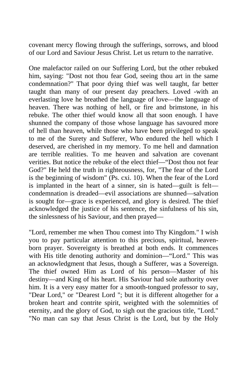covenant mercy flowing through the sufferings, sorrows, and blood of our Lord and Saviour Jesus Christ. Let us return to the narrative.

One malefactor railed on our Suffering Lord, but the other rebuked him, saying: "Dost not thou fear God, seeing thou art in the same condemnation?" That poor dying thief was well taught, far better taught than many of our present day preachers. Loved -with an everlasting love he breathed the language of love—the language of heaven. There was nothing of hell, or fire and brimstone, in his rebuke. The other thief would know all that soon enough. I have shunned the company of those whose language has savoured more of hell than heaven, while those who have been privileged to speak to me of the Surety and Sufferer, Who endured the hell which I deserved, are cherished in my memory. To me hell and damnation are terrible realities. To me heaven and salvation are covenant verities. But notice the rebuke of the elect thief—"Dost thou not fear God?" He held the truth in righteousness, for, "The fear of the Lord is the beginning of wisdom" (Ps. cxi. 10). When the fear of the Lord is implanted in the heart of a sinner, sin is hated—guilt is felt condemnation is dreaded—evil associations are shunned—salvation is sought for—grace is experienced, and glory is desired. The thief acknowledged the justice of his sentence, the sinfulness of his sin, the sinlessness of his Saviour, and then prayed—

"Lord, remember me when Thou comest into Thy Kingdom." I wish you to pay particular attention to this precious, spiritual, heavenborn prayer. Sovereignty is breathed at both ends. It commences with His title denoting authority and dominion—"Lord." This was an acknowledgment that Jesus, though a Sufferer, was a Sovereign. The thief owned Him as Lord of his person—Master of his destiny—and King of his heart. His Saviour had sole authority over him. It is a very easy matter for a smooth-tongued professor to say, "Dear Lord," or "Dearest Lord "; but it is different altogether for a broken heart and contrite spirit, weighted with the solemnities of eternity, and the glory of God, to sigh out the gracious title, "Lord." "No man can say that Jesus Christ is the Lord, but by the Holy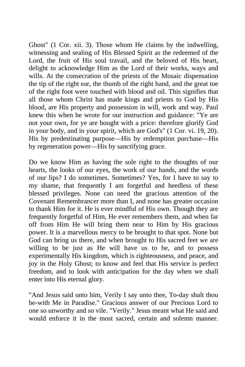Ghost" (1 Cor. xii. 3). Those whom He claims by the indwelling, witnessing and sealing of His Blessed Spirit as the redeemed of the Lord, the fruit of His soul travail, and the beloved of His heart, delight to acknowledge Him as the Lord of their works, ways and wills. At the consecration of the priests of the Mosaic dispensation the tip of the right ear, the thumb of the right hand, and the great toe of the right foot were touched with blood and oil. This signifies that all those whom Christ has made kings and priests to God by His blood, are His property and possession in will, work and way. Paul knew this when he wrote for our instruction and guidance: "Ye are not your own, for ye are bought with a price: therefore glorify God in your body, and in your spirit, which are God's" (1 Cor. vi. 19, 20). His by predestinating purpose—His by redemption purchase—His by regeneration power—His by sanctifying grace.

Do we know Him as having the sole right to the thoughts of our hearts, the looks of our eyes, the work of our hands, and the words of our lips? I do sometimes. Sometimes? Yes, for I have to say to my shame, that frequently I am forgetful and heedless of these blessed privileges. None can need the gracious attention of the Covenant Remembrancer more than I, and none has greater occasion to thank Him for it. He is ever mindful of His own. Though they are frequently forgetful of Him, He ever remembers them, and when far off from Him He will bring them near to Him by His gracious power. It is a marvellous mercy to be brought to that spot. None but God can bring us there, and when brought to His sacred feet we are willing to be just as He will have us to be, and to possess experimentally His kingdom, which is righteousness, and peace, and joy in the Holy Ghost; to know and feel that His service is perfect freedom, and to look with anticipation for the day when we shall enter into His eternal glory.

"And Jesus said unto him, Verily I say unto thee, To-day shalt thou be-with Me in Paradise." Gracious answer of our Precious Lord to one so unworthy and so vile. "Verily." Jesus meant what He said and would enforce it in the most sacred, certain and solemn manner.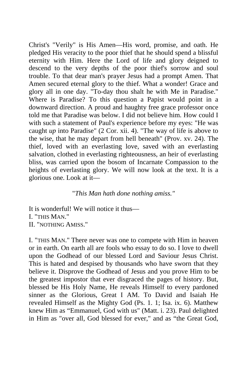Christ's "Verily" is His Amen—His word, promise, and oath. He pledged His veracity to the poor thief that he should spend a blissful eternity with Him. Here the Lord of life and glory deigned to descend to the very depths of the poor thief's sorrow and soul trouble. To that dear man's prayer Jesus had a prompt Amen. That Amen secured eternal glory to the thief. What a wonder! Grace and glory all in one day. "To-day thou shalt he with Me in Paradise." Where is Paradise? To this question a Papist would point in a downward direction. A proud and haughty free grace professor once told me that Paradise was below. I did not believe him. How could I with such a statement of Paul's experience before my eyes: "He was caught *up* into Paradise" (2 Cor. xii. 4). "The way of life is above to the wise, that he may depart from hell beneath" (Prov. xv. 24). The thief, loved with an everlasting love, saved with an everlasting salvation, clothed in everlasting righteousness, an heir of everlasting bliss, was carried upon the bosom of Incarnate Compassion to the heights of everlasting glory. We will now look at the text. It is a glorious one. Look at it—

"*This Man hath done nothing amiss."*

It is wonderful! We will notice it thus— I. "THIS MAN." II. "NOTHING AMISS."

I. "THIS MAN." There never was one to compete with Him in heaven or in earth. On earth all are fools who essay to do so. I love to dwell upon the Godhead of our blessed Lord and Saviour Jesus Christ. This is hated and despised by thousands who have sworn that they believe it. Disprove the Godhead of Jesus and you prove Him to be the greatest impostor that ever disgraced the pages of history. But, blessed be His Holy Name, He reveals Himself to every pardoned sinner as the Glorious, Great I AM. To David and Isaiah He revealed Himself as the Mighty God (Ps. 1. 1; Isa. ix. 6). Matthew knew Him as "Emmanuel, God with us" (Matt. i. 23). Paul delighted in Him as "over all, God blessed for ever," and as "the Great God,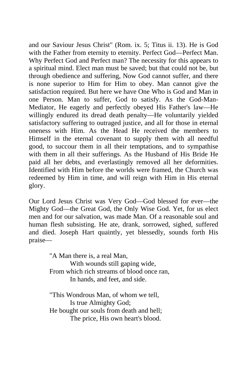and our Saviour Jesus Christ" (Rom. ix. 5; Titus ii. 13). He is God with the Father from eternity to eternity. Perfect God—Perfect Man. Why Perfect God and Perfect man? The necessity for this appears to a spiritual mind. Elect man must be saved; but that could not be, but through obedience and suffering, Now God cannot suffer, and there is none superior to Him for Him to obey. Man cannot give the satisfaction required. But here we have One Who is God and Man in one Person. Man to suffer, God to satisfy. As the God-Man-Mediator, He eagerly and perfectly obeyed His Father's law—He willingly endured its dread death penalty—He voluntarily yielded satisfactory suffering to outraged justice, and all for those in eternal oneness with Him. As the Head He received the members to Himself in the eternal covenant to supply them with all needful good, to succour them in all their temptations, and to sympathise with them in all their sufferings. As the Husband of His Bride He paid all her debts, and everlastingly removed all her deformities. Identified with Him before the worlds were framed, the Church was redeemed by Him in time, and will reign with Him in His eternal glory.

Our Lord Jesus Christ was Very God—God blessed for ever—the Mighty God—the Great God, the Only Wise God. Yet, for us elect men and for our salvation, was made Man. Of a reasonable soul and human flesh subsisting. He ate, drank, sorrowed, sighed, suffered and died. Joseph Hart quaintly, yet blessedly, sounds forth His praise—

> "A Man there is, a real Man, With wounds still gaping wide, From which rich streams of blood once ran, In hands, and feet, and side.

"This Wondrous Man, of whom we tell, Is true Almighty God; He bought our souls from death and hell; The price, His own heart's blood.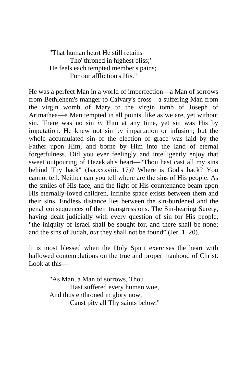"That human heart He still retains Tho' throned in highest bliss;' He feels each tempted member's pains; For our affliction's His."

He was a perfect Man in a world of imperfection—a Man of sorrows from Bethlehem's manger to Calvary's cross—a suffering Man from the virgin womb of Mary to the virgin tomb of Joseph of Arimathea—a Man tempted in all points, like as we are, yet without sin. There was no sin *in* Him at any time, yet sin was His by imputation. He knew not sin by impartation or infusion; but the whole accumulated sin of the election of grace was laid by the Father upon Him, and borne by Him into the land of eternal forgetfulness. Did you ever feelingly and intelligently enjoy that sweet outpouring of Hezekiah's heart—"Thou hast cast all my sins behind Thy back" (Isa.xxxviii. 17)? Where is God's back? You cannot tell. Neither can you tell where are the sins of His people. As the smiles of His face, and the light of His countenance beam upon His eternally-loved children, infinite space exists between them and their sins. Endless distance lies between the sin-burdened and the penal consequences of their transgressions. The Sin-bearing Surety, having dealt judicially with every question of sin for His people, "the iniquity of Israel shall be sought for, and there shall be none; and the sins of Judah, *but* they shall not be found" (Jer. 1. 20).

It is most blessed when the Holy Spirit exercises the heart with hallowed contemplations on the true and proper manhood of Christ. Look at this—

> "As Man, a Man of sorrows, Thou Hast suffered every human woe, And thus enthroned in glory now, Canst pity all Thy saints below."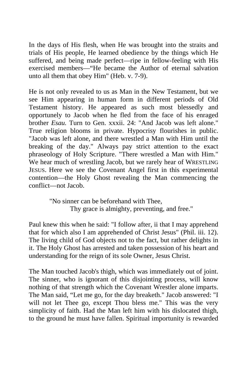In the days of His flesh, when He was brought into the straits and trials of His people, He learned obedience by the things which He suffered, and being made perfect—ripe in fellow-feeling with His exercised members—"He became the Author of eternal salvation unto all them that obey Him" (Heb. v. 7-9).

He is not only revealed to us as Man in the New Testament, but we see Him appearing in human form in different periods of Old Testament history. He appeared as such most blessedly and opportunely to Jacob when he fled from the face of his enraged brother *Esau.* Turn to Gen. xxxii. 24: "And Jacob was left alone." True religion blooms in private. Hypocrisy flourishes in public. "Jacob was left alone, and there wrestled a Man with Him until the breaking of the day." Always pay strict attention to the exact phraseology of Holy Scripture. "There wrestled a Man with Him." We hear much of wrestling Jacob, but we rarely hear of WRESTLING JESUS. Here we see the Covenant Angel first in this experimental contention—the Holy Ghost revealing the Man commencing the conflict—not Jacob.

> "No sinner can be beforehand with Thee, Thy grace is almighty, preventing, and free."

Paul knew this when he said: "I follow after, ii that I may apprehend that for which also I am apprehended of Christ Jesus" (Phil. iii. 12). The living child of God objects not to the fact, but rather delights in it. The Holy Ghost has arrested and taken possession of his heart and understanding for the reign of its sole Owner, Jesus Christ.

The Man touched Jacob's thigh, which was immediately out of joint. The sinner, who is ignorant of this disjointing process, will know nothing of that strength which the Covenant Wrestler alone imparts. The Man said, "Let me go, for the day breaketh." Jacob answered: "I will not let Thee go, except Thou bless me." This was the very simplicity of faith. Had the Man left him with his dislocated thigh, to the ground he must have fallen. Spiritual importunity is rewarded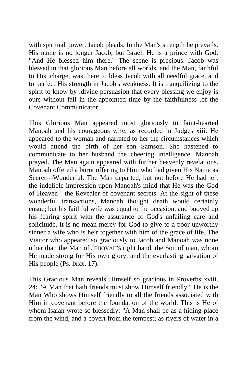with spiritual power. Jacob pleads. In the Man's strength he prevails. His name is no longer Jacob, but Israel. He is a prince with God. "And He blessed him there." The scene is precious. Jacob was blessed in that glorious Man before all worlds, and the Man, faithful to His .charge, was there to bless Jacob with all needful grace, and to perfect His strength in Jacob's weakness. It is tranquilizing to the spirit to know by .divine persuasion that every blessing we enjoy is ours without fail in the appointed time by the faithfulness .of the Covenant Communicator.

This Glorious Man appeared most gloriously to faint-hearted Manoah and his courageous wife, as recorded in Judges xiii. He appeared to the woman and narrated to her the circumstances which would attend the birth of her son Samson. She hastened to communicate to her husband the cheering intelligence. Manoah prayed. The Man again appeared with further heavenly revelations. Manoah offered a burnt offering to Him who had given His Name as Secret—Wonderful. The Man departed, but not before He had left the indelible impression upon Manoah's mind that He was the God of Heaven—the Revealer of covenant secrets. At the sight of these wonderful transactions, Manoah thought death would certainly ensue; but his faithful wife was equal to the occasion, and buoyed up his fearing spirit with the assurance of God's unfailing care and solicitude. It is no mean mercy for God to give to a poor unworthy sinner a wife who is heir together with him of the grace of life. The Visitor who appeared so graciously to Jacob and Manoah was none other than the Man of JEHOVAH'S right hand, the Son of man, whom He made strong for His own glory, and the everlasting salvation of His people (Ps. lxxx. 17).

This Gracious Man reveals Himself so gracious in Proverbs xviii. 24: "A Man that hath friends must show Himself friendly." He is the Man Who shows Himself friendly to all the friends associated with Him in covenant before the foundation of the world. This is He of whom Isaiah wrote so blessedly: "A Man shall be as a hiding-place from the wind, and a covert from the tempest; as rivers of water in a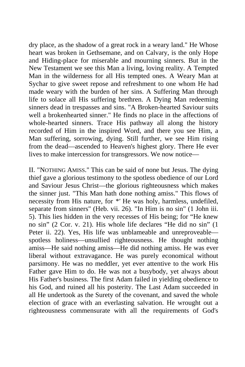dry place, as the shadow of a great rock in a weary land." He Whose heart was broken in Gethsemane, and on Calvary, is the only Hope and Hiding-place for miserable and mourning sinners. But in the New Testament we see this Man a living, loving reality. A Tempted Man in the wilderness for all His tempted ones. A Weary Man at Sychar to give sweet repose and refreshment to one whom He had made weary with the burden of her sins. A Suffering Man through life to solace all His suffering brethren. A Dying Man redeeming sinners dead in trespasses and sins. "A Broken-hearted Saviour suits well a brokenhearted sinner." He finds no place in the affections of whole-hearted sinners. Trace His pathway all along the history recorded of Him in the inspired Word, and there you see Him, a Man suffering, sorrowing, dying. Still further, we see Him rising from the dead—ascended to Heaven's highest glory. There He ever lives to make intercession for transgressors. We now notice—

II. "NOTHING AMISS." This can be said of none but Jesus. The dying thief gave a glorious testimony to the spotless obedience of our Lord and Saviour Jesus Christ—the glorious righteousness which makes the sinner just. "This Man hath done nothing amiss." This flows of necessity from His nature, for *\*'* He was holy, harmless, undefiled, separate from sinners" (Heb. vii. 26). "In Him is no sin" (1 John iii. 5). This lies hidden in the very recesses of His being; for "He knew no sin" (2 Cor. v. 21). His whole life declares "He did no sin" (1 Peter ii. 22). Yes, His life was unblameable and unreproveable spotless holiness—unsullied righteousness. He thought nothing amiss—He said nothing amiss—He did nothing amiss. He was ever liberal without extravagance. He was purely economical without parsimony. He was no meddler, yet ever attentive to the work His Father gave Him to do. He was not a busybody, yet always about His Father's business. The first Adam failed in yielding obedience to his God, and ruined all his posterity. The Last Adam succeeded in all He undertook as the Surety of the covenant, and saved the whole election of grace with an everlasting salvation. He wrought out a righteousness commensurate with all the requirements of God's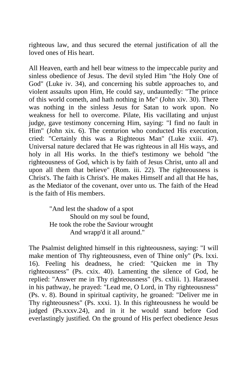righteous law, and thus secured the eternal justification of all the loved ones of His heart.

All Heaven, earth and hell bear witness to the impeccable purity and sinless obedience of Jesus. The devil styled Him "the Holy One of God" (Luke iv. 34), and concerning his subtle approaches to, and violent assaults upon Him, He could say, undauntedly: "The prince of this world cometh, and hath nothing in Me" (John xiv. 30). There was nothing in the sinless Jesus for Satan to work upon. No weakness for hell to overcome. Pilate, His vacillating and unjust judge, gave testimony concerning Him, saying: "I find no fault in Him" (John xix. 6). The centurion who conducted His execution, cried: "Certainly this was a Righteous Man" (Luke xxiii. 47). Universal nature declared that He was righteous in all His ways, and holy in all His works. In the thief's testimony we behold "the righteousness of God, which is by faith of Jesus Christ, unto all and upon all them that believe" (Rom. iii. 22). The righteousness is Christ's. The faith is Christ's. He makes Himself and all that He has, as the Mediator of the covenant, over unto us. The faith of the Head is the faith of His members.

> "And lest the shadow of a spot Should on my soul be found, He took the robe the Saviour wrought And wrapp'd it all around."

The Psalmist delighted himself in this righteousness, saying: "I will make mention of Thy righteousness, even of Thine only" (Ps. lxxi. 16). Feeling his deadness, he cried: "Quicken me in Thy righteousness" (Ps. cxix. 40). Lamenting the silence of God, he replied: "Answer me in Thy righteousness" (Ps. cxliii. 1). Harassed in his pathway, he prayed: "Lead me, O Lord, in Thy righteousness" (Ps. v. 8). Bound in spiritual captivity, he groaned: "Deliver me in Thy righteousness" (Ps. xxxi. 1). In this righteousness he would be judged (Ps.xxxv.24), and in it he would stand before God everlastingly justified. On the ground of His perfect obedience Jesus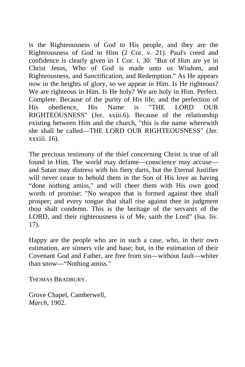is the Righteousness of God to His people, and they are the Righteousness of God in Him (2 Cor. v. 21). Paul's creed and confidence is clearly given in 1 Cor. i. 30: "But of Him are ye in Christ Jesus, Who of God is made unto us Wisdom, and Righteousness, and Sanctification, and Redemption." As He appears now in the heights of glory, so we appear in Him. Is He righteous? We are righteous in Him. Is He holy? We are holy in Him. Perfect. Complete. Because of the purity of His life, and the perfection of His obedience, His Name is "THE LORD OUR RIGHTEOUSNESS" (Jer. xxiii.6). Because of the relationship existing between Him and the church, "this is the name wherewith she shall be called—THE LORD OUR RIGHTEOUSNESS" (Jer. xxxiii. 16).

The precious testimony of the thief concerning Christ is true of all found in Him. The world may defame—conscience may accuse and Satan may distress with his fiery darts, but the Eternal Justifier will never cease to behold them in the Son of His love as having "done nothing amiss," and will cheer them with His own good words of promise: "No weapon that is formed against thee shall prosper; and every tongue that shall rise against thee in judgment thou shalt condemn. This is the heritage of the servants of the LORD, and their righteousness is of Me, saith the Lord" (Isa. liv. 17).

Happy are the people who are in such a case, who, in their own estimation, are sinners vile and base; but, in the estimation of their Covenant God and Father, are free from sin—without fault—whiter than snow—"Nothing amiss."

THOMAS BRADBURY.

Grove Chapel, Camberwell, *March,* 1902.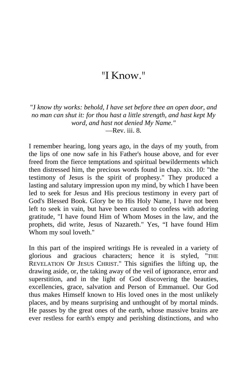## "I Know."

"J *know thy works: behold, I have set before thee an open door, and no man can shut it: for thou hast a little strength, and hast kept My word, and hast not denied My Name."*  $\equiv$ Rev. iii. 8.

I remember hearing, long years ago, in the days of my youth, from the lips of one now safe in his Father's house above, and for ever freed from the fierce temptations and spiritual bewilderments which then distressed him, the precious words found in chap. xix. 10: "the testimony of Jesus is the spirit of prophesy." They produced a lasting and salutary impression upon my mind, by which I have been led to seek for Jesus and His precious testimony in every part of God's Blessed Book. Glory be to His Holy Name, I have not been left to seek in vain, but have been caused to confess with adoring gratitude, "I have found Him of Whom Moses in the law, and the prophets, did write, Jesus of Nazareth." Yes, "I have found Him Whom my soul loveth."

In this part of the inspired writings He is revealed in a variety of glorious and gracious characters; hence it is styled, "THE REVELATION OF JESUS CHRIST." This signifies the lifting up, the drawing aside, or, the taking away of the veil of ignorance, error and superstition, and in the light of God discovering the beauties, excellencies, grace, salvation and Person of Emmanuel. Our God thus makes Himself known to His loved ones in the most unlikely places, and by means surprising and unthought of by mortal minds. He passes by the great ones of the earth, whose massive brains are ever restless for earth's empty and perishing distinctions, and who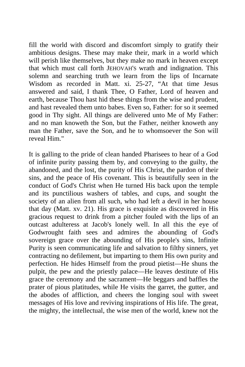fill the world with discord and discomfort simply to gratify their ambitious designs. These may make their, mark in a world which will perish like themselves, but they make no mark in heaven except that which must call forth JEHOVAH'S wrath and indignation. This solemn and searching truth we learn from the lips of Incarnate Wisdom as recorded in Matt. xi. 25-27, "At that time Jesus answered and said, I thank Thee, O Father, Lord of heaven and earth, because Thou hast hid these things from the wise and prudent, and hast revealed them unto babes. Even so, Father: for so it seemed good in Thy sight. All things are delivered unto Me of My Father: and no man knoweth the Son, but the Father, neither knoweth any man the Father, save the Son, and he to whomsoever the Son will reveal Him."

It is galling to the pride of clean handed Pharisees to hear of a God of infinite purity passing them by, and conveying to the guilty, the abandoned, and the lost, the purity of His Christ, the pardon of their sins, and the peace of His covenant. This is beautifully seen in the conduct of God's Christ when He turned His back upon the temple and its punctilious washers of tables, and cups, and sought the society of an alien from all such, who had left a devil in her house that day (Matt. xv. 21). His grace is exquisite as discovered in His gracious request to drink from a pitcher fouled with the lips of an outcast adulteress at Jacob's lonely well. In all this the eye of Godwrought faith sees and admires the abounding of God's sovereign grace over the abounding of His people's sins, Infinite Purity is seen communicating life and salvation to filthy sinners, yet contracting no defilement, but imparting to them His own purity and perfection. He hides Himself from the proud pietist—He shuns the pulpit, the pew and the priestly palace—He leaves destitute of His grace the ceremony and the sacrament—He beggars and baffles the prater of pious platitudes, while He visits the garret, the gutter, and the abodes of affliction, and cheers the longing soul with sweet messages of His love and reviving inspirations of His life. The great, the mighty, the intellectual, the wise men of the world, knew not the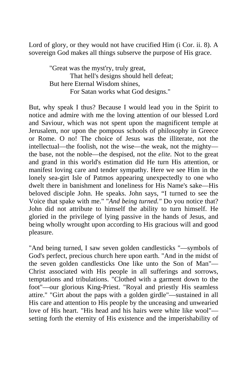Lord of glory, or they would not have crucified Him (i Cor. ii. 8). A sovereign God makes all things subserve the purpose of His grace.

> "Great was the myst'ry, truly great, That hell's designs should hell defeat; But here Eternal Wisdom shines, For Satan works what God designs."

But, why speak I thus? Because I would lead you in the Spirit to notice and admire with me the loving attention of our blessed Lord and Saviour, which was not spent upon the magnificent temple at Jerusalem, nor upon the pompous schools of philosophy in Greece or Rome. O no! The choice of Jesus was the illiterate, not the intellectual—the foolish, not the wise—the weak, not the mighty the base, not the noble—the despised, not the *elite.* Not to the great and grand in this world's estimation did He turn His attention, or manifest loving care and tender sympathy. Here we see Him in the lonely sea-girt Isle of Patmos appearing unexpectedly to one who dwelt there in banishment and loneliness for His Name's sake—His beloved disciple John. He speaks. John says, "I turned to see the Voice that spake with me." "*And being turned."* Do you notice that? John did not attribute to himself the ability to turn himself. He gloried in the privilege of lying passive in the hands of Jesus, and being wholly wrought upon according to His gracious will and good pleasure.

"And being turned, I saw seven golden candlesticks "—symbols of God's perfect, precious church here upon earth. "And in the midst of the seven golden candlesticks One like unto the Son of Man"— Christ associated with His people in all sufferings and sorrows, temptations and tribulations. "Clothed with a garment down to the foot"—our glorious King-Priest. "Royal and priestly His seamless attire." "Girt about the paps with a golden girdle"—sustained in all His care and attention to His people by the unceasing and unwearied love of His heart. "His head and his hairs were white like wool" setting forth the eternity of His existence and the imperishability of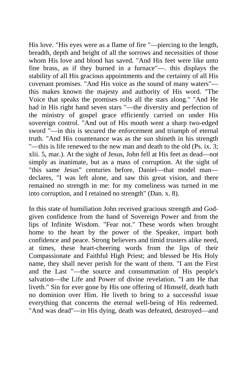His love. "His eyes were as a flame of fire "—piercing to the length, breadth, depth and height of all the sorrows and necessities of those whom His love and blood has saved. "And His feet were like unto fine brass, as if they burned in a furnace"—. this displays the stability of all His gracious appointments and the certainty of all His covenant promises. "And His voice as the sound of many waters" this makes known the majesty and authority of His word. "The Voice that speaks the promises rolls all the stars along." "And He had in His right hand seven stars "—the diversity and perfection of the ministry of gospel grace efficiently carried on under His sovereign control. "And out of His mouth went a sharp two-edged sword "—in this is secured the enforcement and triumph of eternal truth. "And His countenance was as the sun shineth in his strength "—this is life renewed to the new man and death to the old (Ps. ix. 3; xlii. 5, mar.). At the sight of Jesus, John fell at His feet as dead—not simply as inanimate, but as a mass of corruption. At the sight of "this same Jesus" centuries before, Daniel—that model man declares, "I was left alone, and saw this great vision, and there remained no strength in me: for my comeliness was turned in me into corruption, and I retained no strength" (Dan. x. 8).

In this state of humiliation John received gracious strength and Godgiven confidence from the hand of Sovereign Power and from the lips of Infinite Wisdom. "Fear not." These words when brought home to the heart by the power of the Speaker, impart both confidence and peace. Strong believers and timid trusters alike need, at times, these heart-cheering words from the lips of their Compassionate and Faithful High Priest; and blessed be His Holy name, they shall never perish for the want of them. "I am the First and the Last "—the source and consummation of His people's salvation—the Life and Power of divine revelation. "I am He that liveth." Sin for ever gone by His one offering of Himself, death hath no dominion over Him. He liveth to bring to a successful issue everything that concerns the eternal well-being of His redeemed. "And was dead"—in His dying, death was defeated, destroyed—and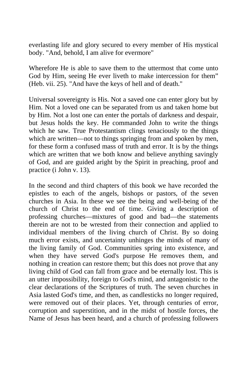everlasting life and glory secured to every member of His mystical body. "And, behold, I am alive for evermore"

Wherefore He is able to save them to the uttermost that come unto God by Him, seeing He ever liveth to make intercession for them" (Heb. vii. 25). "And have the keys of hell and of death."

Universal sovereignty is His. Not a saved one can enter glory but by Him. Not a loved one can be separated from us and taken home but by Him. Not a lost one can enter the portals of darkness and despair, but Jesus holds the key. He commanded John to write the things which he saw. True Protestantism clings tenaciously to the things which are written—not to things springing from and spoken by men, for these form a confused mass of truth and error. It is by the things which are written that we both know and believe anything savingly of God, and are guided aright by the Spirit in preaching, proof and practice (i John v. 13).

In the second and third chapters of this book we have recorded the epistles to each of the angels, bishops or pastors, of the seven churches in Asia. In these we see the being and well-being of the church of Christ to the end of time. Giving a description of professing churches—mixtures of good and bad—the statements therein are not to be wrested from their connection and applied to individual members of the living church of Christ. By so doing much error exists, and uncertainty unhinges the minds of many of the living family of God. Communities spring into existence, and when they have served God's purpose He removes them, and nothing in creation can restore them; but this does not prove that any living child of God can fall from grace and be eternally lost. This is an utter impossibility, foreign to God's mind, and antagonistic to the clear declarations of the Scriptures of truth. The seven churches in Asia lasted God's time, and then, as candlesticks no longer required, were removed out of their places. Yet, through centuries of error, corruption and superstition, and in the midst of hostile forces, the Name of Jesus has been heard, and a church of professing followers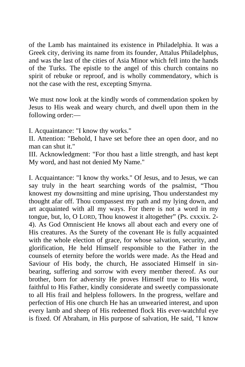of the Lamb has maintained its existence in Philadelphia. It was a Greek city, deriving its name from its founder, Attalus Philadelphus, and was the last of the cities of Asia Minor which fell into the hands of the Turks. The epistle to the angel of this church contains no spirit of rebuke or reproof, and is wholly commendatory, which is not the case with the rest, excepting Smyrna.

We must now look at the kindly words of commendation spoken by Jesus to His weak and weary church, and dwell upon them in the following order:—

I. Acquaintance: "I know thy works."

II. Attention: "Behold, I have set before thee an open door, and no man can shut it."

III. Acknowledgment: "For thou hast a little strength, and hast kept My word, and hast not denied My Name."

I. Acquaintance: "I know thy works." Of Jesus, and to Jesus, we can say truly in the heart searching words of the psalmist, "Thou knowest my downsitting and mine uprising, Thou understandest my thought afar off. Thou compassest my path and my lying down, and art acquainted with all my ways. For there is not a word in my tongue, but, lo, O LORD, Thou knowest it altogether" (Ps. cxxxix. 2- 4). As God Omniscient He knows all about each and every one of His creatures. As the Surety of the covenant He is fully acquainted with the whole election of grace, for whose salvation, security, and glorification, He held Himself responsible to the Father in the counsels of eternity before the worlds were made. As the Head and Saviour of His body, the church, He associated Himself in sinbearing, suffering and sorrow with every member thereof. As our brother, born for adversity He proves Himself true to His word, faithful to His Father, kindly considerate and sweetly compassionate to all His frail and helpless followers. In the progress, welfare and perfection of His one church He has an unwearied interest, and upon every lamb and sheep of His redeemed flock His ever-watchful eye is fixed. Of Abraham, in His purpose of salvation, He said, "I know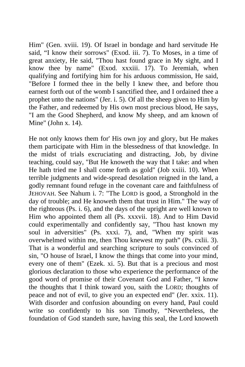Him" (Gen. xviii. 19). Of Israel in bondage and hard servitude He said, "I know their sorrows" (Exod. iii. 7). To Moses, in a time of great anxiety, He said, "Thou hast found grace in My sight, and I know thee by name" (Exod. xxxiii. 17). To Jeremiah, when qualifying and fortifying him for his arduous commission, He said, "Before I formed thee in the belly I knew thee, and before thou earnest forth out of the womb I sanctified thee, and I ordained thee a prophet unto the nations" (Jer. i. 5). Of all the sheep given to Him by the Father, and redeemed by His own most precious blood, He says, "I am the Good Shepherd, and know My sheep, and am known of Mine" (John x. 14).

He not only knows them for' His own joy and glory, but He makes them participate with Him in the blessedness of that knowledge. In the midst of trials excruciating and distracting, Job, by divine teaching, could say, "But He knoweth the way that I take: and when He hath tried me I shall come forth as gold" (Job xxiii. 10). When terrible judgments and wide-spread desolation reigned in the land, a godly remnant found refuge in the covenant care and faithfulness of JEHOVAH. See Nahum i. 7: "The LORD is good, a Stronghold in the day of trouble; and He knoweth them that trust in Him." The way of the righteous (Ps. i. 6), and the days of the upright are well known to Him who appointed them all (Ps. xxxvii. 18). And to Him David could experimentally and confidently say, "Thou hast known my soul in adversities" (Ps. xxxi. 7), and, "When my spirit was overwhelmed within me, then Thou knewest my path" (Ps. cxlii. 3). That is a wonderful and searching scripture to souls convinced of sin, "O house of Israel, I know the things that come into your mind, every one of them" (Ezek. xi. 5). But that is a precious and most glorious declaration to those who experience the performance of the good word of promise of their Covenant God and Father, "I know the thoughts that I think toward you, saith the LORD; thoughts of peace and not of evil, to give you an expected end" (Jer. xxix. 11). With disorder and confusion abounding on every hand, Paul could write so confidently to his son Timothy, "Nevertheless, the foundation of God standeth sure, having this seal, the Lord knoweth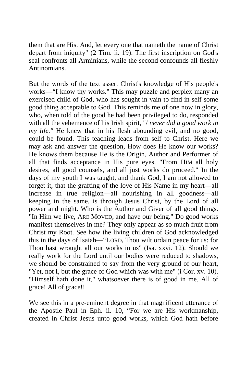them that are His. And, let every one that nameth the name of Christ depart from iniquity" (2 Tim. ii. 19). The first inscription on God's seal confronts all Arminians, while the second confounds all fleshly Antinomians.

But the words of the text assert Christ's knowledge of His people's works—"I know thy works." This may puzzle and perplex many an exercised child of God, who has sought in vain to find in self some good thing acceptable to God. This reminds me of one now in glory, who, when told of the good he had been privileged to do, responded with all the vehemence of his Irish spirit, "/ *never did a good work in my life."* He knew that in his flesh abounding evil, and no good, could be found. This teaching leads from self to Christ. Here we may ask and answer the question, How does He know our works? He knows them because He is the Origin, Author and Performer of all that finds acceptance in His pure eyes. "From HIM all holy desires, all good counsels, and all just works do proceed." In the days of my youth I was taught, and thank God, I am not allowed to forget it, that the grafting of the love of His Name in my heart—all increase in true religion—all nourishing in all goodness—all keeping in the same, is through Jesus Christ, by the Lord of all power and might. Who is the Author and Giver of all good things. "In Him we live, ARE MOVED, and have our being." Do good works manifest themselves in me? They only appear as so much fruit from Christ my Root. See how the living children of God acknowledged this in the days of Isaiah—"LORD, Thou wilt ordain peace for us: for Thou hast wrought all our works in us" (Isa. xxvi. 12). Should we really work for the Lord until our bodies were reduced to shadows, we should be constrained to say from the very ground of our heart, "Yet, not I, but the grace of God which was with me" (i Cor. xv. 10). "Himself hath done it," whatsoever there is of good in me. All of grace! All of grace!!

We see this in a pre-eminent degree in that magnificent utterance of the Apostle Paul in Eph. ii. 10, "For we are His workmanship, created in Christ Jesus unto good works, which God hath before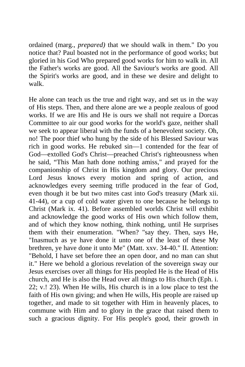ordained (marg., *prepared)* that we should walk in them." Do you notice that? Paul boasted not in the performance of good works; but gloried in his God Who prepared good works for him to walk in. All the Father's works are good. All the Saviour's works are good. All the Spirit's works are good, and in these we desire and delight to walk.

He alone can teach us the true and right way, and set us in the way of His steps. Then, and there alone are we a people zealous of good works. If we are His and He is ours we shall not require a Dorcas Committee to air our good works for the world's gaze, neither shall we seek to appear liberal with the funds of a benevolent society. Oh, no! The poor thief who hung by the side of his Blessed Saviour was rich in good works. He rebuked sin—1 contended for the fear of God—extolled God's Christ—preached Christ's righteousness when he said, "This Man hath done nothing amiss," and prayed for the companionship of Christ in His kingdom and glory. Our precious Lord Jesus knows every motion and spring of action, and acknowledges every seeming trifle produced in the fear of God, even though it be but two mites cast into God's treasury (Mark xii. 41-44), or a cup of cold water given to one because he belongs to Christ (Mark ix. 41). Before assembled worlds Christ will exhibit and acknowledge the good works of His own which follow them, and of which they know nothing, think nothing, until He surprises them with their enumeration. "When? "say they. Then, says He, "Inasmuch as ye have done it unto one of the least of these My brethren, ye have done it unto Me" (Matt. xxv. 34-40." II. Attention: "Behold, I have set before thee an open door, and no man can shut it." Here we behold a glorious revelation of the sovereign sway our Jesus exercises over all things for His peopled He is the Head of His church, and He is also the Head over all things to His church (Eph. i. 22; v.! 23). When He wills, His church is in a low place to test the faith of His own giving; and when He wills, His people are raised up together, and made to sit together with Him in heavenly places, to commune with Him and to glory in the grace that raised them to such a gracious dignity. For His people's good, their growth in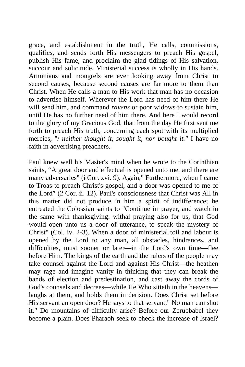grace, and establishment in the truth, He calls, commissions, qualifies, and sends forth His messengers to preach His gospel, publish His fame, and proclaim the glad tidings of His salvation, succour and solicitude. Ministerial success is wholly in His hands. Arminians and mongrels are ever looking away from Christ to second causes, because second causes are far more to them than Christ. When He calls a man to His work that man has no occasion to advertise himself. Wherever the Lord has need of him there He will send him, and command *ravens* or poor widows to sustain him, until He has no further need of him there. And here I would record to the glory of my Gracious God, that from the day He first sent me forth to preach His truth, concerning each spot with its multiplied mercies, "/ *neither thought it, sought it, nor bought it."* I have no faith in advertising preachers.

Paul knew well his Master's mind when he wrote to the Corinthian saints, "A great door and effectual is opened unto me, and there are many adversaries" (i Cor. xvi. 9). Again," Furthermore, when I came to Troas to preach Christ's gospel, and a door was opened to me of the Lord" (2 Cor. ii. 12). Paul's consciousness that Christ was All in this matter did not produce in him a spirit of indifference; he entreated the Colossian saints to "Continue in prayer, and watch in the same with thanksgiving: withal praying also for us, that God would open unto us a door of utterance, to speak the mystery of Christ" (Col. iv. 2-3). When a door of ministerial toil and labour is opened by the Lord to any man, all obstacles, hindrances, and difficulties, must sooner or later—in the Lord's own time—flee before Him. The kings of the earth and the rulers of the people may take counsel against the Lord and against His Christ—the heathen may rage and imagine vanity in thinking that they can break the bands of election and predestination, and cast away the cords of God's counsels and decrees—while He Who sitteth in the heavens laughs at them, and holds them in derision. Does Christ set before His servant an open door? He says to that servant," No man can shut it." Do mountains of difficulty arise? Before our Zerubbabel they become a plain. Does Pharaoh seek to check the increase of Israel?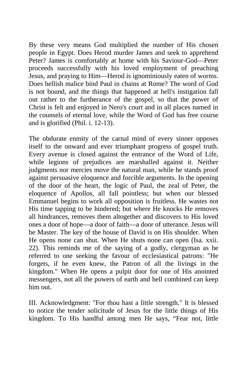By these very means God multiplied the number of His chosen people in Egypt. Does Herod murder James and seek to apprehend Peter? James is comfortably at home with his Saviour-God—Peter proceeds successfully with his loved employment of preaching Jesus, and praying to Him—Herod is ignominiously eaten of worms. Does hellish malice bind Paul in chains at Rome? The word of God is not bound, and the things that happened at hell's instigation fall out rather to the furtherance of the gospel, so that the power of Christ is felt and enjoyed in Nero's court and in all places named in the counsels of eternal love, while the Word of God has free course and is glorified (Phil. i. 12-13).

The obdurate enmity of the carnal mind of every sinner opposes itself to the onward and ever triumphant progress of gospel truth. Every avenue is closed against the entrance of the Word of Life, while legions of prejudices are marshalled against it. Neither judgments nor mercies move the natural man, while he stands proof against persuasive eloquence and forcible arguments. In the opening of the door of the heart, the logic of Paul, the zeal of Peter, the eloquence of Apollos, all fall pointless; but when our blessed Emmanuel begins to work all opposition is fruitless. He wastes not His time tapping to be hindered; but where He knocks He removes all hindrances, removes them altogether and discovers to His loved ones a door of hope—a door of faith—a door of utterance. Jesus will be Master. The key of the house of David is on His shoulder. When He opens none can shut. When He shuts none can open (Isa. xxii. 22). This reminds me of the saying of a godly, clergyman as he referred to one seeking the favour of ecclesiastical patrons: "He forgets, if he even knew, the Patron of all the livings in the kingdom." When He opens a pulpit door for one of His anointed messengers, not all the powers of earth and hell combined can keep him out.

III. Acknowledgment: "For thou hast a little strength." It is blessed to notice the tender solicitude of Jesus for the little things of His kingdom. To His handful among men He says, "Fear not, little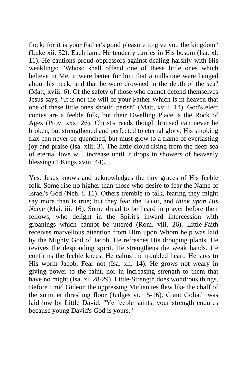flock; for it is your Father's good pleasure to give you the kingdom" (Luke xii. 32). Each lamb He tenderly carries in His bosom (Isa. xl. 11). He cautions proud oppressors against dealing harshly with His weaklings: "Whoso shall offend one of these little ones which believe in Me, it were better for him that a millstone were hanged about his neck, and that he were drowned in the depth of the sea" (Matt, xviii. 6). Of the safety of those who cannot defend themselves Jesus says, "It is not the will of your Father Which is in heaven that one of these little ones should perish" (Matt, xviii. 14). God's elect conies are a feeble folk, but their Dwelling Place is the Rock of Ages (Prov. xxx. 26). Christ's reeds though bruised can never be broken, but strengthened and perfected to eternal glory. His smoking flax can never be quenched, but must glow to a flame of everlasting joy and praise (Isa. xlii; 3). The little cloud rising from the deep sea of eternal love will increase until it drops in showers of heavenly blessing (1 Kings xviii. 44).

Yes. Jesus knows and acknowledges the tiny graces of His feeble folk. Some rise no higher than those who desire to fear the Name of Israel's God (Neh. i. 11). Others tremble to talk, fearing they might say more than is true; but they fear the LORD, and *think upon His Name* (Mai. iii. 16). Some dread to be heard in prayer before their fellows, who delight in the Spirit's inward intercession with groanings which cannot be uttered (Rom. viii. 26). Little-Faith receives marvellous attention from Him upon Whom help was laid by the Mighty God of Jacob. He refreshes His drooping plants. He revives the desponding spirit. He strengthens the weak hands. He confirms the feeble knees. He calms the troubled heart. He says to His worm Jacob, Fear not (Isa. xli. 14). He grows not weary in giving power to the faint, nor in increasing strength to them that have no might (Isa. xl. 28-29). Little-Strength does wondrous things. Before timid Gideon the oppressing Midianites flew like the chaff of the summer threshing floor (Judges vi. 15-16). Giant Goliath was laid low by Little David. "Ye feeble saints, your strength endures because young David's God is yours."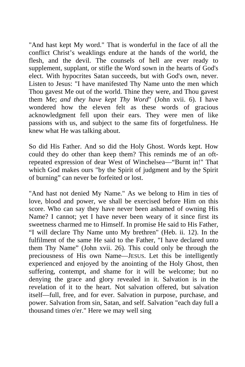"And hast kept My word." That is wonderful in the face of all the conflict Christ's weaklings endure at the hands of the world, the flesh, and the devil. The counsels of hell are ever ready to supplement, supplant, or stifle the Word sown in the hearts of God's elect. With hypocrites Satan succeeds, but with God's own, never. Listen to Jesus: "I have manifested Thy Name unto the men which Thou gavest Me out of the world. Thine they were, and Thou gavest them Me; *and they have kept Thy Word*" (John xvii. 6). I have wondered how the eleven felt as these words of gracious acknowledgment fell upon their ears. They were men of like passions with us, and subject to the same fits of forgetfulness. He knew what He was talking about.

So did His Father. And so did the Holy Ghost. Words kept. How could they do other than keep them? This reminds me of an oftrepeated expression of dear West of Winchelsea—"Burnt in!" That which God makes ours "by the Spirit of judgment and by the Spirit of burning" can never be forfeited or lost.

"And hast not denied My Name." As we belong to Him in ties of love, blood and power, we shall be exercised before Him on this score. Who can say they have never been ashamed of owning His Name? I cannot; yet I have never been weary of it since first its sweetness charmed me to Himself. In promise He said to His Father, "I will declare Thy Name unto My brethren" (Heb. ii. 12). In the fulfilment of the same He said to the Father, "I have declared unto them Thy Name" (John xvii. 26). This could only be through the preciousness of His own Name—JESUS. Let this be intelligently experienced and enjoyed by the anointing of the Holy Ghost, then suffering, contempt, and shame for it will be welcome; but no denying the grace and glory revealed in it. Salvation is in the revelation of it to the heart. Not salvation offered, but salvation itself—full, free, and for ever. Salvation in purpose, purchase, and power. Salvation from sin, Satan, and self. Salvation "each day full a thousand times o'er." Here we may well sing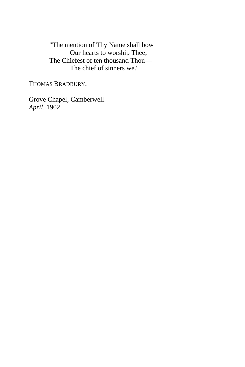"The mention of Thy Name shall bow Our hearts to worship Thee; The Chiefest of ten thousand Thou— The chief of sinners we.''

THOMAS BRADBURY.

Grove Chapel, Camberwell. *April,* 1902.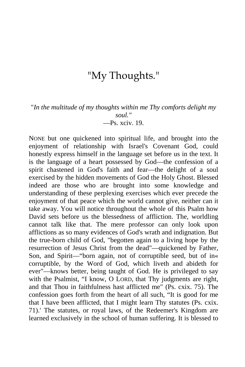## "My Thoughts."

"*In the multitude of my thoughts within me Thy comforts delight my soul."* —Ps. xciv. 19.

NONE but one quickened into spiritual life, and brought into the enjoyment of relationship with Israel's Covenant God, could honestly express himself in the language set before us in the text. It is the language of a heart possessed by God—the confession of a spirit chastened in God's faith and fear—the delight of a soul exercised by the hidden movements of God the Holy Ghost. Blessed indeed are those who are brought into some knowledge and understanding of these perplexing exercises which ever precede the enjoyment of that peace which the world cannot give, neither can it take away. You will notice throughout the whole of this Psalm how David sets before us the blessedness of affliction. The, worldling cannot talk like that. The mere professor can only look upon afflictions as so many evidences of God's wrath and indignation. But the true-born child of God, "begotten again to a living hope by the resurrection of Jesus Christ from the dead"—quickened by Father, Son, and Spirit—"born again, not of corruptible seed, but of in« corruptible, by the Word of God, which liveth and abideth for ever"—knows better, being taught of God. He is privileged to say with the Psalmist, "I know, O LORD, that Thy judgments are right, and that Thou in faithfulness hast afflicted me" (Ps. cxix. 75). The confession goes forth from the heart of all such, "It is good for me that I have been afflicted, that I might learn Thy statutes (Ps. cxix. 71).' The statutes, or royal laws, of the Redeemer's Kingdom are learned exclusively in the school of human suffering. It is blessed to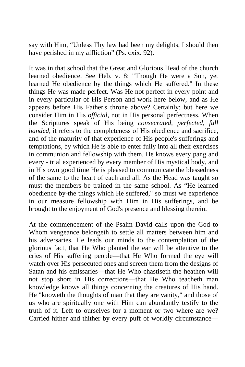say with Him, "Unless Thy law had been my delights, I should then have perished in my affliction" (Ps. cxix. 92).

It was in that school that the Great and Glorious Head of the church learned obedience. See Heb. v. 8: "Though He were a Son, yet learned He obedience by the things which He suffered." In these things He was made perfect. Was He not perfect in every point and in every particular of His Person and work here below, and as He appears before His Father's throne above? Certainly; but here we consider Him in His *official,* not in His personal perfectness. When the Scriptures speak of His being *consecrated, perfected, full handed*, it refers to the completeness of His obedience and sacrifice, and of the maturity of that experience of His people's sufferings and temptations, by which He is able to enter fully into all their exercises in communion and fellowship with them. He knows every pang and every - trial experienced by every member of His mystical body, and in His own good time He is pleased to communicate the blessedness of the same to the heart of each and all. As the Head was taught so must the members be trained in the same school. As "He learned obedience by-the things which He suffered," so must we experience in our measure fellowship with Him in His sufferings, and be brought to the enjoyment of God's presence and blessing therein.

At the commencement of the Psalm David calls upon the God to Whom vengeance belongeth to settle all matters between him and his adversaries. He leads our minds to the contemplation of the glorious fact, that He Who planted the ear will be attentive to the cries of His suffering people—that He Who formed the eye will watch over His persecuted ones and screen them from the designs of Satan and his emissaries—that He Who chastiseth the heathen will not stop short in His corrections—that He Who teacheth man knowledge knows all things concerning the creatures of His hand. He "knoweth the thoughts of man that they are vanity," and those of us who are spiritually one with Him can abundantly testify to the truth of it. Left to ourselves for a moment or two where are we? Carried hither and thither by every puff of worldly circumstance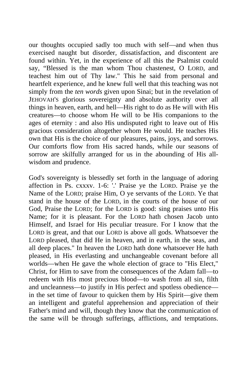our thoughts occupied sadly too much with self—and when thus exercised naught but disorder, dissatisfaction, and discontent are found within. Yet, in the experience of all this the Psalmist could say, "Blessed is the man whom Thou chastenest, O LORD, and teachest him out of Thy law." This he said from personal and heartfelt experience, and he knew full well that this teaching was not simply from the *ten words* given upon Sinai; but in the revelation of JEHOVAH'S glorious sovereignty and absolute authority over all things in heaven, earth, and hell—His right to do as He will with His creatures—to choose whom He will to be His companions to the ages of eternity : and also His undisputed right to leave out of His gracious consideration altogether whom He would. He teaches His own that His is the choice of our pleasures, pains, joys, and sorrows. Our comforts flow from His sacred hands, while our seasons of sorrow are skilfully arranged for us in the abounding of His allwisdom and prudence.

God's sovereignty is blessedly set forth in the language of adoring affection in Ps. cxxxv. 1-6: '.' Praise ye the LORD. Praise ye the Name of the LORD; praise Him, O ye servants of the LORD. Ye that stand in the house of the LORD, in the courts of the house of our God, Praise the LORD; for the LORD is good: sing praises unto His Name; for it is pleasant. For the LORD hath chosen Jacob unto Himself, and Israel for His peculiar treasure. For I know that the LORD is great, and that our LORD is above all gods. Whatsoever the LORD pleased, that did He in heaven, and in earth, in the seas, and all deep places." In heaven the LORD hath done whatsoever He hath pleased, in His everlasting and unchangeable covenant before all worlds—when He gave the whole election of grace to "His Elect," Christ, for Him to save from the consequences of the Adam fall—to redeem with His most precious blood—to wash from all sin, filth and uncleanness—to justify in His perfect and spotless obedience in the set time of favour to quicken them by His Spirit—give them an intelligent and grateful apprehension and appreciation of their Father's mind and will, though they know that the communication of the same will be through sufferings, afflictions, and temptations.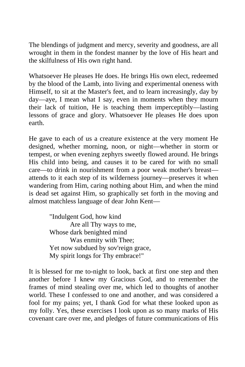The blendings of judgment and mercy, severity and goodness, are all wrought in them in the fondest manner by the love of His heart and the skilfulness of His own right hand.

Whatsoever He pleases He does. He brings His own elect, redeemed by the blood of the Lamb, into living and experimental oneness with Himself, to sit at the Master's feet, and to learn increasingly, day by day—aye, I mean what I say, even in moments when they mourn their lack of tuition, He is teaching them imperceptibly—lasting lessons of grace and glory. Whatsoever He pleases He does upon earth.

He gave to each of us a creature existence at the very moment He designed, whether morning, noon, or night—whether in storm or tempest, or when evening zephyrs sweetly flowed around. He brings His child into being, and causes it to be cared for with no small care—to drink in nourishment from a poor weak mother's breast attends to it each step of its wilderness journey—preserves it when wandering from Him, caring nothing about Him, and when the mind is dead set against Him, so graphically set forth in the moving and almost matchless language of dear John Kent—

> "Indulgent God, how kind Are all Thy ways to me, Whose dark benighted mind Was enmity with Thee; Yet now subdued by sov'reign grace, My spirit longs for Thy embrace!"

It is blessed for me to-night to look, back at first one step and then another before I knew my Gracious God, and to remember the frames of mind stealing over me, which led to thoughts of another world. These I confessed to one and another, and was considered a fool for my pains; yet, I thank God for what these looked upon as my folly. Yes, these exercises I look upon as so many marks of His covenant care over me, and pledges of future communications of His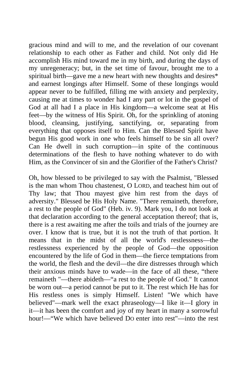gracious mind and will to me, and the revelation of our covenant relationship to each other as Father and child. Not only did He accomplish His mind toward me in my birth, and during the days of my unregeneracy; but, in the set time of favour, brought me to a spiritual birth—gave me a new heart with new thoughts and desires\* and earnest longings after Himself. Some of these longings would appear never to be fulfilled, filling me with anxiety and perplexity, causing me at times to wonder had I any part or lot in the gospel of God at all had I a place in His kingdom—a welcome seat at His feet—by the witness of His Spirit. Oh, for the sprinkling of atoning blood, cleansing, justifying, sanctifying, or, separating from everything that opposes itself to Him. Can the Blessed Spirit have begun His good work in one who feels himself to be sin all over? Can He dwell in such corruption—in spite of the continuous determinations of the flesh to have nothing whatever to do with Him, as the Convincer of sin and the Glorifier of the Father's Christ?

Oh, how blessed to be privileged to say with the Psalmist, "Blessed is the man whom Thou chastenest, O LORD, and teachest him out of Thy law; that Thou mayest give him rest from the days of adversity." Blessed be His Holy Name. "There remaineth, therefore, a rest to the people of God" (Heb. iv. 9). Mark you, I do not look at that declaration according to the general acceptation thereof; that is, there is a rest awaiting me after the toils and trials of the journey are over. I know that is true, but it is not the truth of that portion. It means that in the midst of all the world's restlessness—the restlessness experienced by the people of God—the opposition encountered by the life of God in them—the fierce temptations from the world, the flesh and the devil—the dire distresses through which their anxious minds have to wade—in the face of all these, "there remaineth "—there abideth—"a rest to the people of God." It cannot be worn out—a period cannot be put to it. The rest which He has for His restless ones is simply Himself. Listen! "We which have believed"—mark well the exact phraseology—I like it—I glory in it—it has been the comfort and joy of my heart in many a sorrowful hour!—"We which have believed DO enter into rest"—into the rest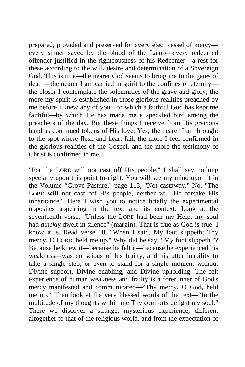prepared, provided and preserved for every elect vessel of mercy every sinner saved by the blood of the Lamb—every redeemed offender justified in the righteousness of his Redeemer—a rest for these according to the will, desire and determination of a Sovereign God. This is true—the nearer God seems to bring me to the gates of death—the nearer I am carried in spirit to the confines of eternity the closer I contemplate the solemnities of the grave and glory, the more my spirit is established in those glorious realities preached by me before I knew any of you—to which a faithful God has kept me faithful—by which He has made me a speckled bird among the preachers of the day. But these things I receive from His gracious hand as continued tokens of His love. Yes, the nearer I am brought to the spot where flesh and heart fail, the more I feel confirmed in the glorious realities of the Gospel, and the more the testimony of Christ is confirmed in me.

"For the LORD will not cast off His people." I shall say nothing specially upon this point to-night. You will see my mind upon it in the Volume "Grove Pasture," page 113, "Not castaway." No, "The LORD will not cast off His people, neither will He forsake His inheritance." Here I wish you to notice briefly the experimental opposites appearing in the text and its context. Look at the seventeenth verse, "Unless the LORD had been my Help, my soul had *quickly* dwelt in silence" (margin). That is true as God is true. I know it is. Read verse 18, "When I said, My foot slippeth; Thy mercy, O LORD, held me up." Why did he say, "My foot slippeth "? Because he knew it—because he felt it—because he experienced his weakness—was conscious of his frailty, and his utter inability to take a single step, or even to stand for a single moment without Divine support, Divine enabling, and Divine upholding. The felt experience of human weakness and frailty is a forerunner of God's mercy manifested and communicated—"Thy mercy, O God, held me up." Then look at the very blessed words of the text—"In the multitude of my thoughts within me Thy comforts delight my soul." There we discover a strange, mysterious experience, different altogether to that of the religious world, and from the expectation of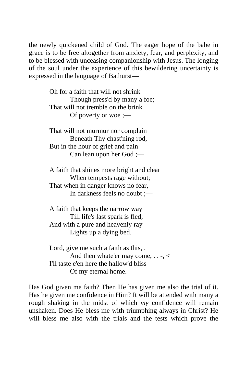the newly quickened child of God. The eager hope of the babe in grace is to be free altogether from anxiety, fear, and perplexity, and to be blessed with unceasing companionship with Jesus. The longing of the soul under the experience of this bewildering uncertainty is expressed in the language of Bathurst—

> Oh for a faith that will not shrink Though press'd by many a foe; That will not tremble on the brink Of poverty or woe ;—

That will not murmur nor complain Beneath Thy chast'ning rod, But in the hour of grief and pain Can lean upon her God ;—

A faith that shines more bright and clear When tempests rage without; That when in danger knows no fear, In darkness feels no doubt ;—

A faith that keeps the narrow way Till life's last spark is fled; And with a pure and heavenly ray Lights up a dying bed.

Lord, give me such a faith as this, . And then whate'er may come, . . -, < I'll taste e'en here the hallow'd bliss Of my eternal home.

Has God given me faith? Then He has given me also the trial of it. Has he given me confidence in Him? It will be attended with many a rough shaking in the midst of which *my* confidence will remain unshaken. Does He bless me with triumphing always in Christ? He will bless me also with the trials and the tests which prove the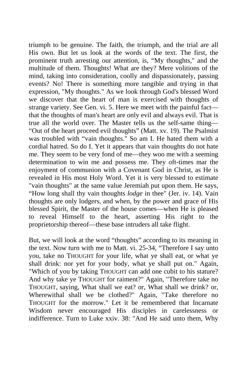triumph to be genuine. The faith, the triumph, and the trial are all His own. But let us look at the words of the text. The first, the prominent truth arresting our attention, is, "My thoughts," and the multitude of them. Thoughts! What are they? Mere volitions of the mind, taking into consideration, coolly and dispassionately, passing events? No! There is something more tangible and trying in that expression, "My thoughts." As we look through God's blessed Word we discover that the heart of man is exercised with thoughts of strange variety. See Gen. vi. 5. Here we meet with the painful fact that the thoughts of man's heart are only evil and always evil. That is true all the world over. The Master tells us the self-same thing— "Out of the heart proceed evil thoughts" (Matt. xv. 19). The Psalmist was troubled with "vain thoughts." So am I. He hated them with a cordial hatred. So do I. Yet it appears that vain thoughts do not hate me. They seem to be very fond of me—they woo me with a seeming determination to win me and possess me. They oft-times mar the enjoyment of communion with a Covenant God in Christ, as He is revealed in His most Holy Word. Yet it is very blessed to estimate "vain thoughts" at the same value Jeremiah put upon them. He says, "How long shall thy vain thoughts *lodge* in thee" (Jer. iv. 14). Vain thoughts are only lodgers, and when, by the power and grace of His blessed Spirit, the Master of the house comes—when He is pleased to reveal Himself to the heart, asserting His right to the proprietorship thereof—these base intruders all take flight.

But, we will look at the word "thoughts" according to its meaning in the text. Now turn with me to Matt. vi. 25-34, "Therefore I say unto you, take no THOUGHT for your life, what ye shall eat, or what ye shall drink: nor yet for your body, what ye shall put on." Again, "Which of you by taking THOUGHT can add one cubit to his stature? And why take ye THOUGHT for raiment?" Again, "Therefore take no THOUGHT, saying, What shall we eat? or, What shall we drink? or, Wherewithal shall we be clothed?" Again, "Take therefore no THOUGHT for the morrow." Let it be remembered that Incarnate Wisdom never encouraged His disciples in carelessness or indifference. Turn to Luke xxiv. 38: "And He said unto them, Why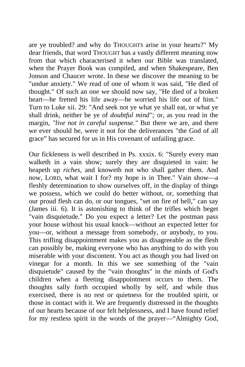are ye troubled? and why do THOUGHTS arise in your hearts?" My dear friends, that word THOUGHT has a vastly different meaning now from that which characterised it when our Bible was translated, when the Prayer Book was compiled, and when Shakespeare, Ben Jonson and Chaucer wrote. In these we discover the meaning to be "undue anxiety." We read of one of whom it was said, "He died of thought." Of such an one we should now say, "He died of a broken heart—he fretted his life away—he worried his life out of him." Turn to Luke xii. 29: "And seek not ye what ye shall eat, or what ye shall drink, neither be ye of *doubtful mind";* or, as you read in the margin, *"live not in careful suspense."* But there we are, and there we ever should be, were it not for the deliverances "the God of all grace" has secured for us in His covenant of unfailing grace.

Our fickleness is well described in Ps. xxxix. 6: "Surely every man walketh in a vain show; surely they are disquieted in vain: he heapeth up *riches,* and knoweth not who shall gather them. And now, LORD, what wait I for? my hope is in Thee." Vain show—a fleshly determination to show ourselves off, in the display of things we possess, which we could do better without, or, something that our proud flesh can do, or our tongues, "set on fire of hell," can say (James iii. 6). It is astonishing to think of the trifles which beget "vain disquietude." Do you expect a letter? Let the postman pass your house without his usual knock—without an expected letter for you—or, without a message from somebody, or anybody, to you. This trifling disappointment makes you as disagreeable as the flesh can possibly be, making everyone who has anything to do with you miserable with your discontent. You act as though you had lived on vinegar for a month. In this we see something of the "vain disquietude" caused by the "vain thoughts" in the minds of God's children when a fleeting disappointment occurs to them. The thoughts sally forth occupied wholly by self, and while thus exercised, there is no rest or quietness for the troubled spirit, or those in contact with it. We are frequently distressed in the thoughts of our hearts because of our felt helplessness, and I have found relief for my restless spirit in the words of the prayer—"Almighty God,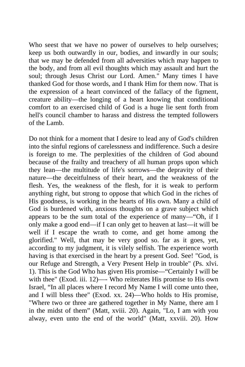Who seest that we have no power of ourselves to help ourselves; keep us both outwardly in our, bodies, and inwardly in our souls; that we may be defended from all adversities which may happen to the body, and from all evil thoughts which may assault and hurt the soul; through Jesus Christ our Lord. Amen." Many times I have thanked God for those words, and I thank Him for them now. That is the expression of a heart convinced of the fallacy of the figment, creature ability—the longing of a heart knowing that conditional comfort to an exercised child of God is a huge lie sent forth from hell's council chamber to harass and distress the tempted followers of the Lamb.

Do not think for a moment that I desire to lead any of God's children into the sinful regions of carelessness and indifference. Such a desire is foreign to me. The perplexities of the children of God abound because of the frailty and treachery of all human props upon which they lean—the multitude of life's sorrows—the depravity of their nature—the deceitfulness of their heart, and the weakness of the flesh. Yes, the weakness of the flesh, for it is weak to perform anything right, but strong to oppose that which God in the riches of His goodness, is working in the hearts of His own. Many a child of God is burdened with, anxious thoughts on a grave subject which appears to be the sum total of the experience of many—"Oh, if I only make a good end—if I can only get to heaven at last—it will be well if I escape the wrath to come, and get home among the glorified." Well, that may be very good so. far as it goes, yet, according to my judgment, it is vilely selfish. The experience worth having is that exercised in the heart by a present God. See! "God, is our Refuge and Strength, a Very Present Help in trouble" (Ps. xlvi. 1). This is the God Who has given His promise—"Certainly I will be with thee" (Exod. iii. 12)— Who reiterates His promise to His own Israel, "In all places where I record My Name I will come unto thee, and I will bless thee" (Exod. xx. 24)—Who holds to His promise, "Where two or three are gathered together in My Name, there am I in the midst of them" (Matt, xviii. 20). Again, "Lo, I am with you alway, even unto the end of the world" (Matt, xxviii. 20). How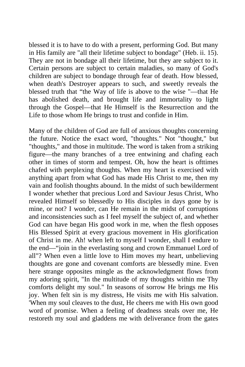blessed it is to have to do with a present, performing God. But many in His family are "all their lifetime subject to bondage" (Heb. ii. 15). They are not in bondage all their lifetime, but they are subject to it. Certain persons are subject to certain maladies, so many of God's children are subject to bondage through fear of death. How blessed, when death's Destroyer appears to such, and sweetly reveals the blessed truth that "the Way of life is above to the wise "—that He has abolished death, and brought life and immortality to light through the Gospel—that He Himself is the Resurrection and the Life to those whom He brings to trust and confide in Him.

Many of the children of God are full of anxious thoughts concerning the future. Notice the exact word, "thoughts." Not "thought," but "thoughts," and those in multitude. The word is taken from a striking figure—the many branches of a tree entwining and chafing each other in times of storm and tempest. Oh, how the heart is ofttimes chafed with perplexing thoughts. When my heart is exercised with anything apart from what God has made His Christ to me, then my vain and foolish thoughts abound. In the midst of such bewilderment I wonder whether that precious Lord and Saviour Jesus Christ, Who revealed Himself so blessedly to His disciples in days gone by is mine, or not? I wonder, can He remain in the midst of corruptions and inconsistencies such as I feel myself the subject of, and whether God can have began His good work in me, when the flesh opposes His Blessed Spirit at every gracious movement in His glorification of Christ in me. Ah! when left to myself I wonder, shall I endure to the end—"join in the everlasting song and crown Emmanuel Lord of all"? When even a little love to Him moves my heart, unbelieving thoughts are gone and covenant comforts are blessedly mine. Even here strange opposites mingle as the acknowledgment flows from my adoring spirit, "In the multitude of my thoughts within me Thy comforts delight my soul." In seasons of sorrow He brings me His joy. When felt sin is my distress, He visits me with His salvation. 'When my soul cleaves to the dust, He cheers me with His own good word of promise. When a feeling of deadness steals over me, He restoreth my soul and gladdens me with deliverance from the gates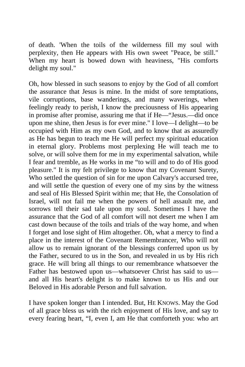of death. 'When the toils of the wilderness fill my soul with perplexity, then He appears with His own sweet "Peace, be still." When my heart is bowed down with heaviness, "His comforts delight my soul."

Oh, how blessed in such seasons to enjoy by the God of all comfort the assurance that Jesus is mine. In the midst of sore temptations, vile corruptions, base wanderings, and many waverings, when feelingly ready to perish, I know the preciousness of His appearing in promise after promise, assuring me that if He—"Jesus.—did once upon me shine, then Jesus is for ever mine." I love—I delight—to be occupied with Him as my own God, and to know that as assuredly as He has begun to teach me He will perfect my spiritual education in eternal glory. Problems most perplexing He will teach me to solve, or will solve them for me in my experimental salvation, while I fear and tremble, as He works in me "to will and to do of His good pleasure." It is my felt privilege to know that my Covenant Surety, Who settled the question of sin for me upon Calvary's accursed tree, and will settle the question of every one of my sins by the witness and seal of His Blessed Spirit within me; that He, the Consolation of Israel, will not fail me when the powers of hell assault me, and sorrows tell their sad tale upon my soul. Sometimes I have the assurance that the God of all comfort will not desert me when I am cast down because of the toils and trials of the way home, and when I forget and lose sight of Him altogether. Oh, what a mercy to find a place in the interest of the Covenant Remembrancer, Who will not allow us to remain ignorant of the blessings conferred upon us by the Father, secured to us in the Son, and revealed in us by His rich grace. He will bring all things to our remembrance whatsoever the Father has bestowed upon us—whatsoever Christ has said to us and all His heart's delight is to make known to us His and our Beloved in His adorable Person and full salvation.

I have spoken longer than I intended. But, HE KNOWS. May the God of all grace bless us with the rich enjoyment of His love, and say to every fearing heart, "I, even I, am He that comforteth you: who art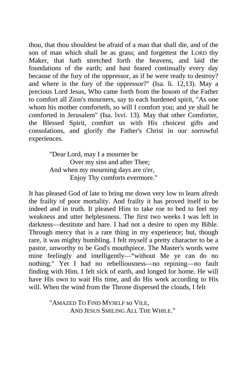thou, that thou shouldest be afraid of a man that shall die, and of the son of man which shall be as grass; and forgettest the LORD thy Maker, that hath stretched forth the heavens, and laid the foundations of the earth; and hast feared continually every day because of the fury of the oppressor, as if he were ready to destroy? and where is the fury of the oppressor?" (Isa. li. 12,13). May a precious Lord Jesus, Who came forth from the bosom of the Father to comfort all Zion's mourners, say to each burdened spirit, "As one whom his mother comforteth, so will I comfort you; and ye shall be comforted in Jerusalem" (Isa. lxvi. 13). May that other Comforter, the Blessed Spirit, comfort us with His choicest gifts and consolations, and glorify the Father's Christ in our sorrowful experiences.

> "Dear Lord, may I a mourner be Over my sins and after Thee; And when my mourning days are o'er, Enjoy Thy comforts evermore."

It has pleased God of late to bring me down very low to learn afresh the frailty of poor mortality. And frailty it has proved itself to be indeed and in truth. It pleased Him to take roe to bed to feel my weakness and utter helplessness. The first two weeks I was left in darkness—destitute and bare. I had not a desire to open my Bible. Through mercy that is a rare thing in my experience; but, though rare, it was mighty humbling. I felt myself a pretty character to be a pastor, unworthy to be God's mouthpiece. The Master's words were mine feelingly and intelligently—"without Me ye can do no nothing." Yet I had no rebelliousness—no repining—no fault finding with Him. I felt sick of earth, and longed for home. He will have His own to wait His time, and do His work according to His will. When the wind from the Throne dispersed the clouds, I felt

> "AMAZED TO FIND MYSELF so VILE, AND JESUS SMILING ALL THE WHILE."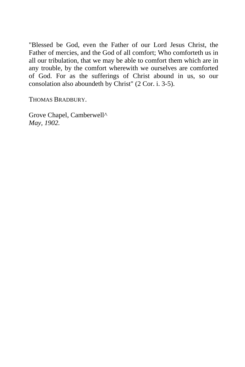"Blessed be God, even the Father of our Lord Jesus Christ, the Father of mercies, and the God of all comfort; Who comforteth us in all our tribulation, that we may be able to comfort them which are in any trouble, by the comfort wherewith we ourselves are comforted of God. For as the sufferings of Christ abound in us, so our consolation also aboundeth by Christ" (2 Cor. i. 3-5).

THOMAS BRADBURY.

Grove Chapel, Camberwell^ *May, 1902.*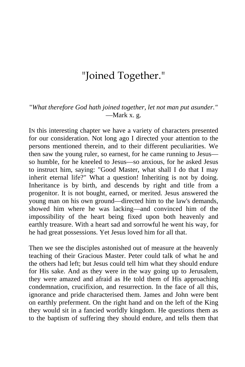# "Joined Together."

"*What therefore God hath joined together, let not man put asunder."* —Mark x. g.

IN this interesting chapter we have a variety of characters presented for our consideration. Not long ago I directed your attention to the persons mentioned therein, and to their different peculiarities. We then saw the young ruler, so earnest, for he came running to Jesus so humble, for he kneeled to Jesus—so anxious, for he asked Jesus to instruct him, saying: "Good Master, what shall I do that I may inherit eternal life?" What a question! Inheriting is not by doing. Inheritance is by birth, and descends by right and title from a progenitor. It is not bought, earned, or merited. Jesus answered the young man on his own ground—directed him to the law's demands, showed him where he was lacking—and convinced him of the impossibility of the heart being fixed upon both heavenly and earthly treasure. With a heart sad and sorrowful he went his way, for he had great possessions. Yet Jesus loved him for all that.

Then we see the disciples astonished out of measure at the heavenly teaching of their Gracious Master. Peter could talk of what he and the others had left; but Jesus could tell him what they should endure for His sake. And as they were in the way going up to Jerusalem, they were amazed and afraid as He told them of His approaching condemnation, crucifixion, and resurrection. In the face of all this, ignorance and pride characterised them. James and John were bent on earthly preferment. On the right hand and on the left of the King they would sit in a fancied worldly kingdom. He questions them as to the baptism of suffering they should endure, and tells them that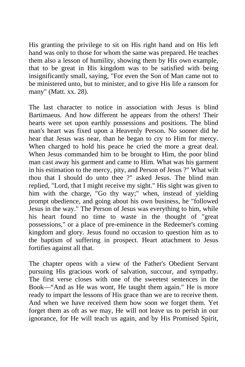His granting the privilege to sit on His right hand and on His left hand was only to those for whom the same was prepared. He teaches them also a lesson of humility, showing them by His own example, that to be great in His kingdom was to be satisfied with being insignificantly small, saying, "For even the Son of Man came not to be ministered unto, but to minister, and to give His life a ransom for many" (Matt. xx. 28).

The last character to notice in association with Jesus is blind Bartimaeus. And how different he appears from the others! Their hearts were set upon earthly possessions and positions. The blind man's heart was fixed upon a Heavenly Person. No sooner did he hear that Jesus was near, than he began to cry to Him for mercy. When charged to hold his peace he cried the more a great deal. When Jesus commanded him to be brought to Him, the poor blind man cast away his garment and came to Him. What was his garment in his estimation to the mercy, pity, and Person of Jesus ?" What wilt thou that I should do unto thee ?" asked Jesus. The blind man replied, "Lord, that I might receive my sight." His sight was given to him with the charge, "Go thy way;" when, instead of yielding prompt obedience, and going about his own business, he "followed Jesus in the way." The Person of Jesus was everything to him, while his heart found no time to waste in the thought of "great possessions," or a place of pre-eminence in the Redeemer's coming kingdom and glory. Jesus found no occasion to question him as to the baptism of suffering in prospect. Heart attachment to Jesus fortifies against all that.

The chapter opens with a view of the Father's Obedient Servant pursuing His gracious work of salvation, succour, and sympathy. The first verse closes with one of the sweetest sentences in the Book—"And as He was wont, He taught them again." He is more ready to impart the lessons of His grace than we are to receive them. And when we have received them how soon we forget them. Yet forget them as oft as we may, He will not leave us to perish in our ignorance, for He will teach us again, and by His Promised Spirit,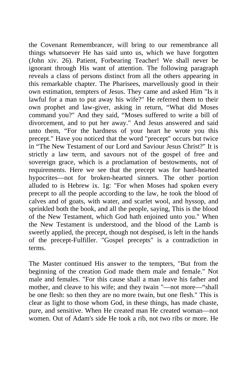the Covenant Remembrancer, will bring to our remembrance all things whatsoever He has said unto us, which we have forgotten (John xiv. 26). Patient, Forbearing Teacher! We shall never be ignorant through His want of attention. The following paragraph reveals a class of persons distinct from all the others appearing in this remarkable chapter. The Pharisees, marvellously good in their own estimation, tempters of Jesus. They came and asked Him "Is it lawful for a man to put away his wife?" He referred them to their own prophet and law-giver, asking in return, "What did Moses command you?" And they said, "Moses suffered to write a bill of divorcement, and to put her away." And Jesus answered and said unto them, "For the hardness of your heart he wrote you this precept." Have you noticed that the word "precept" occurs but twice in "The New Testament of our Lord and Saviour Jesus Christ?" It is strictly a law term, and savours not of the gospel of free and sovereign grace, which is a proclamation of bestowments, not of requirements. Here we see that the precept was for hard-hearted hypocrites—not for broken-hearted sinners. The other portion alluded to is Hebrew ix. 1g: "For when Moses had spoken every precept to all the people according to the law, he took the blood of calves and of goats, with water, and scarlet wool, and hyssop, and sprinkled both the book, and all the people, saying, This is the blood of the New Testament, which God hath enjoined unto you." When the New Testament is understood, and the blood of the Lamb is sweetly applied, the precept, though not despised, is left in the hands of the precept-Fulfiller. "Gospel precepts" is a contradiction in terms.

The Master continued His answer to the tempters, "But from the beginning of the creation God made them male and female." Not male and females. "For this cause shall a man leave his father and mother, and cleave to his wife; and they twain "—not more—"shall be one flesh: so then they are no more twain, but one flesh." This is clear as light to those whom God, in these things, has made chaste, pure, and sensitive. When He created man He created woman—not women. Out of Adam's side He took a rib, not two ribs or more. He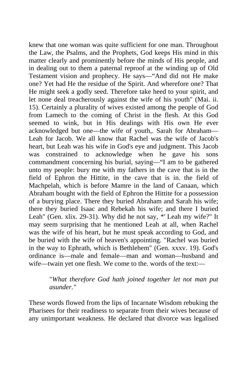knew that one woman was quite sufficient for one man. Throughout the Law, the Psalms, and the Prophets, God keeps His mind in this matter clearly and prominently before the minds of His people, and in dealing out to them a paternal reproof at the winding up of Old Testament vision and prophecy. He says—"And did not He make one? Yet had He the residue of the Spirit. And wherefore one? That He might seek a godly seed. Therefore take heed to your spirit, and let none deal treacherously against the wife of his youth" (Mai. ii. 15). Certainly a plurality of wives existed among the people of God from Lamech to the coming of Christ in the flesh. At this God seemed to wink, but in His dealings with His own He ever acknowledged but one—the wife of youth,. Sarah for Abraham— Leah for Jacob. We all know that Rachel was the wife of Jacob's heart, but Leah was his wife in God's eye and judgment. This Jacob was constrained to acknowledge when he gave his sons commandment concerning his burial, saying—"I am to be gathered unto my people: bury me with my fathers in the cave that is in the field of Ephron the Hittite, in the cave that is in. the field of Machpelah, which is before Mamre in the land of Canaan, which Abraham bought with the field of Ephron the Hittite for a possession of a burying place. There they buried Abraham and Sarah his wife; there they buried Isaac and Rebekah his wife; and there I buried Leah" (Gen. xlix. 29-31). Why did he not say, *\*'* Leah my wife?" It may seem surprising that he mentioned Leah at all, when Rachel was the wife of his heart, but he must speak according to God, and be buried with the wife of heaven's appointing. "Rachel was buried in the way to Ephrath, which is Bethlehem" (Gen. xxxv. 19). God's ordinance is—male and female—man and woman—husband and wife—twain yet one flesh. We come to the. words of the text:—

### "*What therefore God hath joined together let not man put asunder."*

These words flowed from the lips of Incarnate Wisdom rebuking the Pharisees for their readiness to separate from their wives because of any unimportant weakness. He declared that divorce was legalised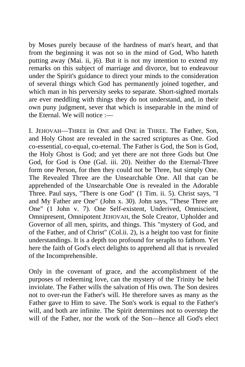by Moses purely because of the hardness of man's heart, and that from the beginning it was not so in the mind of God, Who hateth putting away (Mai. ii, j6). But it is not my intention to extend my remarks on this subject of marriage and divorce, but to endeavour under the Spirit's guidance to direct your minds to the consideration of several things which God has permanently joined together, and which man in his perversity seeks to separate. Short-sighted mortals are ever meddling with things they do not understand, and, in their own puny judgment, sever that which is inseparable in the mind of the Eternal. We will notice  $:=$ 

I. JEHOVAH—THREE in ONE and ONE in THREE. The Father, Son, and Holy Ghost are revealed in the sacred scriptures as One. God co-essential, co-equal, co-eternal. The Father is God, the Son is God, the Holy Ghost is God; and yet there are not three Gods but One God, for God is One (Gal. iii. 20). Neither do the Eternal-Three form one Person, for then they could not be Three, but simply One. The Revealed Three are the Unsearchable One. All that can be apprehended of the Unsearchable One is revealed in the Adorable Three. Paul says, "There is one God" (1 Tim. ii. 5). Christ says, "I and My Father are One" (John x. 30). John says, "These Three are One" (1 John v. 7). One Self-existent, Underived, Omniscient, Omnipresent, Omnipotent JEHOVAH, the Sole Creator, Upholder and Governor of all men, spirits, and things. This "mystery of God, and of the Father, and of Christ" (Col.ii. 2), is a height too vast for finite understandings. It is a depth too profound for seraphs to fathom. Yet here the faith of God's elect delights to apprehend all that is revealed of the Incomprehensible.

Only in the covenant of grace, and the accomplishment of the purposes of redeeming love, can the mystery of the Trinity be held inviolate. The Father wills the salvation of His own. The Son desires not to over-run the Father's will. He therefore saves as many as the Father gave to Him to save. The Son's work is equal to the Father's will, and both are infinite. The Spirit determines not to overstep the will of the Father, nor the work of the Son—hence all God's elect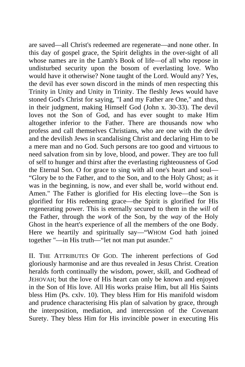are saved—all Christ's redeemed are regenerate—and none other. In this day of gospel grace, the Spirit delights in the over-sight of all whose names are in the Lamb's Book of life—of all who repose in undisturbed security upon the bosom of everlasting love. Who would have it otherwise? None taught of the Lord. Would any? Yes, the devil has ever sown discord in the minds of men respecting this Trinity in Unity and Unity in Trinity. The fleshly Jews would have stoned God's Christ for saying, "I and my Father are One," and thus, in their judgment, making Himself God (John x. 30-33). The devil loves not the Son of God, and has ever sought to make Him altogether inferior to the Father. There are thousands now who profess and call themselves Christians, who are one with the devil and the devilish Jews in scandalising Christ and declaring Him to be a mere man and no God. Such persons are too good and virtuous to need salvation from sin by love, blood, and power. They are too full of self to hunger and thirst after the everlasting righteousness of God the Eternal Son. O for grace to sing with all one's heart and soul— "Glory be to the Father, and to the Son, and to the Holy Ghost; as it was in the beginning, is now, and ever shall be, world without end. Amen." The Father is glorified for His electing love—the Son is glorified for His redeeming grace—the Spirit is glorified for His regenerating power. This is eternally secured to them in the *will* of the Father, through the *work* of the Son, by the *way* of the Holy Ghost in the heart's experience of all the members of the one Body. Here we heartily and spiritually say—"WHOM God hath joined together "—in His truth—"let not man put asunder."

II. THE ATTRIBUTES OF GOD. The inherent perfections of God gloriously harmonise and are thus revealed in Jesus Christ. Creation heralds forth continually the wisdom, power, skill, and Godhead of JEHOVAH; but the love of His heart can only be known and enjoyed in the Son of His love. All His works praise Him, but all His Saints bless Him (Ps. cxlv. 10). They bless Him for His manifold wisdom and prudence characterising His plan of salvation by grace, through the interposition, mediation, and intercession of the Covenant Surety. They bless Him for His invincible power in executing His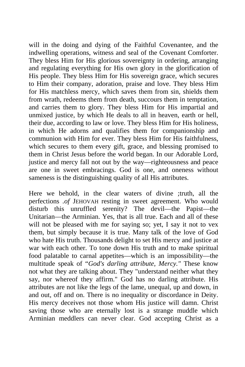will in the doing and dying of the Faithful Covenantee, and the indwelling operations, witness and seal of the Covenant Comforter. They bless Him for His glorious sovereignty in ordering, arranging and regulating everything for His own glory in the glorification of His people. They bless Him for His sovereign grace, which secures to Him their company, adoration, praise and love. They bless Him for His matchless mercy, which saves them from sin, shields them from wrath, redeems them from death, succours them in temptation, and carries them to glory. They bless Him for His impartial and unmixed justice, by which He deals to all in heaven, earth or hell, their due, according to law or love. They bless Him for His holiness, in which He adorns and qualifies them for companionship and communion with Him for ever. They bless Him for His faithfulness, which secures to them every gift, grace, and blessing promised to them in Christ Jesus before the world began. In our Adorable Lord, justice and mercy fall not out by the way—righteousness and peace are one in sweet embracings. God is one, and oneness without sameness is the distinguishing quality of all His attributes.

Here we behold, in the clear waters of divine ;truth, all the perfections *.of* JEHOVAH resting in sweet agreement. Who would disturb this unruffled serenity? The devil—the Papist—the Unitarian—the Arminian. Yes, that is all true. Each and all of these will not be pleased with me for saying so; yet, I say it not to vex them, but simply because it is true. Many talk of the love of God who hate His truth. Thousands delight to set His mercy and justice at war with each other. To tone down His truth and to make spiritual food palatable to carnal appetites—which is an impossibility—the multitude speak of "*God's darling attribute, Mercy."* These know not what they are talking about. They "understand neither what they say, nor whereof they affirm." God has no darling attribute. His attributes are not like the legs of the lame, unequal, up and down, in and out, off and on. There is no inequality or discordance in Deity. His mercy deceives not those whom His justice will damn. Christ saving those who are eternally lost is a strange muddle which Arminian meddlers can never clear. God accepting Christ as a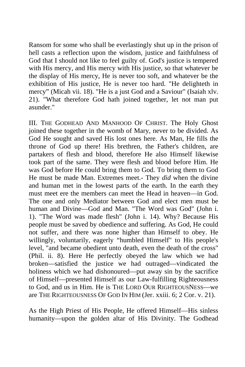Ransom for some who shall be everlastingly shut up in the prison of hell casts a reflection upon the wisdom, justice and faithfulness of God that I should not like to feel guilty of. God's justice is tempered with His mercy, and His mercy with His justice, so that whatever be the display of His mercy, He is never too soft, and whatever be the exhibition of His justice, He is never too hard. "He delighteth in mercy" (Micah vii. 18). "He is a just God and a Saviour" (Isaiah xlv. 21). "What therefore God hath joined together, let not man put asunder."

III. THE GODHEAD AND MANHOOD OF CHRIST. The Holy Ghost joined these together in the womb of Mary, never to be divided. As God He sought and saved His lost ones here. As Man, He fills the throne of God up there! His brethren, the Father's children, are partakers of flesh and blood, therefore He also Himself likewise took part of the same. They were flesh and blood before Him. He was God before He could bring them to God. To bring them to God He must be made Man. Extremes meet.- They *did* when the divine and human met in the lowest parts of the earth. In the earth they must meet ere the members can meet the Head in heaven—in God. The one and only Mediator between God and elect men must be human and Divine—God and Man. "The Word was God" (John i. 1). "The Word was made flesh" (John i. 14). Why? Because His people must be saved by obedience and suffering. As God, He could not suffer, and there was none higher than Himself to obey. He willingly, voluntarily, eagerly "humbled Himself" to His people's level, "and became obedient unto death, even the death of the cross" (Phil. ii. 8). Here He perfectly obeyed the law which we had broken—satisfied the justice we had outraged—vindicated the holiness which we had dishonoured—put away sin by the sacrifice of Himself—presented Himself as our Law-fulfilling Righteousness to God, and us in Him. He is THE LORD OUR RIGHTEOUSNESS—we are THE RIGHTEOUSNESS OF GOD IN HIM (Jer. xxiii. 6; 2 Cor. v. 21).

As the High Priest of His People, He offered Himself—His sinless humanity—upon the golden altar of His Divinity. The Godhead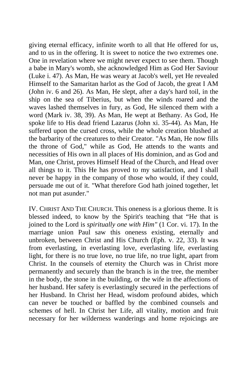giving eternal efficacy, infinite worth to all that He offered for us, and to us in the offering. It is sweet to notice the two extremes one. One in revelation where we might never expect to see them. Though a babe in Mary's womb, she acknowledged Him as God Her Saviour (Luke i. 47). As Man, He was weary at Jacob's well, yet He revealed Himself to the Samaritan harlot as the God of Jacob, the great I AM (John iv. 6 and 26). As Man, He slept, after a day's hard toil, in the ship on the sea of Tiberius, but when the winds roared and the waves lashed themselves in fury, as God, He silenced them with a word (Mark iv. 38, 39). As Man, He wept at Bethany. As God, He spoke life to His dead friend Lazarus (John xi. 35-44). As Man, He suffered upon the cursed cross, while the whole creation blushed at the barbarity of the creatures to their Creator. "As Man, He now fills the throne of God," while as God, He attends to the wants and necessities of His own in all places of His dominion, and as God and Man, one Christ, proves Himself Head of the Church, and Head over all things to it. This He has proved to my satisfaction, and I shall never be happy in the company of those who would, if they could, persuade me out of it. "What therefore God hath joined together, let not man put asunder."

IV. CHRIST AND THE CHURCH. This oneness is a glorious theme. It is blessed indeed, to know by the Spirit's teaching that "He that is joined to the Lord is *spiritually one with Him"* (1 Cor. vi. 17). In the marriage union Paul saw this oneness existing, eternally and unbroken, between Christ and His Church (Eph. v. 22, 33). It was from everlasting, in everlasting love, everlasting life, everlasting light, for there is no true love, no true life, no true light, apart from Christ. In the counsels of eternity the Church was in Christ more permanently and securely than the branch is in the tree, the member in the body, the stone in the building, or the wife in the affections of her husband. Her safety is everlastingly secured in the perfections of her Husband. In Christ her Head, wisdom profound abides, which can never be touched or baffled by the combined counsels and schemes of hell. In Christ her Life, all vitality, motion and fruit necessary for her wilderness wanderings and home rejoicings are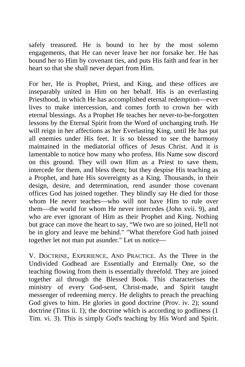safely treasured. He is bound to her by the most solemn engagements, that He can never leave her nor forsake her. He has bound her to Him by covenant ties, and puts His faith and fear in her heart so that she shall never depart from Him.

For her, He is Prophet, Priest, and King, and these offices are inseparably united in Him on her behalf. His is an everlasting Priesthood, in which He has accomplished eternal redemption—ever lives to make intercession, and comes forth to crown her with eternal blessings. As a Prophet He teaches her never-to-be-forgotten lessons by the Eternal Spirit from the Word of unchanging truth. He will reign in her affections as her Everlasting King, until He has put all enemies under His feet. It is so blessed to see the harmony maintained in the mediatorial offices of Jesus Christ. And it is lamentable to notice how many who profess. His Name sow discord on this ground. They will own Him as a Priest to save them, intercede for them, and bless them; but they despise His teaching as a Prophet, and hate His sovereignty as a King. Thousands, in their design, desire, and determination, rend asunder those covenant offices God has joined together. They blindly say He died for those whom He never teaches—who will not have Him to rule over them—the world for whom He never intercedes (John xvii. 9), and who are ever ignorant of Him as their Prophet and King. Nothing but grace can move the heart to say, "We two are so joined, He'll not be in glory and leave me behind." "What therefore God hath joined together let not man put asunder." Let us notice—

V. DOCTRINE, EXPERIENCE, AND PRACTICE. AS the Three in the Undivided Godhead are Essentially and Eternally One, so the teaching flowing from them is essentially threefold. They are joined together ail through the Blessed Book. This characterises the ministry of every God-sent, Christ-made, and Spirit taught messenger of redeeming mercy. He delights to preach the preaching God gives to him. He glories in good doctrine (Prov. iv. 2); sound doctrine (Titus ii. 1); the doctrine which is according to godliness (1) Tim. vi. 3). This is simply God's teaching by His Word and Spirit.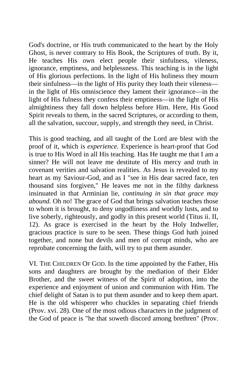God's doctrine, or His truth communicated to the heart by the Holy Ghost, is never contrary to His Book, the Scriptures of truth. By it, He teaches His own elect people their sinfulness, vileness, ignorance, emptiness, and helplessness. This teaching is in the light of His glorious perfections. In the light of His holiness they mourn their sinfulness—in the light of His purity they loath their vileness in the light of His omniscience they lament their ignorance—in the light of His fulness they confess their emptiness—in the light of His almightiness they fall down helpless before Him. Here, His Good Spirit reveals to them, in the sacred Scriptures, or according to them, all the salvation, succour, supply, and strength they need, in Christ.

This is good teaching, and all taught of the Lord are blest with the proof of it, which is *experience.* Experience is heart-proof that God is true to His Word in all His teaching. Has He taught me that I am a sinner? He will not leave me destitute of His mercy and truth in covenant verities and salvation realities. As Jesus is revealed to my heart as my Saviour-God, and as I "see in His dear sacred face, ten thousand sins forgiven," He leaves me not in the filthy darkness insinuated in that Arminian lie, *continuing in sin that grace may abound.* Oh no! The grace of God that brings salvation teaches those to whom it is brought, to deny ungodliness and worldly lusts, and to live soberly, righteously, and godly in this present world (Titus ii. II, 12). As grace is exercised in the heart by the Holy Indweller, gracious practice is sure to be seen. These things God hath joined together, and none but devils and men of corrupt minds, who are reprobate concerning the faith, will try to put them asunder.

VI. THE CHILDREN OF GOD. In the time appointed by the Father, His sons and daughters are brought by the mediation of their Elder Brother, and the sweet witness of the Spirit of adoption, into the experience and enjoyment of union and communion with Him. The chief delight of Satan is to put them asunder and to keep them apart. He is the old whisperer who chuckles in separating chief friends (Prov. xvi. 28). One of the most odious characters in the judgment of the God of peace is "he that soweth discord among brethren" (Prov.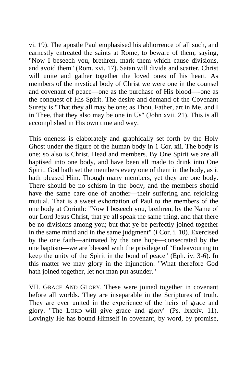vi. 19). The apostle Paul emphasised his abhorrence of all such, and earnestly entreated the saints at Rome, to beware of them, saying, "Now I beseech you, brethren, mark them which cause divisions, and avoid them" (Rom. xvi. 17). Satan will divide and scatter. Christ will unite and gather together the loved ones of his heart. As members of the mystical body of Christ we were one in the counsel and covenant of peace—one as the purchase of His blood—-one as the conquest of His Spirit. The desire and demand of the Covenant Surety is "That they all may be one; as Thou, Father, art in Me, and I in Thee, that they also may be one in Us" (John xvii. 21). This is all accomplished in His own time and way.

This oneness is elaborately and graphically set forth by the Holy Ghost under the figure of the human body in 1 Cor. xii. The body is one; so also is Christ, Head and members. By One Spirit we are all baptised into one body, and have been all made to drink into One Spirit. God hath set the members every one of them in the body, as it hath pleased Him. Though many members, yet they are one body. There should be no schism in the body, and the members should have the same care one of another—their suffering and rejoicing mutual. That is a sweet exhortation of Paul to the members of the one body at Corinth: "Now I beseech you, brethren, by the Name of our Lord Jesus Christ, that ye all speak the same thing, and that there be no divisions among you; but that ye be perfectly joined together in the same mind and in the same judgment" (i Cor. i. 10). Exercised by the one faith—animated by the one hope—consecrated by the one baptism—we are blessed with the privilege of "Endeavouring to keep the unity of the Spirit in the bond of peace" (Eph. iv. 3-6). In this matter we may glory in the injunction: "What therefore God hath joined together, let not man put asunder."

VII. GRACE AND GLORY. These were joined together in covenant before all worlds. They are inseparable in the Scriptures of truth. They are ever united in the experience of the heirs of grace and glory. "The LORD will give grace and glory" (Ps. lxxxiv. 11). Lovingly He has bound Himself in covenant, by word, by promise,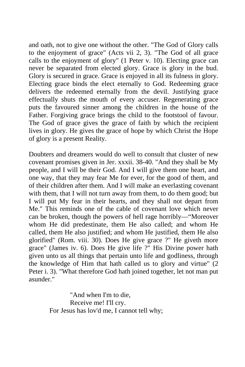and oath, not to give one without the other. "The God of Glory calls to the enjoyment of grace" (Acts vii 2, 3). "The God of all grace calls to the enjoyment of glory" (1 Peter v. 10). Electing grace can never be separated from elected glory. Grace is glory in the bud. Glory is secured in grace. Grace is enjoyed in all its fulness in glory. Electing grace binds the elect eternally to God. Redeeming grace delivers the redeemed eternally from the devil. Justifying grace effectually shuts the mouth of every accuser. Regenerating grace puts the favoured sinner among the children in the house of the Father. Forgiving grace brings the child to the footstool of favour. The God of grace gives the grace of faith by which the recipient lives in glory. He gives the grace of hope by which Christ the Hope of glory is a present Reality.

Doubters and dreamers would do well to consult that cluster of new covenant promises given in Jer. xxxii. 38-40. "And they shall be My people, and I will be their God. And I will give them one heart, and one way, that they may fear Me for ever, for the good of them, and of their children after them. And I will make an everlasting covenant with them, that I will not turn away from them, to do them good; but I will put My fear in their hearts, and they shall not depart from Me." This reminds one of the cable of covenant love which never can be broken, though the powers of hell rage horribly—"Moreover whom He did predestinate, them He also called; and whom He called, them He also justified; and whom He justified, them He also glorified" (Rom. viii. 30). Does He give grace ?" He giveth more grace" (James iv. 6). Does He give life ?" His Divine power hath given unto us all things that pertain unto life and godliness, through the knowledge of Him that hath called us to glory and virtue" (2 Peter i. 3). "What therefore God hath joined together, let not man put asunder."

> "And when I'm to die, Receive me! I'll cry. For Jesus has lov'd me, I cannot tell why;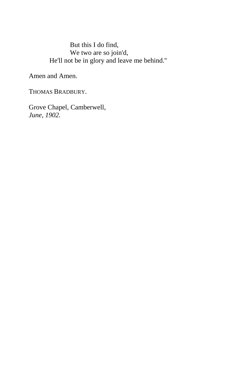### But this I do find, We two are so join'd, He'll not be in glory and leave me behind.''

Amen and Amen.

THOMAS BRADBURY.

Grove Chapel, Camberwell, *June, 1902.*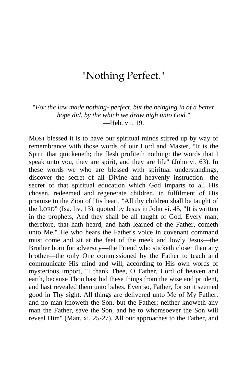# "Nothing Perfect."

"*For the law made nothing- perfect, but the bringing in of a better hope did, by the which we draw nigh unto God."* —Heb. vii. 19.

MOST blessed it is to have our spiritual minds stirred up by way of remembrance with those words of our Lord and Master, "It is the Spirit that quickeneth; the flesh profiteth nothing: the words that I speak unto you, they are spirit, and they are life" (John vi. 63). In these words we who are blessed with spiritual understandings, discover the secret of all Divine and heavenly instruction—the secret of that spiritual education which God imparts to all His chosen, redeemed and regenerate children, in fulfilment of His promise to the Zion of His heart, "All thy children shall be taught of the LORD" (Isa. liv. 13), quoted by Jesus in John vi. 45, "It is written in the prophets, And they shall be all taught of God. Every man, therefore, that hath heard, and hath learned of the Father, cometh unto Me." He who hears the Father's voice in covenant command must come and sit at the feet of the meek and lowly Jesus—the Brother born for adversity—the Friend who sticketh closer than any brother—the only One commissioned by the Father to teach and communicate His mind and will, according to His own words of mysterious import, "I thank Thee, O Father, Lord of heaven and earth, because Thou hast hid these things from the wise and prudent, and hast revealed them unto babes. Even so, Father, for so it seemed good in Thy sight. All things are delivered unto Me of My Father: and no man knoweth the Son, but the Father; neither knoweth any man the Father, save the Son, and he to whomsoever the Son will reveal Him" (Matt, xi. 25-27). All our approaches to the Father, and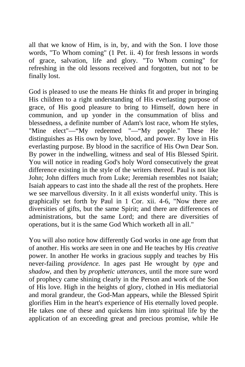all that we know of Him, is in, by, and with the Son. I love those words, "To Whom coming" (1 Pet. ii. 4) for fresh lessons in words of grace, salvation, life and glory. "To Whom coming" for refreshing in the old lessons received and forgotten, but not to be finally lost.

God is pleased to use the means He thinks fit and proper in bringing His children to a right understanding of His everlasting purpose of grace, of His good pleasure to bring to Himself, down here in communion, and up yonder in the consummation of bliss and blessedness, a definite number of Adam's lost race, whom He styles, "Mine elect"—"My redeemed "—"My people." These He distinguishes as His own by love, blood, and power. By love in His everlasting purpose. By blood in the sacrifice of His Own Dear Son. By power in the indwelling, witness and seal of His Blessed Spirit. You will notice in reading God's holy Word consecutively the great difference existing in the style of the writers thereof. Paul is not like John; John differs much from Luke; Jeremiah resembles not Isaiah; Isaiah appears to cast into the shade all the rest of the prophets. Here we see marvellous diversity. In it all exists wonderful unity. This is graphically set forth by Paul in 1 Cor. xii. 4-6, "Now there are diversities of gifts, but the same Spirit; and there are differences of administrations, but the same Lord; and there are diversities of operations, but it is the same God Which worketh all in all."

You will also notice how differently God works in one age from that of another. His works are seen in one and He teaches by His *creative*  power. In another He works in gracious supply and teaches by His never-failing *providence.* In ages past He wrought by *type* and *shadow,* and then by *prophetic utterances,* until the more sure word of prophecy came shining clearly in the Person and work of the Son of His love. High in the heights of glory, clothed in His mediatorial and moral grandeur, the God-Man appears, while the Blessed Spirit glorifies Him in the heart's experience of His eternally loved people. He takes one of these and quickens him into spiritual life by the application of an exceeding great and precious promise, while He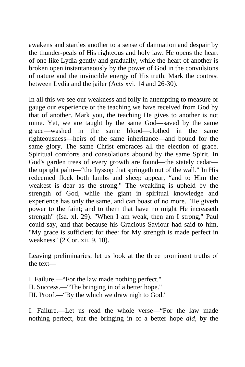awakens and startles another to a sense of damnation and despair by the thunder-peals of His righteous and holy law. He opens the heart of one like Lydia gently and gradually, while the heart of another is broken open instantaneously by the power of God in the convulsions of nature and the invincible energy of His truth. Mark the contrast between Lydia and the jailer (Acts xvi. 14 and 26-30).

In all this we see our weakness and folly in attempting to measure or gauge our experience or the teaching we have received from God by that of another. Mark you, the teaching He gives to another is not mine. Yet, we are taught by the same God—saved by the same grace—washed in the same blood—clothed in the same righteousness—heirs of the same inheritance—and bound for the same glory. The same Christ embraces all the election of grace. Spiritual comforts and consolations abound by the same Spirit. In God's garden trees of every growth are found—the stately cedar the upright palm—"the hyssop that springeth out of the wall." In His redeemed flock both lambs and sheep appear, "and to Him the weakest is dear as the strong." The weakling is upheld by the strength of God, while the giant in spiritual knowledge and experience has only the same, and can boast of no more. "He giveth power to the faint; and to them that have no might He increaseth strength" (Isa. xl. 29). "When I am weak, then am I strong," Paul could say, and that because his Gracious Saviour had said to him, "My grace is sufficient for thee: for My strength is made perfect in weakness" (2 Cor. xii. 9, 10).

Leaving preliminaries, let us look at the three prominent truths of the text—

I. Failure.—"For the law made nothing perfect." II. Success.—"The bringing in of a better hope." III. Proof.—"By the which we draw nigh to God."

I. Failure.—Let us read the whole verse—"For the law made nothing perfect, but the bringing in of a better hope *did,* by the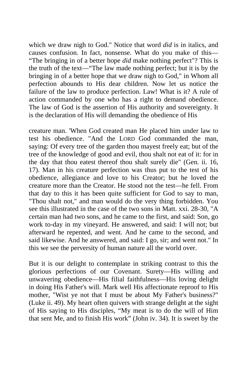which we draw nigh to God." Notice that word *did* is in italics, and causes confusion. In fact, nonsense. What do you make of this— "The bringing in of a better hope *did* make nothing perfect"? This is the truth of the text—"The law made nothing perfect; but it is by the bringing in of a better hope that we draw nigh to God," in Whom all perfection abounds to His dear children. Now let us notice the failure of the law to produce perfection. Law! What is it? A rule of action commanded by one who has a right to demand obedience. The law of God is the assertion of His authority and sovereignty. It is the declaration of His will demanding the obedience of His

creature man. 'When God created man He placed him under law to test his obedience. "And the LORD God commanded the man, saying: Of every tree of the garden thou mayest freely eat; but of the tree of the knowledge of good and evil, thou shalt not eat of it: for in the day that thou eatest thereof thou shalt surely die" (Gen. ii. 16, 17). Man in his creature perfection was thus put to the test of his obedience, allegiance and love to his Creator; but he loved the creature more than the Creator. He stood not the test—he fell. From that day to this it has been quite sufficient for God to say to man, "Thou shalt not," and man would do the very thing forbidden. You see this illustrated in the case of the two sons in Matt. xxi. 28-30, "A certain man had two sons, and he came to the first, and said: Son, go work to-day in my vineyard. He answered, and said: I will not; but afterward he repented, and went. And he came to the second, and said likewise. And he answered, and said: I go, sir; and went not." In this we see the perversity of human nature all the world over.

But it is our delight to contemplate in striking contrast to this the glorious perfections of our Covenant. Surety—His willing and unwavering obedience—His filial faithfulness—His loving delight in doing His Father's will. Mark well His affectionate reproof to His mother, "Wist ye not that I must be about My Father's business?" (Luke ii. 49). My heart often quivers with strange delight at the sight of His saying to His disciples, "My meat is to do the will of Him that sent Me, and to finish His work" (John iv. 34). It is sweet by the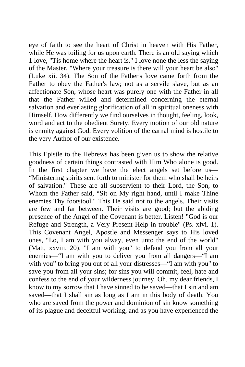eye of faith to see the heart of Christ in heaven with His Father, while He was toiling for us upon earth. There is an old saying which 1 love, "Tis home where the heart is." I love none the less the saying of the Master, "Where your treasure is there will your heart be also" (Luke xii. 34). The Son of the Father's love came forth from the Father to obey the Father's law; not as a servile slave, but as an affectionate Son, whose heart was purely one with the Father in all that the Father willed and determined concerning the eternal salvation and everlasting glorification of all in spiritual oneness with Himself. How differently we find ourselves in thought, feeling, look, word and act to the obedient Surety. Every motion of our old nature is enmity against God. Every volition of the carnal mind is hostile to the very Author of our existence.

This Epistle to the Hebrews has been given us to show the relative goodness of certain things contrasted with Him Who alone is good. In the first chapter we have the elect angels set before us— "Ministering spirits sent forth to minister for them who shall be heirs of salvation." These are all subservient to their Lord, the Son, to Whom the Father said, "Sit on My right hand, until I make Thine enemies Thy footstool." This He said not to the angels. Their visits are few and far between. Their visits are good; but the abiding presence of the Angel of the Covenant is better. Listen! "God is our Refuge and Strength, a Very Present Help in trouble" (Ps. xlvi. 1). This Covenant Angel, Apostle and Messenger says to His loved ones, "Lo, I am with you alway, even unto the end of the world" (Matt, xxviii. 20). "I am with you" to defend you from all your enemies—"I am with you to deliver you from all dangers—"I am with you" to bring you out of all your distresses—"I am with you" to save you from all your sins; for sins you will commit, feel, hate and confess to the end of your wilderness journey. Oh, my dear friends, I know to my sorrow that I have sinned to be saved—that I sin and am saved—that I shall sin as long as I am in this body of death. You who are saved from the power and dominion of sin know something of its plague and deceitful working, and as you have experienced the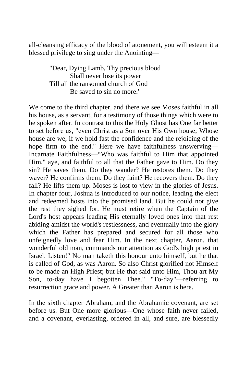all-cleansing efficacy of the blood of atonement, you will esteem it a blessed privilege to sing under the Anointing—

> "Dear, Dying Lamb, Thy precious blood Shall never lose its power Till all the ransomed church of God Be saved to sin no more.'

We come to the third chapter, and there we see Moses faithful in all his house, as a servant, for a testimony of those things which were to be spoken after. In contrast to this the Holy Ghost has One far better to set before us, "even Christ as a Son over His Own house; Whose house are we, if we hold fast the confidence and the rejoicing of the hope firm to the end." Here we have faithfulness unswerving— Incarnate Faithfulness—"Who was faithful to Him that appointed Him," aye, and faithful to all that the Father gave to Him. Do they sin? He saves them. Do they wander? He restores them. Do they waver? He confirms them. Do they faint? He recovers them. Do they fall? He lifts them up. Moses is lost to view in the glories of Jesus. In chapter four, Joshua is introduced to our notice, leading the elect and redeemed hosts into the promised land. But he could not give the rest they sighed for. He must retire when the Captain of the Lord's host appears leading His eternally loved ones into that rest abiding amidst the world's restlessness, and eventually into the glory which the Father has prepared and secured for all those who unfeignedly love and fear Him. In the next chapter, Aaron, that wonderful old man, commands our attention as God's high priest in Israel. Listen!" No man taketh this honour unto himself, but he that is called of God, as was Aaron. So also Christ glorified not Himself to be made an High Priest; but He that said unto Him, Thou art My Son, to-day have I begotten Thee." "To-day"—referring to resurrection grace and power. A Greater than Aaron is here.

In the sixth chapter Abraham, and the Abrahamic covenant, are set before us. But One more glorious—One whose faith never failed, and a covenant, everlasting, ordered in all, and sure, are blessedly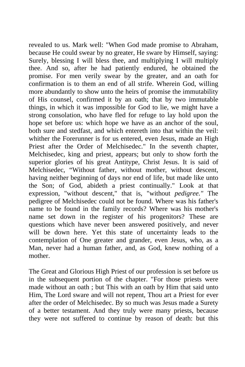revealed to us. Mark well: "When God made promise to Abraham, because He could swear by no greater, He sware by Himself, saying: Surely, blessing I will bless thee, and multiplying I will multiply thee. And so, after he had patiently endured, he obtained the promise. For men verily swear by the greater, and an oath for confirmation is to them an end of all strife. Wherein God, willing more abundantly to show unto the heirs of promise the immutability of His counsel, confirmed it by an oath; that by two immutable things, in which it was impossible for God to lie, we might have a strong consolation, who have fled for refuge to lay hold upon the hope set before us: which hope we have as an anchor of the soul, both sure and stedfast, and which entereth into that within the veil: whither the Forerunner is for us entered, even Jesus, made an High Priest after the Order of Melchisedec." In the seventh chapter, Melchisedec, king and priest, appears; but only to show forth the superior glories of his great Antitype, Christ Jesus. It is said of Melchisedec, "Without father, without mother, without descent, having neither beginning of days nor end of life, but made like unto the Son; of God, abideth a priest continually." Look at that expression, "without descent," that is, "without *pedigree."* The pedigree of Melchisedec could not be found. Where was his father's name to be found in the family records? Where was his mother's name set down in the register of his progenitors? These are questions which have never been answered positively, and never will be down here. Yet this state of uncertainty leads to the contemplation of One greater and grander, even Jesus, who, as a Man, never had a human father, and, as God, knew nothing of a mother.

The Great and Glorious High Priest of our profession is set before us in the subsequent portion of the chapter. "For those priests were made without an oath ; but This with an oath by Him that said unto Him, The Lord sware and will not repent, Thou art a Priest for ever after the order of Melchisedec. By so much was Jesus made a Surety of a better testament. And they truly were many priests, because they were not suffered to continue by reason of death: but this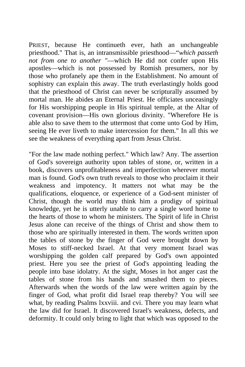PRIEST, because He continueth ever, hath an unchangeable priesthood." That is, an intransmissible priesthood—"*which passeth not from one to another "*—which He did not confer upon His apostles—which is not possessed by Romish presumers, nor by those who profanely ape them in the Establishment. No amount of sophistry can explain this away. The truth everlastingly holds good that the priesthood of Christ can never be scripturally assumed by mortal man. He abides an Eternal Priest. He officiates unceasingly for His worshipping people in His spiritual temple, at the Altar of covenant provision—His own glorious divinity. "Wherefore He is able also to save them to the uttermost that come unto God by Him, seeing He ever liveth to make intercession for them." In all this we see the weakness of everything apart from Jesus Christ.

"For the law made nothing perfect." Which law? Any. The assertion of God's sovereign authority upon tables of stone, or, written in a book, discovers unprofitableness and imperfection wherever mortal man is found. God's own truth reveals to those who proclaim it their weakness and impotency. It matters not what may be the qualifications, eloquence, or experience of a God-sent minister of Christ, though the world may think him a prodigy of spiritual knowledge, yet he is utterly unable to carry a single word home to the hearts of those to whom he ministers. The Spirit of life in Christ Jesus alone can receive of the things of Christ and show them to those who are spiritually interested in them. The words written upon the tables of stone by the finger of God were brought down by Moses to stiff-necked Israel. At that very moment Israel was worshipping the golden calf prepared by God's own appointed priest. Here you see the priest of God's appointing leading the people into base idolatry. At the sight, Moses in hot anger cast the tables of stone from his hands and smashed them to pieces. Afterwards when the words of the law were written again by the finger of God, what profit did Israel reap thereby? You will see what, by reading Psalms lxxviii. and cvi. There you may learn what the law did for Israel. It discovered Israel's weakness, defects, and deformity. It could only bring to light that which was opposed to the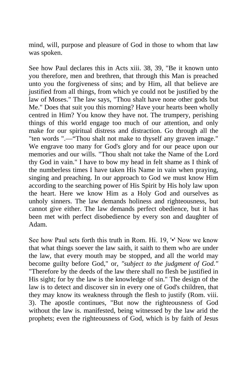mind, will, purpose and pleasure of God in those to whom that law was spoken.

See how Paul declares this in Acts xiii. 38, 39, "Be it known unto you therefore, men and brethren, that through this Man is preached unto you the forgiveness of sins; and by Him, all that believe are justified from all things, from which ye could not be justified by the law of Moses." The law says, "Thou shalt have none other gods but Me." Does that suit you this morning? Have your hearts been wholly centred in Him? You know they have not. The trumpery, perishing things of this world engage too much of our attention, and only make for our spiritual distress and distraction. Go through all the "ten words ".—"Thou shalt not make to thyself any graven image." We engrave too many for God's glory and for our peace upon our memories and our wills. "Thou shalt not take the Name of the Lord thy God in vain." I have to bow my head in felt shame as I think of the numberless times I have taken His Name in vain when praying, singing and preaching. In our approach to God we must know Him according to the searching power of His Spirit by His holy law upon the heart. Here we know Him as a Holy God and ourselves as unholy sinners. The law demands holiness and righteousness, but cannot give either. The law demands perfect obedience, but it has been met with perfect disobedience by every son and daughter of Adam.

See how Paul sets forth this truth in Rom. Hi. 19, '•' Now we know that what things soever the law saith, it saith to them who are under the law, that every mouth may be stopped, and all the world may become guilty before God," or, *"subject to the judgment of God."*  "Therefore by the deeds of the law there shall no flesh be justified in His sight; for by the law is the knowledge of sin." The design of the law is to detect and discover sin in every one of God's children, that they may know its weakness through the flesh to justify (Rom. viii. 3). The apostle continues, "But now the righteousness of God without the law is. manifested, being witnessed by the law arid the prophets; even the righteousness of God, which is by faith of Jesus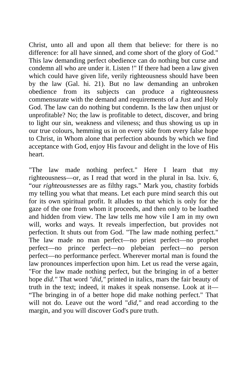Christ, unto all and upon all them that believe: for there is no difference: for all have sinned, and come short of the glory of God." This law demanding perfect obedience can do nothing but curse and condemn all who are under it. Listen !" If there had been a law given which could have given life, verily righteousness should have been by the law (Gal. hi. 21). But no law demanding an unbroken obedience from its subjects can produce a righteousness commensurate with the demand and requirements of a Just and Holy God. The law can do nothing but condemn. Is the law then unjust or unprofitable? No; the law is profitable to detect, discover, and bring to light our sin, weakness and vileness; and thus showing us up in our true colours, hemming us in on every side from every false hope to Christ, in Whom alone that perfection abounds by which we find acceptance with God, enjoy His favour and delight in the love of His heart.

"The law made nothing perfect." Here I learn that my righteousness—or, as I read that word in the plural in Isa. lxiv. 6, "our *righteousnesses* are as filthy rags." Mark you, chastity forbids my telling you what that means. Let each pure mind search this out for its own spiritual profit. It alludes to that which is only for the gaze of the one from whom it proceeds, and then only to be loathed and hidden from view. The law tells me how vile I am in my own will, works and ways. It reveals imperfection, but provides not perfection. It shuts out from God. "The law made nothing perfect." The law made no man perfect—no priest perfect—no prophet perfect—no prince perfect—no plebeian perfect—no person perfect—no performance perfect. Wherever mortal man is found the law pronounces imperfection upon him. Let us read the verse again, "For the law made nothing perfect, but the bringing in of a better hope *did."* That word *"did,"* printed in italics, mars the fair beauty of truth in the text; indeed, it makes it speak nonsense. Look at it— "The bringing in of a better hope did make nothing perfect." That will not do. Leave out the word "*did,"* and read according to the margin, and you will discover God's pure truth.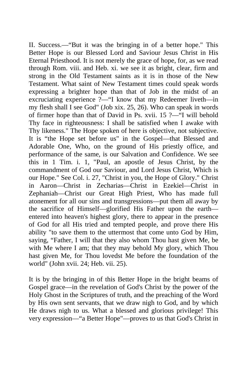II. Success.—"But it was the bringing in of a better hope." This Better Hope is our Blessed Lord and Saviour Jesus Christ in His Eternal Priesthood. It is not merely the grace of hope, for, as we read through Rom. viii. and Heb. xi. we see it as bright, clear, firm and strong in the Old Testament saints as it is in those of the New Testament. What saint of New Testament times could speak words expressing a brighter hope than that of Job in the midst of an excruciating experience ?—"I know that my Redeemer liveth—in my flesh shall I see God" (Job xix. 25, 26). Who can speak in words of firmer hope than that of David in Ps. xvii. 15 ?—"I will behold Thy face in righteousness: I shall be satisfied when I awake with Thy likeness." The Hope spoken of here is objective, not subjective. It is "the Hope set before us" in the Gospel—that Blessed and Adorable One, Who, on the ground of His priestly office, and performance of the same, is our Salvation and Confidence. We see this in 1 Tim. i. 1, "Paul, an apostle of Jesus Christ, by the commandment of God our Saviour, and Lord Jesus Christ, Which is our Hope." See Col. i. 27, "Christ in you, the Hope of Glory." Christ in Aaron—Christ in Zecharias—Christ in Ezekiel—Christ in Zephaniah—Christ our Great High Priest, Who has made full atonement for all our sins and transgressions—put them all away by the sacrifice of Himself—glorified His Father upon the earth entered into heaven's highest glory, there to appear in the presence of God for all His tried and tempted people, and prove there His ability "to save them to the uttermost that come unto God by Him, saying, "Father, I will that they also whom Thou hast given Me, be with Me where I am; that they may behold My glory, which Thou hast given Me, for Thou lovedst Me before the foundation of the world" (John xvii. 24; Heb. vii. 25).

It is by the bringing in of this Better Hope in the bright beams of Gospel grace—in the revelation of God's Christ by the power of the Holy Ghost in the Scriptures of truth, and the preaching of the Word by His own sent servants, that we draw nigh to God, and by which He draws nigh to us. What a blessed and glorious privilege! This very expression—"a Better Hope"—proves to us that God's Christ in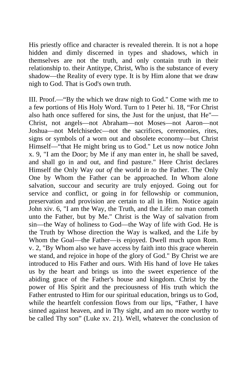His priestly office and character is revealed therein. It is not a hope hidden and dimly discerned in types and shadows, which in themselves are not the truth, and only contain truth in their relationship to. their Antitype, Christ, Who is the substance of every shadow—the Reality of every type. It is by Him alone that we draw nigh to God. That is God's own truth.

III. Proof.—"By the which we draw nigh to God." Come with me to a few portions of His Holy Word. Turn to 1 Peter hi. 18, "For Christ also hath once suffered for sins, the Just for the unjust, that He"— Christ, not angels—not Abraham—not Moses—not Aaron—not Joshua—not Melchisedec—not the sacrifices, ceremonies, rites, signs or symbols of a worn out and obsolete economy—but Christ Himself—"that He might bring us to God." Let us now notice John x. 9, "I am the Door; by Me if any man enter in, he shall be saved, and shall go in and out, and find pasture." Here Christ declares Himself the Only Way *out of* the world *in to* the Father. The Only One by Whom the Father can be approached. In Whom alone salvation, succour and security are truly enjoyed. Going out for service and conflict, or going in for fellowship or communion, preservation and provision are certain to all in Him. Notice again John xiv. 6, "I am the Way, the Truth, and the Life: no man cometh unto the Father, but by Me." Christ is the Way of salvation from sin—the Way of holiness to God—the Way of life with God. He is the Truth by Whose direction the Way is walked, and the Life by Whom the Goal—the Father—is enjoyed. Dwell much upon Rom. v. 2, "By Whom also we have access by faith into this grace wherein we stand, and rejoice in hope of the glory of God." By Christ we are introduced to His Father and ours. With His hand of love He takes us by the heart and brings us into the sweet experience of the abiding grace of the Father's house and kingdom. Christ by the power of His Spirit and the preciousness of His truth which the Father entrusted to Him for our spiritual education, brings us to God, while the heartfelt confession flows from our lips, "Father, I have sinned against heaven, and in Thy sight, and am no more worthy to be called Thy son" (Luke xv. 21). Well, whatever the conclusion of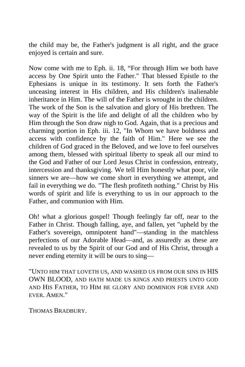the child may be, the Father's judgment is all right, and the grace enjoyed is certain and sure.

Now come with me to Eph. ii. 18, "For through Him we both have access by One Spirit unto the Father." That blessed Epistle to the Ephesians is unique in its testimony. It sets forth the Father's unceasing interest in His children, and His children's inalienable inheritance in Him. The will of the Father is wrought in the children. The work of the Son is the salvation and glory of His brethren. The way of the Spirit is the life and delight of all the children who by Him through the Son draw nigh to God. Again, that is a precious and charming portion in Eph. iii. 12, "In Whom we have boldness and access with confidence by the faith of Him." Here we see the children of God graced in the Beloved, and we love to feel ourselves among them, blessed with spiritual liberty to speak all our mind to the God and Father of our Lord Jesus Christ in confession, entreaty, intercession and thanksgiving. We tell Him honestly what poor, vile sinners we are—how we come short in everything we attempt, and fail in everything we do. "The flesh profiteth nothing." Christ by His words of spirit and life is everything to us in our approach to the Father, and communion with Him.

Oh! what a glorious gospel! Though feelingly far off, near to the Father in Christ. Though falling, aye, and fallen, yet "upheld by the Father's sovereign, omnipotent hand"—standing in the matchless perfections of our Adorable Head—and, as assuredly as these are revealed to us by the Spirit of our God and of His Christ, through a never ending eternity it will be ours to sing—

"UNTO HIM THAT LOVETH US, AND WASHED US FROM OUR SINS IN HIS OWN BLOOD, AND HATH MADE US KINGS AND PRIESTS UNTO GOD AND HIS FATHER, TO HIM BE GLORY AND DOMINION FOR EVER AND EVER. AMEN."

THOMAS BRADBURY.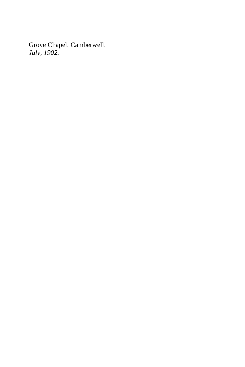Grove Chapel, Camberwell, *July, 1902.*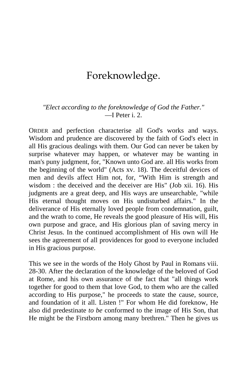# Foreknowledge.

#### *"Elect according to the foreknowledge of God the Father."* —I Peter i. 2.

ORDER and perfection characterise all God's works and ways. Wisdom and prudence are discovered by the faith of God's elect in all His gracious dealings with them. Our God can never be taken by surprise whatever may happen, or whatever may be wanting in man's puny judgment, for, "Known unto God are. all His works from the beginning of the world" (Acts xv. 18). The deceitful devices of men and devils affect Him not, for, "With Him is strength and wisdom : the deceived and the deceiver are His" (Job xii. 16). His judgments are a great deep, and His ways are unsearchable, "while His eternal thought moves on His undisturbed affairs." In the deliverance of His eternally loved people from condemnation, guilt, and the wrath to come, He reveals the good pleasure of His will, His own purpose and grace, and His glorious plan of saving mercy in Christ Jesus. In the continued accomplishment of His own will He sees the agreement of all providences for good to everyone included in His gracious purpose.

This we see in the words of the Holy Ghost by Paul in Romans viii. 28-30. After the declaration of the knowledge of the beloved of God at Rome, and his own assurance of the fact that "all things work together for good to them that love God, to them who are the called according to His purpose," he proceeds to state the cause, source, and foundation of it all. Listen !" For whom He did foreknow, He also did predestinate *to be* conformed to the image of His Son, that He might be the Firstborn among many brethren." Then he gives us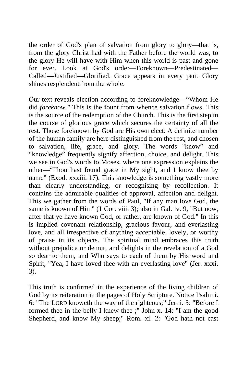the order of God's plan of salvation from glory to glory—that is, from the glory Christ had with the Father before the world was, to the glory He will have with Him when this world is past and gone for ever. Look at God's order—Foreknown—Predestinated— Called—Justified—Glorified. Grace appears in every part. Glory shines resplendent from the whole.

Our text reveals election according to foreknowledge—"Whom He did *foreknow."* This is the fount from whence salvation flows. This is the source of the redemption of the Church. This is the first step in the course of glorious grace which secures the certainty of all the rest. Those foreknown by God are His own elect. A definite number of the human family are here distinguished from the rest, and chosen to salvation, life, grace, and glory. The words "know" and "knowledge" frequently signify affection, choice, and delight. This we see in God's words to Moses, where one expression explains the other—"Thou hast found grace in My sight, and I know thee by name" (Exod. xxxiii. 17). This knowledge is something vastly more than clearly understanding, or recognising by recollection. It contains the admirable qualities of approval, affection and delight. This we gather from the words of Paul, "If any man love God, the same is known of Him" (1 Cor. viii. 3); also in Gal. iv. 9, "But now, after that ye have known God, or rather, are known of God." In this is implied covenant relationship, gracious favour, and everlasting love, and all irrespective of anything acceptable, lovely, or worthy of praise in its objects. The spiritual mind embraces this truth without prejudice or demur, and delights in the revelation of a God so dear to them, and Who says to each of them by His word and Spirit, "Yea, I have loved thee with an everlasting love" (Jer. xxxi. 3).

This truth is confirmed in the experience of the living children of God by its reiteration in the pages of Holy Scripture. Notice Psalm i. 6: "The LORD knoweth the way of the righteous;" Jer. i. 5: "Before I formed thee in the belly I knew thee ;" John x. 14: "I am the good Shepherd, and know My sheep;" Rom. xi. 2: "God hath not cast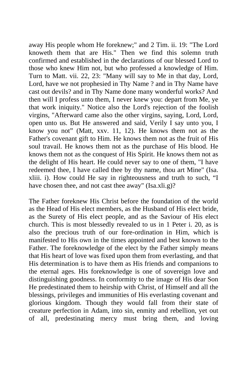away His people whom He foreknew;" and 2 Tim. ii. 19: "The Lord knoweth them that are His." Then we find this solemn truth confirmed and established in the declarations of our blessed Lord to those who knew Him not, but who professed a knowledge of Him. Turn to Matt. vii. 22, 23: "Many will say to Me in that day, Lord, Lord, have we not prophesied in Thy Name ? and in Thy Name have cast out devils? and in Thy Name done many wonderful works? And then will I profess unto them, I never knew you: depart from Me, ye that work iniquity." Notice also the Lord's rejection of the foolish virgins, "Afterward came also the other virgins, saying, Lord, Lord, open unto us. But He answered and said, Verily I say unto you, I know you not" (Matt, xxv. 11, 12). He knows them not as the Father's covenant gift to Him. He knows them not as the fruit of His soul travail. He knows them not as the purchase of His blood. He knows them not as the conquest of His Spirit. He knows them not as the delight of His heart. He could never say to one of them, "I have redeemed thee, I have called thee by thy name, thou art Mine" (Isa. xliii. i). How could He say in righteousness and truth to such, "I have chosen thee, and not cast thee away" (Isa.xli.g)?

The Father foreknew His Christ before the foundation of the world as the Head of His elect members, as the Husband of His elect bride, as the Surety of His elect people, and as the Saviour of His elect church. This is most blessedly revealed to us in 1 Peter i. 20, as is also the precious truth of our fore-ordination in Him, which is manifested to His own in the times appointed and best known to the Father. The foreknowledge of the elect by the Father simply means that His heart of love was fixed upon them from everlasting, and that His determination is to have them as His friends and companions to the eternal ages. His foreknowledge is one of sovereign love and distinguishing goodness. In conformity to the image of His dear Son He predestinated them to heirship with Christ, of Himself and all the blessings, privileges and immunities of His everlasting covenant and glorious kingdom. Though they would fall from their state of creature perfection in Adam, into sin, enmity and rebellion, yet out of all, predestinating mercy must bring them, and loving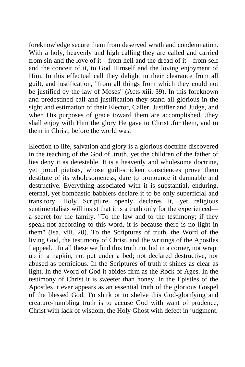foreknowledge secure them from deserved wrath and condemnation. With a holy, heavenly and high calling they are called and carried from sin and the love of it—from hell and the dread of it—from self and the conceit of it, to God Himself and the loving enjoyment of Him. In this effectual call they delight in their clearance from all guilt, and justification, "from all things from which they could not be justified by the law of Moses" (Acts xiii. 39). In this foreknown and predestined call and justification they stand all glorious in the sight and estimation of their Elector, Caller, Justifier and Judge, and when His purposes of grace toward them are accomplished, .they shall enjoy with Him the glory He gave to Christ .for them, and to them in Christ, before the world was.

Election to life, salvation and glory is a glorious doctrine discovered in the teaching of the God of .truth, yet the children of the father of lies deny it as detestable. It is a heavenly and wholesome doctrine, yet proud pietists, whose guilt-stricken consciences prove them destitute of its wholesomeness, dare to pronounce it damnable and destructive. Everything associated with it is substantial, enduring, eternal, yet bombastic babblers declare it to be only superficial and transitory. Holy Scripture openly declares it, yet religious sentimentalists will insist that it is a truth only for the experienced a secret for the family. "To the law and to the testimony; if they speak not according to this word, it is because there is no light in them" (Isa. viii. 20). To the Scriptures of truth, the Word of the living God, the testimony of Christ, and the writings of the Apostles I appeal. . In all these we find this truth not hid in a corner, not wrapt up in a napkin, not put under a bed; not declared destructive, nor abused as pernicious. In the Scriptures of truth it shines as clear as light. In the Word of God it abides firm as the Rock of Ages. In the testimony of Christ it is sweeter than honey. In the Epistles of the Apostles it ever appears as an essential truth of the glorious Gospel of the blessed God. To shirk or to shelve this God-glorifying and creature-humbling truth is to accuse God with want of prudence, Christ with lack of wisdom, the Holy Ghost with defect in judgment.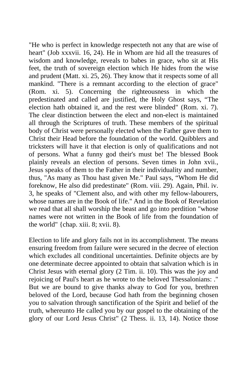"He who is perfect in knowledge respecteth not any that are wise of heart" (Job xxxvii. 16, 24). He in Whom are hid all the treasures of wisdom and knowledge, reveals to babes in grace, who sit at His feet, the truth of sovereign election which He hides from the wise and prudent (Matt. xi. 25, 26). They know that it respects some of all mankind. "There is a remnant according to the election of grace" (Rom. xi. 5). Concerning the righteousness in which the predestinated and called are justified, the Holy Ghost says, "The election hath obtained it, and the rest were blinded" (Rom. xi. 7). The clear distinction between the elect and non-elect is maintained all through the Scriptures of truth. These members of the spiritual body of Christ were personally elected when the Father gave them to Christ their Head before the foundation of the world. Quibblers and tricksters will have it that election is only of qualifications and not of persons. What a funny god their's must be! The blessed Book plainly reveals an election of persons. Seven times in John xvii., Jesus speaks of them to the Father in their individuality and number, thus, "As many as Thou hast given Me." Paul says, "Whom He did foreknow, He also did predestinate" (Rom. viii. 29). Again, Phil. iv. 3, he speaks of "Clement also, and with other my fellow-labourers, whose names are in the Book of life.'' And in the Book of Revelation we read that all shall worship the beast and go into perdition "whose names were not written in the Book of life from the foundation of the world" {chap. xiii. 8; xvii. 8).

Election to life and glory fails not in its accomplishment. The means ensuring freedom from failure were secured in the decree of election which excludes all conditional uncertainties. Definite objects are by one determinate decree appointed to obtain that salvation which is in Christ Jesus with eternal glory (2 Tim. ii. 10). This was the joy and rejoicing of Paul's heart as he wrote to the beloved Thessalonians: ." But we are bound to give thanks alway to God for you, brethren beloved of the Lord, because God hath from the beginning chosen you to salvation through sanctification of the Spirit and belief of the truth, whereunto He called you by our gospel to the obtaining of the glory of our Lord Jesus Christ" (2 Thess. ii. 13, 14). Notice those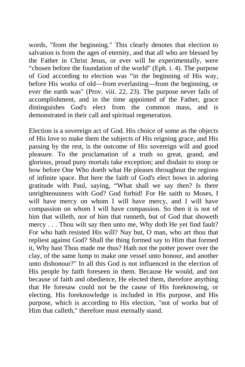words, "from the beginning." This clearly denotes that election to salvation is from the ages of eternity, and that all who are blessed by the Father in Christ Jesus, or ever will be experimentally, were "chosen before the foundation of the world" (Eph. i. 4). The purpose of God according to election was "in the beginning of His way, before His works of old—from everlasting—from the beginning, or ever the earth was" (Prov. viii. 22, 23). The purpose never fails of accomplishment, and in the time appointed of the Father, grace distinguishes God's elect from the common mass, and is demonstrated in their call and spiritual regeneration.

Election is a sovereign act of God. His choice of some as the objects of His love to make them the subjects of His reigning grace, and His passing by the rest, is the outcome of His sovereign will and good pleasure. To the proclamation of a truth so great, grand, and glorious, proud puny mortals take exception; and disdain to stoop or bow before One Who doeth what He pleases throughout the regions of infinite space. But here the faith of God's elect bows in adoring gratitude with Paul, saying, "What shall we say then? Is there unrighteousness with God? God forbid! For He saith to Moses, I will have mercy on whom I will have mercy, and I will have compassion on whom I will have compassion. So then it is not of him that willeth, nor of him that runneth, but of God that showeth mercy . . . Thou wilt say then unto me, Why doth He yet find fault? For who hath resisted His will? Nay but, O man, who art thou that repliest against God? Shall the thing formed say to Him that formed it, Why hast Thou made me thus? Hath not the potter power over the clay, of the same lump to make one vessel unto honour, and another unto dishonour?" In all this God is not influenced in the election of His people by faith foreseen in them. Because He would, and not because of faith and obedience, He elected them, therefore anything that He foresaw could not be the cause of His foreknowing, or electing. His foreknowledge is included in His purpose, and His purpose, which is according to His election, "not of works but of Him that calleth," therefore must eternally stand.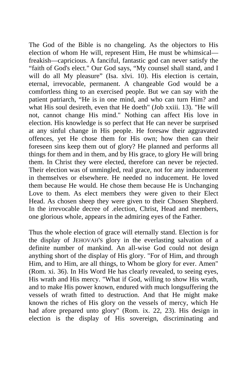The God of the Bible is no changeling. As the objectors to His election of whom He will, represent Him, He must be whimsical freakish—capricious. A fanciful, fantastic god can never satisfy the "faith of God's elect." Our God says, "My counsel shall stand, and I will do all My pleasure" (Isa. xlvi. 10). His election is certain, eternal, irrevocable, permanent. A changeable God would be a comfortless thing to an exercised people. But we can say with the patient patriarch, "He is in one mind, and who can turn Him? and what His soul desireth, even that He doeth" (Job xxiii. 13). "He will not, cannot change His mind." Nothing can affect His love in election. His knowledge is so perfect that He can never be surprised at any sinful change in His people. He foresaw their aggravated offences, yet He chose them for His own; how then can their foreseen sins keep them out of glory? He planned and performs all things for them and in them, and by His grace, to glory He will bring them. In Christ they were elected, therefore can never be rejected. Their election was of unmingled, real grace, not for any inducement in themselves or elsewhere. He needed no inducement. He loved them because He would. He chose them because He is Unchanging Love to them. As elect members they were given to their Elect Head. As chosen sheep they were given to their Chosen Shepherd. In the irrevocable decree of .election, Christ, Head and members, one glorious whole, appears in the admiring eyes of the Father.

Thus the whole election of grace will eternally stand. Election is for the display of JEHOVAH'S glory in the everlasting salvation of a definite number of mankind. An all-wise God could not design anything short of the display of His glory. "For of Him, and through Him, and to Him, are all things, to Whom be glory for ever. Amen" (Rom. xi. 36). In His Word He has clearly revealed, to seeing eyes, His wrath and His mercy. "What if God, willing to show His wrath, and to make His power known, endured with much longsuffering the vessels of wrath fitted to destruction. And that He might make known the riches of His glory on the vessels of mercy, which He had afore prepared unto glory" (Rom. ix. 22, 23). His design in election is the display of His sovereign, discriminating and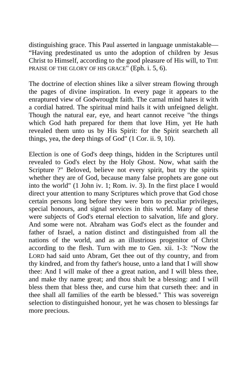distinguishing grace. This Paul asserted in language unmistakable— "Having predestinated us unto the adoption of children by Jesus Christ to Himself, according to the good pleasure of His will, to THE PRAISE OF THE GLORY OF HIS GRACE" (Eph. i. 5, 6).

The doctrine of election shines like a silver stream flowing through the pages of divine inspiration. In every page it appears to the enraptured view of Godwrought faith. The carnal mind hates it with a cordial hatred. The spiritual mind hails it with unfeigned delight. Though the natural ear, eye, and heart cannot receive "the things which God hath prepared for them that love Him, yet He hath revealed them unto us by His Spirit: for the Spirit searcheth all things, yea, the deep things of God" (1 Cor. ii. 9, 10).

Election is one of God's deep things, hidden in the Scriptures until revealed to God's elect by the Holy Ghost. Now, what saith the Scripture ?" Beloved, believe not every spirit, but try the spirits whether they are of God, because many false prophets are gone out into the world" (1 John iv. 1; Rom. iv. 3). In the first place I would direct your attention to many Scriptures which prove that God chose certain persons long before they were born to peculiar privileges, special honours, and signal services in this world. Many of these were subjects of God's eternal election to salvation, life and glory. And some were not. Abraham was God's elect as the founder and father of Israel, a nation distinct and distinguished from all the nations of the world, and as an illustrious progenitor of Christ according to the flesh. Turn with me to Gen. xii. 1-3: "Now the LORD had said unto Abram, Get thee out of thy country, and from thy kindred, and from thy father's house, unto a land that I will show thee: And I will make of thee a great nation, and I will bless thee, and make thy name great; and thou shalt be a blessing: and I will bless them that bless thee, and curse him that curseth thee: and in thee shall all families of the earth be blessed." This was sovereign selection to distinguished honour, yet he was chosen to blessings far more precious.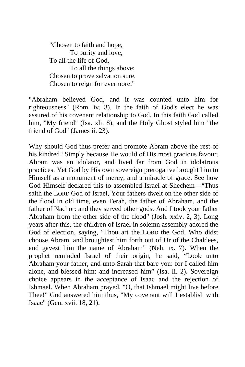"Chosen to faith and hope, To purity and love, To all the life of God, To all the things above; Chosen to prove salvation sure, Chosen to reign for evermore."

"Abraham believed God, and it was counted unto him for righteousness" (Rom. iv. 3). In the faith of God's elect he was assured of his covenant relationship to God. In this faith God called him, "My friend" (Isa. xli. 8), and the Holy Ghost styled him "the friend of God" (James ii. 23).

Why should God thus prefer and promote Abram above the rest of his kindred? Simply because He would of His most gracious favour. Abram was an idolator, and lived far from God in idolatrous practices. Yet God by His own sovereign prerogative brought him to Himself as a monument of mercy, and a miracle of grace. See how God Himself declared this to assembled Israel at Shechem—"Thus saith the LORD God of Israel, Your fathers dwelt on the other side of the flood in old time, even Terah, the father of Abraham, and the father of Nachor: and they served other gods. And I took your father Abraham from the other side of the flood" (Josh. xxiv. 2, 3). Long years after this, the children of Israel in solemn assembly adored the God of election, saying, "Thou art the LORD the God, Who didst choose Abram, and broughtest him forth out of Ur of the Chaldees, and gavest him the name of Abraham" (Neh. ix. 7). When the prophet reminded Israel of their origin, he said, "Look unto Abraham your father, and unto Sarah that bare you: for I called him alone, and blessed him: and increased him" (Isa. li. 2). Sovereign choice appears in the acceptance of Isaac and the rejection of Ishmael. When Abraham prayed, "O, that Ishmael might live before Thee!" God answered him thus, "My covenant will I establish with Isaac" (Gen. xvii. 18, 21).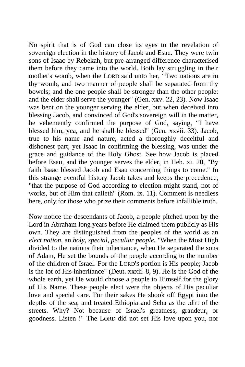No spirit that is of God can close its eyes to the revelation of sovereign election in the history of Jacob and Esau. They were twin sons of Isaac by Rebekah, but pre-arranged difference characterised them before they came into the world. Both lay struggling in their mother's womb, when the LORD said unto her, "Two nations are in thy womb, and two manner of people shall be separated from thy bowels; and the one people shall be stronger than the other people: and the elder shall serve the younger" (Gen. xxv. 22, 23). Now Isaac was bent on the younger serving the elder, but when deceived into blessing Jacob, and convinced of God's sovereign will in the matter, he vehemently confirmed the purpose of God, saying, "I have blessed him, yea, and he shall be blessed" (Gen. xxvii. 33). Jacob, true to his name and nature, acted a thoroughly deceitful and dishonest part, yet Isaac in confirming the blessing, was under the grace and guidance of the Holy Ghost. See how Jacob is placed before Esau, and the younger serves the elder, in Heb. xi. 20, "By faith Isaac blessed Jacob and Esau concerning things to come." In this strange eventful history Jacob takes and keeps the precedence, "that the purpose of God according to election might stand, not of works, but of Him that calleth" (Rom. ix. 11). Comment is needless here, only for those who prize their comments before infallible truth.

Now notice the descendants of Jacob, a people pitched upon by the Lord in Abraham long years before He claimed them publicly as His own. They are distinguished from the peoples of the world as an *elect nation,* an *holy, special, peculiar people. "*When the Most High divided to the nations their inheritance, when He separated the sons of Adam, He set the bounds of the people according to the number of the children of Israel. For the LORD'S portion is His people; Jacob is the lot of His inheritance" (Deut. xxxii. 8, 9). He is the God of the whole earth, yet He would choose a people to Himself for the glory of His Name. These people elect were the objects of His peculiar love and special care. For their sakes He shook off Egypt into the depths of the sea, and treated Ethiopia and Seba as the .dirt of the streets. Why? Not because of Israel's greatness, grandeur, or goodness. Listen !" The LORD did not set His love upon you, nor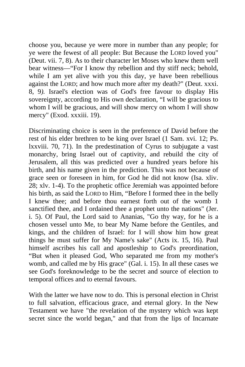choose you, because ye were more in number than any people; for ye were the fewest of all people: But Because the LORD loved you" (Deut. vii. 7, 8). As to their character let Moses who knew them well bear witness—"For I know thy rebellion and thy stiff neck; behold, while I am yet alive with you this day, ye have been rebellious against the LORD; and how much more after my death?" (Deut. xxxi. 8, 9*).* Israel's election was of God's free favour to display His sovereignty, according to His own declaration, "I will be gracious to whom I will be gracious, and will show mercy on whom I will show mercy" (Exod. xxxiii. 19).

Discriminating choice is seen in the preference of David before the rest of his elder brethren to be king over Israel (1 Sam. xvi. 12; Ps. lxxviii. 70, 71). In the predestination of Cyrus to subjugate a vast monarchy, bring Israel out of captivity, and rebuild the city of Jerusalem, all this was predicted over a hundred years before his birth, and his name given in the prediction. This was not because of grace seen or foreseen in him, for God he did not know (Isa. xliv. 28; xlv. 1-4). To the prophetic office Jeremiah was appointed before his birth, as said the LORD to Him, "Before I formed thee in the belly I knew thee; and before thou earnest forth out of the womb 1 sanctified thee, and I ordained thee a prophet unto the nations" (Jer. i. 5). Of Paul, the Lord said to Ananias, "Go thy way, for he is a chosen vessel unto Me, to bear My Name before the Gentiles, and kings, and the children of Israel: for I will show him how great things he must suffer for My Name's sake" (Acts ix. 15, 16). Paul himself ascribes his call and apostleship to God's preordination, "But when it pleased God, Who separated me from my mother's womb, and called me by His grace" (Gal. i. 15). In all these cases we see God's foreknowledge to be the secret and source of election to temporal offices and to eternal favours.

With the latter we have now to do. This is personal election in Christ to full salvation, efficacious grace, and eternal glory. In the New Testament we have "the revelation of the mystery which was kept secret since the world began," and that from the lips of Incarnate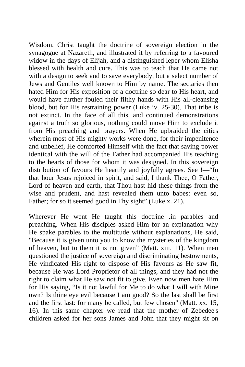Wisdom. Christ taught the doctrine of sovereign election in the synagogue at Nazareth, and illustrated it by referring to a favoured widow in the days of Elijah, and a distinguished leper whom Elisha blessed with health and cure. This was to teach that He came not with a design to seek and to save everybody, but a select number of Jews and Gentiles well known to Him by name. The sectaries then hated Him for His exposition of a doctrine so dear to His heart, and would have further fouled their filthy hands with His all-cleansing blood, but for His restraining power (Luke iv. 25-30). That tribe is not extinct. In the face of all this, and continued demonstrations against a truth so glorious, nothing could move Him to exclude it from His preaching and prayers. When He upbraided the cities wherein most of His mighty works were done, for their impenitence and unbelief, He comforted Himself with the fact that saving power identical with the will of the Father had accompanied His teaching to the hearts of those for whom it was designed. In this sovereign distribution of favours He heartily and joyfully agrees. See !—"In that hour Jesus rejoiced in spirit, and said, I thank Thee, O Father, Lord of heaven and earth, that Thou hast hid these things from the wise and prudent, and hast revealed them unto babes: even so, Father; for so it seemed good in Thy sight" (Luke x. 21).

Wherever He went He taught this doctrine .in parables and preaching. When His disciples asked Him for an explanation why He spake parables to the multitude without explanations, He said, "Because it is given unto you to know the mysteries of the kingdom of heaven, but to them it is not given" (Matt. xiii. 11). When men questioned the justice of sovereign and discriminating bestowments, He vindicated His right to dispose of His favours as He saw fit, because He was Lord Proprietor of all things, and they had not the right to claim what He saw not fit to give. Even now men hate Him for His saying, "Is it not lawful for Me to do what I will with Mine own? Is thine eye evil because I am good? So the last shall be first and the first last: for many be called, but few chosen" (Matt. xx. 15, 16). In this same chapter we read that the mother of Zebedee's children asked for her sons James and John that they might sit on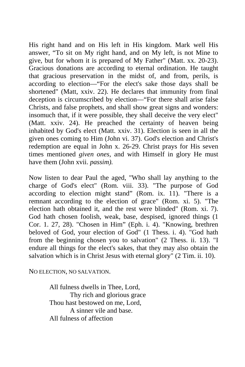His right hand and on His left in His kingdom. Mark well His answer, "To sit on My right hand, and on My left, is not Mine to give, but for whom it is prepared of My Father" (Matt. xx. 20-23). Gracious donations are according to eternal ordination. He taught that gracious preservation in the midst of, and from, perils, is according to election—"For the elect's sake those days shall be shortened" (Matt, xxiv. 22). He declares that immunity from final deception is circumscribed by election—"For there shall arise false Christs, and false prophets, and shall show great signs and wonders: insomuch that, if it were possible, they shall deceive the very elect" (Matt. xxiv. 24). He preached the certainty of heaven being inhabited by God's elect (Matt. xxiv. 31). Election is seen in all the given ones coming to Him (John vi. 37). God's election and Christ's redemption are equal in John x. 26-29. Christ prays for His seven times mentioned *given ones,* and with Himself in glory He must have them (John xvii. *passim).* 

Now listen to dear Paul the aged, "Who shall lay anything to the charge of God's elect" (Rom. viii. 33). "The purpose of God according to election might stand" (Rom. ix. 11). "There is a remnant according to the election of grace" (Rom. xi. 5). "The election hath obtained it, and the rest were blinded" (Rom. xi. 7). God hath chosen foolish, weak, base, despised, ignored things (1 Cor. 1. 27, 28). "Chosen in Him" (Eph. i. 4). "Knowing, brethren beloved of God, your election of God" (1 Thess. i. 4). "God hath from the beginning chosen you to salvation" (2 Thess. ii. 13). "I endure all things for the elect's sakes, that they may also obtain the salvation which is in Christ Jesus with eternal glory" (2 Tim. ii. 10).

NO ELECTION, NO SALVATION.

All fulness dwells in Thee, Lord, Thy rich and glorious grace Thou hast bestowed on me, Lord, A sinner vile and base. All fulness of affection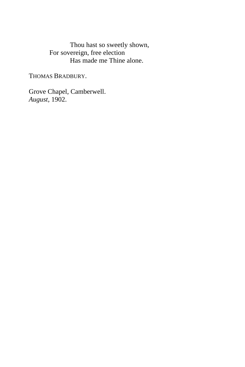Thou hast so sweetly shown, For sovereign, free election Has made me Thine alone.

THOMAS BRADBURY.

Grove Chapel, Camberwell. *August,* 1902.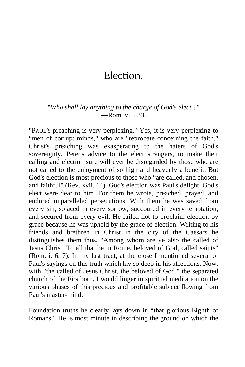## Election.

## "*Who shall lay anything to the charge of God's elect ?"* —Rom. viii. 33.

"PAUL'S preaching is very perplexing." Yes, it is very perplexing to "men of corrupt minds," who are "reprobate concerning the faith." Christ's preaching was exasperating to the haters of God's sovereignty. Peter's advice to the elect strangers, to make their calling and election sure will ever be disregarded by those who are not called to the enjoyment of so high and heavenly a benefit. But God's election is most precious to those who "are called, and chosen, and faithful" (Rev. xvii. 14). God's election was Paul's delight. God's elect were dear to him. For them he wrote, preached, prayed, and endured unparalleled persecutions. With them he was saved from every sin, solaced in every sorrow, succoured in every temptation, and secured from every evil. He failed not to proclaim election by grace because he was upheld by the grace of election. Writing to his friends and brethren in Christ in the city of the Caesars he distinguishes them thus, "Among whom are ye also the called of Jesus Christ. To all that be in Rome, beloved of God, called saints" (Rom. i. 6, 7). In my last tract, at the close I mentioned several of Paul's sayings on this truth which lay so deep in his affections. Now, with "the called of Jesus Christ, the beloved of God," the separated church of the Firstborn, I would linger in spiritual meditation on the various phases of this precious and profitable subject flowing from Paul's master-mind.

Foundation truths he clearly lays down in "that glorious Eighth of Romans." He is most minute in describing the ground on which the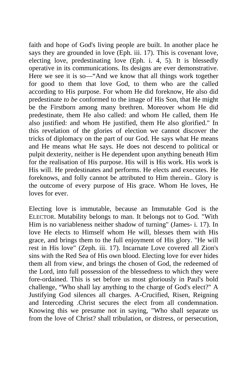faith and hope of God's living people are built. In another place he says they are grounded in love (Eph. iii. 17). This is covenant love, electing love, predestinating love (Eph. i. 4, 5). It is blessedly operative in its communications. Its designs are ever demonstrative. Here we see it is so—"And we know that all things work together for good to them that love God, to them who are the called according to His purpose. For whom He did foreknow, He also did predestinate *to be* conformed to the image of His Son, that He might be the Firstborn among many brethren. Moreover whom He did predestinate, them He also called: and whom He called, them He also justified: and whom He justified, them He also glorified." In this revelation of the glories of election we cannot discover the tricks of diplomacy on the part of our God. He says what He means and He means what He says. He does not descend to political or pulpit dexterity, neither is He dependent upon anything beneath Him for the realisation of His purpose. His will is His work. His work is His will. He predestinates and performs. He elects and executes. He foreknows, and folly cannot be attributed to Him therein.. Glory is the outcome of every purpose of His grace. Whom He loves, He loves for ever.

Electing love is immutable, because an Immutable God is the ELECTOR. Mutability belongs to man. It belongs not to God. "With Him is no variableness neither shadow of turning" (James- i. 17). In love He elects to Himself whom He will, blesses them with His grace, and brings them to the full enjoyment of His glory. "He will rest in His love" (Zeph. iii. 17). Incarnate Love covered all Zion's sins with the Red Sea of His own blood. Electing love for ever hides them all from view, and brings the chosen of God, the redeemed of the Lord, into full possession of the blessedness to which they were fore-ordained. This is set before us most gloriously in Paul's bold challenge, "Who shall lay anything to the charge of God's elect?" A Justifying God silences all charges. A-Crucified, Risen, Reigning and Interceding .Christ secures the elect from all condemnation. Knowing this we presume not in saying, "Who shall separate us from the love of Christ? shall tribulation, or distress, or persecution,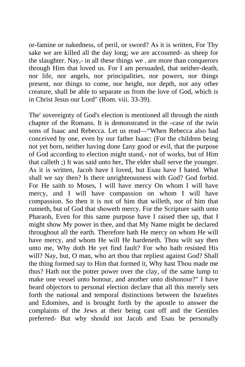or-famine or nakedness, of peril, or sword? As it is written, For Thy sake we are killed all the day long; we are accounted- as sheep for the slaughter. Nay,- in all these things we . are more than conquerors through Him that loved us. For I am persuaded, that neither-death, nor life, nor angels, nor principalities, nor powers, nor things present, nor things to come, nor height, nor depth, nor any other creature, shall be able to separate us from the love of God, which is in Christ Jesus our Lord" (Rom. viii. 33-39).

The' sovereignty of God's election is mentioned all through the ninth chapter of the Romans. It is demonstrated in the -case of the twin sons of Isaac and Rebecca. Let us read—"When Rebecca also had conceived by one, even by our father Isaac: (For the children being not yet born, neither having done £any good or evil, that the purpose of God according to election might stand,- not of works, but of Him that calleth ;) It was said unto her, The elder shall serve the younger. As it is written, Jacob have I loved, but Esau have I hated. What shall we say then? Is there unrighteousness with God? God forbid. For He saith to Moses, I will have mercy On whom I will have mercy, and I will have compassion on whom I will have compassion. So then it is not of him that willeth, nor of him that runneth, but of God that showeth mercy. For the Scripture saith unto Pharaoh, Even for this same purpose have I raised thee up, that I might show My power in thee, and that My Name might be declared throughout all the earth. Therefore hath He mercy on whom He will have mercy, and whom He will He hardeneth. Thou wilt say then unto me, Why doth He yet find fault? For who hath resisted His will? Nay, but, O man, who art thou that repliest against God? Shall the thing formed say to Him that formed it, Why hast Thou made me thus? Hath not the potter power over the clay, of the same lump to make one vessel unto honour, and another unto dishonour?" I have heard objectors to personal election declare that all this merely sets forth the national and temporal distinctions between the Israelites and Edomites, and is brought forth by the apostle to answer the complaints of the Jews at their being cast off and the Gentiles preferred- But why should not Jacob and Esau be personally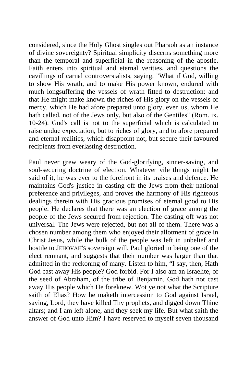considered, since the Holy Ghost singles out Pharaoh as an instance of divine sovereignty? Spiritual simplicity discerns something more than the temporal and superficial in the reasoning of the apostle. Faith enters into spiritual and eternal verities, and questions the cavillings of carnal controversialists, saying, "What if God, willing to show His wrath, and to make His power known, endured with much longsuffering the vessels of wrath fitted to destruction: and that He might make known the riches of His glory on the vessels of mercy, which He had afore prepared unto glory, even us, whom He hath called, not of the Jews only, but also of the Gentiles" (Rom. ix. 10-24). God's call is not to the superficial which is calculated to raise undue expectation, but to riches of glory, and to afore prepared and eternal realities, which disappoint not, but secure their favoured recipients from everlasting destruction.

Paul never grew weary of the God-glorifying, sinner-saving, and soul-securing doctrine of election. Whatever vile things might be said of it, he was ever to the forefront in its praises and defence. He maintains God's justice in casting off the Jews from their national preference and privileges, and proves the harmony of His righteous dealings therein with His gracious promises of eternal good to His people. He declares that there was an election of grace among the people of the Jews secured from rejection. The casting off was not universal. The Jews were rejected, but not all of them. There was a chosen number among them who enjoyed their allotment of grace in Christ Jesus, while the bulk of the people was left in unbelief and hostile to JEHOVAH'S sovereign will. Paul gloried in being one of the elect remnant, and suggests that their number was larger than that admitted in the reckoning of many. Listen to him, "I say, then, Hath God cast away His people? God forbid. For I also am an Israelite, of the seed of Abraham, of the tribe of Benjamin. God hath not cast away His people which He foreknew. Wot ye not what the Scripture saith of Elias? How he maketh intercession to God against Israel, saying, Lord, they have killed Thy prophets, and digged down Thine altars; and I am left alone, and they seek my life. But what saith the answer of God unto Him? I have reserved to myself seven thousand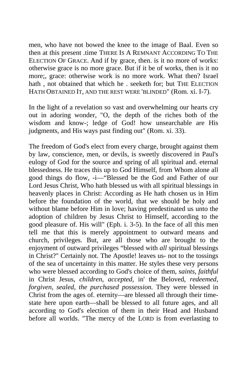men, who have not bowed the knee to the image of Baal. Even so then at this present .time THERE IS A REMNANT ACCORDING TO THE ELECTION OF GRACE. And if by grace, then. is it no more of works: otherwise grace is no more grace. But if it be of works, then is it no more;, grace: otherwise work is no more work. What then? Israel hath, not obtained that which he, seeketh for; but THE ELECTION HATH OBTAINED IT, AND THE REST WERE 'BLINDED" (Rom. xi. I-7).

In the light of a revelation so vast and overwhelming our hearts cry out in adoring wonder, "O, the depth of the riches both of the wisdom and know-; ledge of God! how unsearchable are His judgments, and His ways past finding out" (Rom. xi. 33).

The freedom of God's elect from every charge, brought against them by law, conscience, men, or devils, is sweetly discovered in Paul's eulogy of God for the source and spring of all spiritual and. eternal blessedness. He traces this up to God Himself, from Whom alone all good things do flow, -i—"Blessed be the God and Father of our Lord Jesus Christ, Who hath blessed us with all spiritual blessings in heavenly places in Christ: According as He hath chosen us in Him before the foundation of the world, that we should be holy and without blame before Him in love; having predestinated us unto the adoption of children by Jesus Christ to Himself, according to the good pleasure of. His will" (Eph. i. 3-5). In the face of all this men tell me that this is merely appointment to outward means and church, privileges. But, are all those who are brought to the enjoyment of outward privileges "blessed with *all* spiritual blessings in Christ?" Certainly not. The Apostle! leaves us- not to the tossings of the sea of uncertainty in this matter. He styles these very persons who were blessed according to God's choice of them, *saints, faithful*  in Christ Jesus, *children, accepted,* in' the Beloved, *redeemed, forgiven, sealed, the purchased possession.* They were blessed in Christ from the ages of. eternity—are blessed all through their timestate here upon earth—shall be blessed to all future ages, and all according to God's election of them in their Head and Husband before all worlds. "The mercy of the LORD is from everlasting to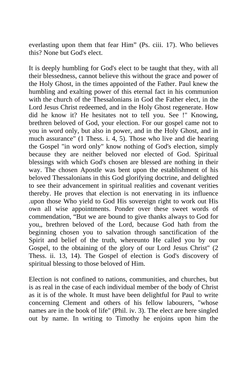everlasting upon them that fear Him" (Ps. ciii. 17). Who believes this? None but God's elect.

It is deeply humbling for God's elect to be taught that they, with all their blessedness, cannot believe this without the grace and power of the Holy Ghost, in the times appointed of the Father. Paul knew the humbling and exalting power of this eternal fact in his communion with the church of the Thessalonians in God the Father elect, in the Lord Jesus Christ redeemed, and in the Holy Ghost regenerate. How did he know it? He hesitates not to tell you. See !" Knowing, brethren beloved of God, your election. For our gospel came not to you in word only, but also in power, and in the Holy Ghost, and in much assurance" (1 Thess. i. 4, 5). Those who live and die hearing the Gospel "in word only" know nothing of God's election, simply because they are neither beloved nor elected of God. Spiritual blessings with which God's chosen are blessed are nothing in their way. The chosen Apostle was bent upon the establishment of his beloved Thessalonians in this God glorifying doctrine, and delighted to see their advancement in spiritual realities and covenant verities thereby. He proves that election is not enervating in its influence .upon those Who yield to God His sovereign right to work out His own all wise appointments. Ponder over these sweet words of commendation, "But we are bound to give thanks always to God for you,, brethren beloved of the Lord, because God hath from the beginning chosen you to salvation through sanctification of the Spirit and belief of the truth, whereunto He called you by our Gospel, to the obtaining of the glory of our Lord Jesus Christ" (2 Thess. ii. 13, 14). The Gospel of election is God's discovery of spiritual blessing to those beloved of Him.

Election is not confined to nations, communities, and churches, but is as real in the case of each individual member of the body of Christ as it is of the whole. It must have been delightful for Paul to write concerning Clement and others of his fellow labourers, "whose names are in the book of life" (Phil. iv. 3). The elect are here singled out by name. In writing to Timothy he enjoins upon him the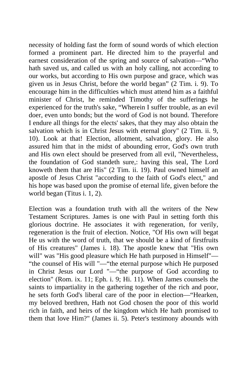necessity of holding fast the form of sound words of which election formed a prominent part. He directed him to the prayerful and earnest consideration of the spring and source of salvation—"Who hath saved us, and called us with an holy calling, not according to our works, but according to His own purpose and grace, which was given us in Jesus Christ, before the world began" (2 Tim. i. 9). To encourage him in the difficulties which must attend him as a faithful minister of Christ, he reminded Timothy of the sufferings he experienced for the truth's sake, "Wherein I suffer trouble, as an evil doer, even unto bonds; but the word of God is not bound. Therefore I endure all things for the elects' sakes, that they may also obtain the salvation which is in Christ Jesus with eternal glory" (2 Tim. ii. 9, 10). Look at that! Election, allotment, salvation, glory. He also assured him that in the midst of abounding error, God's own truth and His own elect should be preserved from all evil, "Nevertheless, the foundation of God standeth sure,: having this seal, The Lord knoweth them that are His" (2 Tim. ii. 19). Paul owned himself an apostle of Jesus Christ "according to the faith of God's elect," and his hope was based upon the promise of eternal life, given before the world began (Titus i. 1, 2).

Election was a foundation truth with all the writers of the New Testament Scriptures. James is one with Paul in setting forth this glorious doctrine. He associates it with regeneration, for verily, regeneration is the fruit of election. Notice, "Of His own will begat He us with the word of truth, that we should be a kind of firstfruits of His creatures" (James i. 18). The apostle knew that "His own will" was "His good pleasure which He hath purposed in Himself"— "the counsel of His will "—"the eternal purpose which He purposed in Christ Jesus our Lord "—"the purpose of God according to election" (Rom. ix. 11; Eph. i. 9; Hi. 11). When James counsels the saints to impartiality in the gathering together of the rich and poor, he sets forth God's liberal care of the poor in election—"Hearken, my beloved brethren, Hath not God chosen the poor of this world rich in faith, and heirs of the kingdom which He hath promised to them that love Him?" (James ii. 5). Peter's testimony abounds with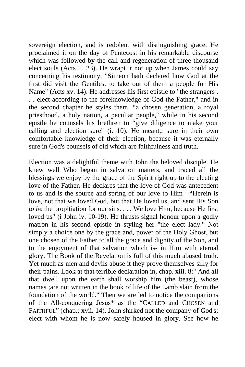sovereign election, and is redolent with distinguishing grace. He proclaimed it on the day of Pentecost in his remarkable discourse which was followed by the call and regeneration of three thousand elect souls (Acts ii. 23). He wrapt it not up when James could say concerning his testimony, "Simeon hath declared how God at the first did visit the Gentiles, to take out of them a people for His Name" (Acts xv. 14). He addresses his first epistle to "the strangers . . . elect according to the foreknowledge of God the Father," and in the second chapter he styles them, "a chosen generation, a royal priesthood, a holy nation, a peculiar people," while in his second epistle he counsels his brethren to "give diligence to make your calling and election sure" (i. 10). He meant,; sure in their own comfortable knowledge of their election, because it was eternally sure in God's counsels of old which are faithfulness and truth.

Election was a delightful theme with John the beloved disciple. He knew well Who began in salvation matters, and traced all the blessings we enjoy by the grace of the Spirit right up to the electing love of the Father. He declares that the love of God was antecedent to us and is the source and spring of our love to Him—"Herein is love, not that we loved God, but that He loved us, and sent His Son *to be* the propitiation for our sins. . . . We love Him, because He first loved us" (i John iv. 10-19). He thrusts signal honour upon a godly matron in his second epistle in styling her "the elect lady." Not simply a choice one by the grace and, power of the Holy Ghost, but one chosen of the Father to all the grace and dignity of the Son, and to the enjoyment of that salvation which is- in Him with eternal glory. The Book of the Revelation is full of this much abused truth. Yet much as men and devils abuse it they prove themselves silly for their pains. Look at that terrible declaration in, chap. xiii. 8: "And all that dwell upon the earth shall worship him (the beast), whose names ;are not written in the book of life of the Lamb slain from the foundation of the world." Then we are led to notice the companions of the All-conquering Jesus\* as the "CALLED and CHOSEN and FAITHFUL" (chap.; xvii. 14). John shirked not the company of God's; elect with whom he is now safely housed in glory. See how he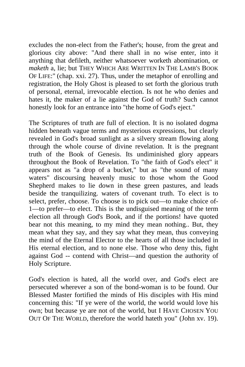excludes the non-elect from the Father's; house, from the great and glorious city above: "And there shall in no wise enter, into it anything that defileth, neither whatsoever worketh abomination, or *maketh* a, lie; but THEY WHICH ARE WRITTEN IN THE LAMB'S BOOK OF LIFE:" (chap. xxi. 27). Thus, under the metaphor of enrolling and registration, the Holy Ghost is pleased to set forth the glorious truth of personal, eternal, irrevocable election. Is not he who denies and hates it, the maker of a lie against the God of truth? Such cannot honestly look for an entrance into "the home of God's eject."

The Scriptures of truth are full of election. It is no isolated dogma hidden beneath vague terms and mysterious expressions, but clearly revealed in God's broad sunlight as a silvery stream flowing along through the whole course of divine revelation. It is the pregnant truth of the Book of Genesis. Its undiminished glory appears throughout the Book of Revelation. To "the faith of God's elect" it appears not as "a drop of a bucket," but as "the sound of many waters" discoursing heavenly music to those whom the Good Shepherd makes to lie down in these green pastures, and leads beside the tranquilizing. waters of covenant truth. To elect is to select, prefer, choose. To choose is to pick out—to make choice of-1—to prefer—to elect. This is the undisguised meaning of the term election all through God's Book, and if the portions! have quoted bear not this meaning, to my mind they mean nothing.. But, they mean what they say, and they say what they mean, thus conveying the mind of the Eternal Elector to the hearts of all those included in His eternal election, and to none else. Those who deny this, fight against God -- contend with Christ—and question the authority of Holy Scripture.

God's election is hated, all the world over, and God's elect are persecuted wherever a son of the bond-woman is to be found. Our Blessed Master fortified the minds of His disciples with His mind concerning this: "If ye were of the world, the world would love his own; but because ye are not of the world, but I HAVE CHOSEN YOU OUT OF THE WORLD, therefore the world hateth you" (John xv. 19).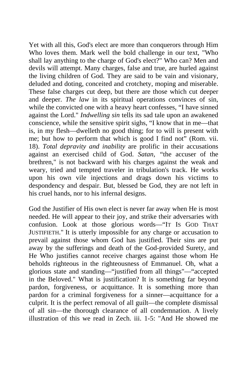Yet with all this, God's elect are more than conquerors through Him Who loves them. Mark well the bold challenge in our text, "Who shall lay anything to the charge of God's elect?" Who can? Men and devils will attempt. Many charges, false and true, are hurled against the living children of God. They are said to be vain and visionary, deluded and doting, conceited and crotchety, moping and miserable. These false charges cut deep, but there are those which cut deeper and deeper. *The law* in its spiritual operations convinces of sin, while the convicted one with a heavy heart confesses, "I have sinned against the Lord." *Indwelling sin* tells its sad tale upon an awakened conscience, while the sensitive spirit sighs, "I know that in me—that is, in my flesh—dwelleth no good thing; for to will is present with me; but how to perform that which is good I find not" (Rom. vii. 18). *Total depravity and inability* are prolific in their accusations against an exercised child of God. *Satan, "*the accuser of the brethren," is not backward with his charges against the weak and weary, tried and tempted traveler in tribulation's track. He works upon his own vile injections and drags down his victims to despondency and despair. But, blessed be God, they are not left in his cruel hands, nor to his infernal designs.

God the Justifier of His own elect is never far away when He is most needed. He will appear to their joy, and strike their adversaries with confusion. Look at those glorious words—"IT IS GOD THAT JUSTIFIETH." It is utterly impossible for any charge or accusation to prevail against those whom God has justified. Their sins are put away by the sufferings and death of the God-provided Surety, and He Who justifies cannot receive charges against those whom He beholds righteous in the righteousness of Emmanuel. Oh, what a glorious state and standing—"justified from all things"—"accepted in the Beloved." What is justification? It is something far beyond pardon, forgiveness, or acquittance. It is something more than pardon for a criminal forgiveness for a sinner—acquittance for a culprit. It is the perfect removal of all guilt—the complete dismissal of all sin—the thorough clearance of all condemnation. A lively illustration of this we read in Zech. iii. 1-5: "And He showed me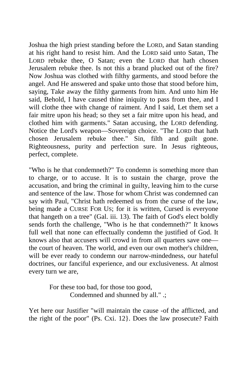Joshua the high priest standing before the LORD, and Satan standing at his right hand to resist him. And the LORD said unto Satan, The LORD rebuke thee, O Satan; even the LORD that hath chosen Jerusalem rebuke thee. Is not this a brand plucked out of the fire? Now Joshua was clothed with filthy garments, and stood before the angel. And He answered and spake unto those that stood before him, saying, Take away the filthy garments from him. And unto him He said, Behold, I have caused thine iniquity to pass from thee, and I will clothe thee with change of raiment. And I said, Let them set a fair mitre upon his head; so they set a fair mitre upon his head, and clothed him with garments." Satan accusing, the LORD defending. Notice the Lord's weapon—Sovereign choice. "The LORD that hath chosen Jerusalem rebuke thee." Sin, filth and guilt gone. Righteousness, purity and perfection sure. In Jesus righteous, perfect, complete.

"Who is he that condemneth?" To condemn is something more than to charge, or to accuse. It is to sustain the charge, prove the accusation, and bring the criminal in guilty, leaving him to the curse and sentence of the law. Those for whom Christ was condemned can say with Paul, "Christ hath redeemed us from the curse of the law, being made a CURSE FOR US; for it is written, Cursed is everyone that hangeth on a tree" (Gal. iii. 13). The faith of God's elect boldly sends forth the challenge, "Who is he that condemneth?" It knows full well that none can effectually condemn the justified of God. It knows also that accusers will crowd in from all quarters save one the court of heaven. The world, and even our own mother's children, will be ever ready to condemn our narrow-mindedness, our hateful doctrines, our fanciful experience, and our exclusiveness. At almost every turn we are,

> For these too bad, for those too good, Condemned and shunned by all." .;

Yet here our Justifier "will maintain the cause -of the afflicted, and the right of the poor" (Ps. Cxi. 12}. Does the law prosecute? Faith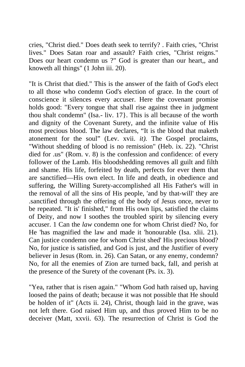cries, "Christ died." Does death seek to terrify? . Faith cries, "Christ lives." Does Satan roar and assault? Faith cries, "Christ reigns." Does our heart condemn us ?" God is greater than our heart,, and knoweth all things" (1 John iii. 20).

"It is Christ that died." This is the answer of the faith of God's elect to all those who condemn God's election of grace. In the court of conscience it silences every accuser. Here the covenant promise holds good: "Every tongue that shall rise against thee in judgment thou shalt condemn" (Isa.- liv. 17}. This is all because of the worth and dignity of the Covenant Surety, and the infinite value of His most precious blood. The law declares, "It is the blood that maketh atonement for the soul" (Lev. xvii. *it).* The Gospel proclaims, "Without shedding of blood is no remission" (Heb. ix. 22). "Christ died for .us" (Rom. v. 8) is the confession and confidence: of every follower of the Lamb. His bloodshedding removes all guilt and filth and shame. His life, forfeited by death, perfects for ever them that are sanctified—His own elect. In life and death, in obedience and suffering, the Willing Surety-accomplished all His Father's will in the removal of all the sins of His people, 'and by that-will' they are .sanctified through the offering of the body of Jesus once, never to be repeated. "It is' finished," from His own lips, satisfied the claims of Deity, and now I soothes the troubled spirit by silencing every accuser. 1 Can the *law* condemn one for whom Christ died? No, for He 'has magnified the law and made it 'honourable (Isa. xlii. 21). Can justice condemn one for whom Christ shed' His precious blood? No, for justice is satisfied, and God is just, and the Justifier of every believer in Jesus (Rom. in. 26). Can Satan, or any enemy, condemn? No, for all the enemies of Zion are turned back, fall, and perish at the presence of the Surety of the covenant (Ps. ix. 3).

"Yea, rather that is risen again." "Whom God hath raised up, having loosed the pains of death; because it was not possible that He should be holden of it" (Acts ii. 24), Christ, though laid in the grave, was not left there. God raised Him up, and thus proved Him to be no deceiver (Matt, xxvii. 63). The resurrection of Christ is God the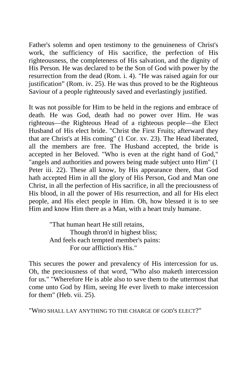Father's solemn and open testimony to the genuineness of Christ's work, the sufficiency of His sacrifice, the perfection of His righteousness, the completeness of His salvation, and the dignity of His Person. He was declared to be the Son of God with power by the resurrection from the dead (Rom. i. 4). "He was raised again for our justification" (Rom. iv. 25). He was thus proved to be the Righteous Saviour of a people righteously saved and everlastingly justified.

It was not possible for Him to be held in the regions and embrace of death. He was God, death had no power over Him. He was righteous—the Righteous Head of a righteous people—the Elect Husband of His elect bride. "Christ the First Fruits; afterward they that are Christ's at His coming" (1 Cor. xv. 23). The Head liberated, all the members are free. The Husband accepted, the bride is accepted in her Beloved. "Who is even at the right hand of God," "angels and authorities and powers being made subject unto Him" (1 Peter iii. 22). These all know, by His appearance there, that God hath accepted Him in all the glory of His Person, God and Man one Christ, in all the perfection of His sacrifice, in all the preciousness of His blood, in all the power of His resurrection, and all for His elect people, and His elect people in Him. Oh, how blessed it is to see Him and know Him there as a Man, with a heart truly humane.

> "That human heart He still retains, Though thron'd in highest bliss; And feels each tempted member's pains: For our affliction's His."

This secures the power and prevalency of His intercession for us. Oh, the preciousness of that word, "Who also maketh intercession for us." "Wherefore He is able also to save them to the uttermost that come unto God by Him, seeing He ever liveth to make intercession for them" (Heb. vii. 25).

"WHO SHALL LAY ANYTHING TO THE CHARGE OF GOD'S ELECT?"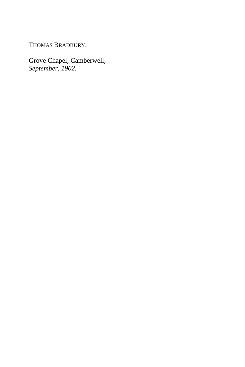THOMAS BRADBURY.

Grove Chapel, Camberwell, *September, 1902.*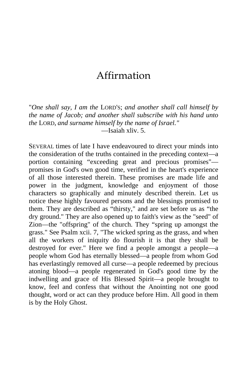## Affirmation

"*One shall say, I am the* LORD'S; *and another shall call himself by the name of Jacob; and another shall subscribe with his hand unto the* LORD, *and surname himself by the name of Israel."* —Isaiah xliv. 5.

SEVERAL times of late I have endeavoured to direct your minds into the consideration of the truths contained in the preceding context—a portion containing "exceeding great and precious promises" promises in God's own good time, verified in the heart's experience of all those interested therein. These promises are made life and power in the judgment, knowledge and enjoyment of those characters so graphically and minutely described therein. Let us notice these highly favoured persons and the blessings promised to them. They are described as "thirsty," and are set before us as "the dry ground." They are also opened up to faith's view as the "seed" of Zion—the "offspring" of the church. They "spring up amongst the grass." See Psalm xcii. 7, "The wicked spring as the grass, and when all the workers of iniquity do flourish it is that they shall be destroyed for ever." Here we find a people amongst a people—a people whom God has eternally blessed—a people from whom God has everlastingly removed all curse—a people redeemed by precious atoning blood—a people regenerated in God's good time by the indwelling and grace of His Blessed Spirit—a people brought to know, feel and confess that without the Anointing not one good thought, word or act can they produce before Him. All good in them is by the Holy Ghost.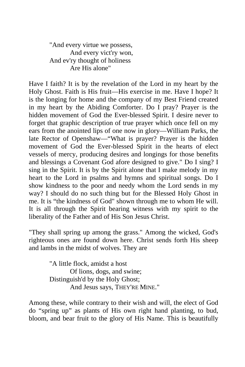"And every virtue we possess, And every vict'ry won, And ev'ry thought of holiness Are His alone"

Have I faith? It is by the revelation of the Lord in my heart by the Holy Ghost. Faith is His fruit—His exercise in me. Have I hope? It is the longing for home and the company of my Best Friend created in my heart by the Abiding Comforter. Do I pray? Prayer is the hidden movement of God the Ever-blessed Spirit. I desire never to forget that graphic description of true prayer which once fell on my ears from the anointed lips of one now in glory—William Parks, the late Rector of Openshaw—"What is prayer? Prayer is the hidden movement of God the Ever-blessed Spirit in the hearts of elect vessels of mercy, producing desires and longings for those benefits and blessings a Covenant God afore designed to give." Do I sing? I sing in the Spirit. It is by the Spirit alone that I make melody in my heart to the Lord in psalms and hymns and spiritual songs. Do I show kindness to the poor and needy whom the Lord sends in my way? I should do no such thing but for the Blessed Holy Ghost in me. It is "the kindness of God" shown through me to whom He will. It is all through the Spirit bearing witness with my spirit to the liberality of the Father and of His Son Jesus Christ.

"They shall spring up among the grass." Among the wicked, God's righteous ones are found down here. Christ sends forth His sheep and lambs in the midst of wolves. They are

> "A little flock, amidst a host Of lions, dogs, and swine; Distinguish'd by the Holy Ghost; And Jesus says, THEY'RE MINE."

Among these, while contrary to their wish and will, the elect of God do "spring up" as plants of His own right hand planting, to bud, bloom, and bear fruit to the glory of His Name. This is beautifully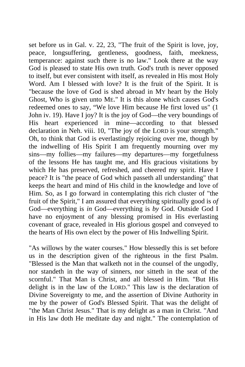set before us in Gal. v. 22, 23, "The fruit of the Spirit is love, joy, peace, longsuffering, gentleness, goodness, faith, meekness, temperance: against such there is no law." Look there at the way God is pleased to state His own truth. God's truth is never opposed to itself, but ever consistent with itself, as revealed in His most Holy Word. Am I blessed with love? It is the fruit of the Spirit. It is "because the love of God is shed abroad in MY heart by the Holy Ghost, Who is given unto ME." It is this alone which causes God's redeemed ones to say, "We love Him because He first loved us" (1 John iv. 19). Have I joy? It is the joy of God—the very boundings of His heart experienced in mine—according to that blessed declaration in Neh. viii. 10, "The joy of the LORD is your strength." Oh, to think that God is everlastingly rejoicing over me, though by the indwelling of His Spirit I am frequently mourning over my sins—my follies—my failures—my departures—my forgetfulness of the lessons He has taught me, and His gracious visitations by which He has preserved, refreshed, and cheered my spirit. Have I peace? It is "the peace of God which passeth all understanding" that keeps the heart and mind of His child in the knowledge and love of Him. So, as I go forward in contemplating this rich cluster of "the fruit of the Spirit," I am assured that everything spiritually good is *of*  God—everything is *in* God—everything is *by* God. Outside God I have no enjoyment of any blessing promised in His everlasting covenant of grace, revealed in His glorious gospel and conveyed to the hearts of His own elect by the power of His Indwelling Spirit.

"As willows by the water courses." How blessedly this is set before us in the description given of the righteous in the first Psalm. "Blessed is the Man that walketh not in the counsel of the ungodly, nor standeth in the way of sinners, nor sitteth in the seat of the scornful." That Man is Christ, and all blessed in Him. "But His delight is in the law of the LORD." This law is the declaration of Divine Sovereignty to me, and the assertion of Divine Authority in me by the power of God's Blessed Spirit. That was the delight of "the Man Christ Jesus." That is my delight as a man in Christ. "And in His law doth He meditate day and night." The contemplation of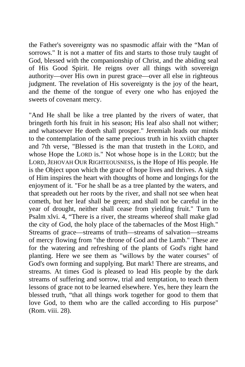the Father's sovereignty was no spasmodic affair with the "Man of sorrows." It is not a matter of fits and starts to those truly taught of God, blessed with the companionship of Christ, and the abiding seal of His Good Spirit. He reigns over all things with sovereign authority—over His own in purest grace—over all else in righteous judgment. The revelation of His sovereignty is the joy of the heart, and the theme of the tongue of every one who has enjoyed the sweets of covenant mercy.

"And He shall be like a tree planted by the rivers of water, that bringeth forth his fruit in his season; His leaf also shall not wither; and whatsoever He doeth shall prosper." Jeremiah leads our minds to the contemplation of the same precious truth in his xviith chapter and 7th verse, "Blessed is the man that trusteth in the LORD, and whose Hope the LORD is." Not whose hope is in the LORD; but the LORD, JEHOVAH OUR RIGHTEOUSNESS, is the Hope of His people. He is the Object upon which the grace of hope lives and thrives. A sight of Him inspires the heart with thoughts of home and longings for the enjoyment of it. "For he shall be as a tree planted by the waters, and that spreadeth out her roots by the river, and shall not see when heat cometh, but her leaf shall be green; and shall not be careful in the year of drought, neither shall cease from yielding fruit." Turn to Psalm xlvi. 4, "There is a river, the streams whereof shall make glad the city of God, the holy place of the tabernacles of the Most High." Streams of grace—streams of truth—streams of salvation—streams of mercy flowing from "the throne of God and the Lamb." These are for the watering and refreshing of the plants of God's right hand planting. Here we see them as "willows by the water courses" of God's own forming and supplying. But mark! There are streams, and streams. At times God is pleased to lead His people by the dark streams of suffering and sorrow, trial and temptation, to teach them lessons of grace not to be learned elsewhere. Yes, here they learn the blessed truth, "that all things work together for good to them that love God, to them who are the called according to His purpose" (Rom. viii. 28).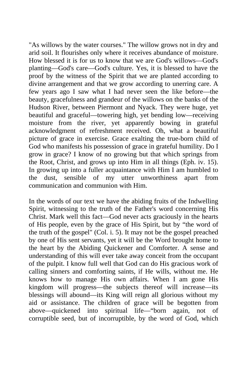"As willows by the water courses." The willow grows not in dry and arid soil. It flourishes only where it receives abundance of moisture. How blessed it is for us to know that we are God's willows—God's planting—God's care—God's culture. Yes, it is blessed to have the proof by the witness of the Spirit that we are planted according to divine arrangement and that we grow according to unerring care. A few years ago I saw what I had never seen the like before—the beauty, gracefulness and grandeur of the willows on the banks of the Hudson River, between Piermont and Nyack. They were huge, yet beautiful and graceful—towering high, yet bending low—receiving moisture from the river, yet apparently bowing in grateful acknowledgment of refreshment received. Oh, what a beautiful picture of grace in exercise. Grace exalting the true-born child of God who manifests his possession of grace in grateful humility. Do I grow in grace? I know of no growing but that which springs from the Root, Christ, and grows up into Him in all things (Eph. iv. 15). In growing up into a fuller acquaintance with Him I am humbled to the dust, sensible of my utter unworthiness apart from communication and communion with Him.

In the words of our text we have the abiding fruits of the Indwelling Spirit, witnessing to the truth of the Father's word concerning His Christ. Mark well this fact—God never acts graciously in the hearts of His people, even by the grace of His Spirit, but by "the word of the truth of the gospel" (Col. i. 5). It may not be the gospel preached by one of His sent servants, yet it will be the Word brought home to the heart by the Abiding Quickener and Comforter. A sense and understanding of this will ever take away conceit from the occupant of the pulpit. I know full well that God can do His gracious work of calling sinners and comforting saints, if He wills, without me. He knows how to manage His own affairs. When I am gone His kingdom will progress—the subjects thereof will increase—its blessings will abound—its King will reign all glorious without my aid or assistance. The children of grace will be begotten from above—quickened into spiritual life—"born again, not of corruptible seed, but of incorruptible, by the word of God, which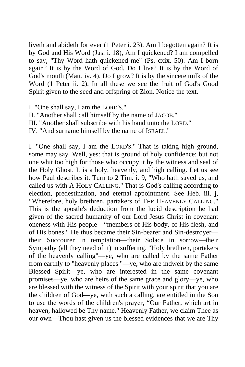liveth and abideth for ever (1 Peter i. 23). Am I begotten again? It is by God and His Word (Jas. i. 18), Am I quickened? I am compelled to say, "Thy Word hath quickened me" (Ps. cxix. 50). Am I born again? It is by the Word of God. Do I live? It is by the Word of God's mouth (Matt. iv. 4). Do I grow? It is by the sincere milk of the Word (1 Peter ii. 2). In all these we see the fruit of God's Good Spirit given to the seed and offspring of Zion. Notice the text.

I. "One shall say, I am the LORD'S."

II. "Another shall call himself by the name of JACOB."

III. "Another shall subscribe with his hand unto the LORD."

IV. "And surname himself by the name of ISRAEL."

I. "One shall say, I am the LORD'S." That is taking high ground, some may say. Well, yes: that is ground of holy confidence; but not one whit too high for those who occupy it by the witness and seal of the Holy Ghost. It is a holy, heavenly, and high calling. Let us see how Paul describes it. Turn to 2 Tim. i. 9, "Who hath saved us, and called us with A HOLY CALLING." That is God's calling according to election, predestination, and eternal appointment. See Heb. iii. j, "Wherefore, holy brethren, partakers of THE HEAVENLY CALLING." This is the apostle's deduction from the lucid description he had given of the sacred humanity of our Lord Jesus Christ in covenant oneness with His people—"members of His body, of His flesh, and of His bones." He thus became their Sin-bearer and Sin-destroyer their Succourer in temptation—their Solace in sorrow—their Sympathy (all they need of it) in suffering. "Holy brethren, partakers of the heavenly calling"—ye, who are called by the same Father from earthly to "heavenly places "—ye, who are indwelt by the same Blessed Spirit—ye, who are interested in the same covenant promises—ye, who are heirs of the same grace and glory—ye, who are blessed with the witness of the Spirit with your spirit that you are the children of God—ye, with such a calling, are entitled in the Son to use the words of the children's prayer, "Our Father, which art in heaven, hallowed be Thy name." Heavenly Father, we claim Thee as our own—Thou hast given us the blessed evidences that we are Thy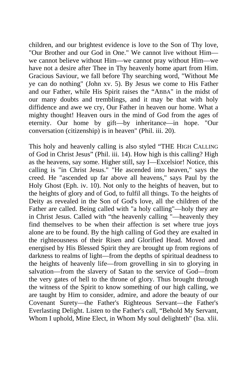children, and our brightest evidence is love to the Son of Thy love, "Our Brother and our God in One." We cannot live without Him we cannot believe without Him—we cannot pray without Him—we have not a desire after Thee in Thy heavenly home apart from Him. Gracious Saviour, we fall before Thy searching word, "Without Me ye can do nothing" (John xv. 5). By Jesus we come to His Father and our Father, while His Spirit raises the "ABBA" in the midst of our many doubts and tremblings, and it may be that with holy diffidence and awe we cry, Our Father in heaven our home. What a mighty thought! Heaven ours in the mind of God from the ages of eternity. Our home by gift—by inheritance—in hope. "Our conversation (citizenship) is in heaven" (Phil. iii. 20).

This holy and heavenly calling is also styled "THE HIGH CALLING of God in Christ Jesus" (Phil. iii. 14). How high is this calling? High as the heavens, say some. Higher still, say I—Excelsior! Notice, this calling is "in Christ Jesus." "He ascended into heaven," says the creed. He "ascended up far above all heavens," says Paul by the Holy Ghost (Eph. iv. 10). Not only to the heights of heaven, but to the heights of glory and of God, to fulfil all things. To the heights of Deity as revealed in the Son of God's love, all the children of the Father are called. Being called with "a holy calling"—holy they are in Christ Jesus. Called with "the heavenly calling "—heavenly they find themselves to be when their affection is set where true joys alone are to be found. By the high calling of God they are exalted in the righteousness of their Risen and Glorified Head. Moved and energised by His Blessed Spirit they are brought up from regions of darkness to realms of light—from the depths of spiritual deadness to the heights of heavenly life—from grovelling in sin to glorying in salvation—from the slavery of Satan to the service of God—from the very gates of hell to the throne of glory. Thus brought through the witness of the Spirit to know something of our high calling, we are taught by Him to consider, admire, and adore the beauty of our Covenant Surety—the Father's Righteous Servant—the Father's Everlasting Delight. Listen to the Father's call, "Behold My Servant, Whom I uphold, Mine Elect, in Whom My soul delighteth" (Isa. xlii.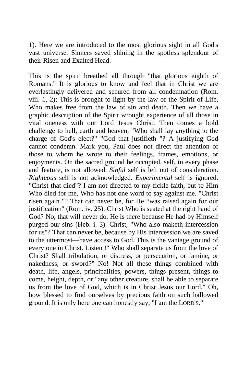1). Here we are introduced to the most glorious sight in all God's vast universe. Sinners saved shining in the spotless splendour of their Risen and Exalted Head.

This is the spirit breathed all through "that glorious eighth of Romans." It is glorious to know and feel that in Christ we are everlastingly delivered and secured from all condemnation (Rom. viii. 1, 2); This is brought to light by the law of the Spirit of Life, Who makes free from the law of sin and death. Then we have a graphic description of the Spirit wrought experience of all those in vital oneness with our Lord Jesus Christ. Then comes a bold challenge to hell, earth and heaven, "Who shall lay anything to the charge of God's elect?" "God that justifieth "? A justifying God cannot condemn. Mark you, Paul does not direct the attention of those to whom he wrote to their feelings, frames, emotions, or enjoyments. On the sacred ground he occupied, self, in every phase and feature, is not allowed. *Sinful* self is left out of consideration. *Righteous* self is not acknowledged. *Experimental* self is ignored. "Christ that died"? I am not directed to my fickle faith, but to Him Who died for me, Who has not one word to say against me. "Christ risen again "? That can never be, for He "was raised again for our justification" (Rom. iv. 25). Christ Who is seated at the right hand of God? No, that will never do. He is there because He had by Himself purged our sins (Heb. i. 3). Christ, "Who also maketh intercession for us"? That can never be, because by His intercession we are saved to the uttermost—have access to God. This is the vantage ground of every one in Christ. Listen !" Who shall separate us from the love of Christ? Shall tribulation, or distress, or persecution, or famine, or nakedness, or sword?" No! Not all these things combined with death, life, angels, principalities, powers, things present, things to come, height, depth, or "any other creature, shall be able to separate us from the love of God, which is in Christ Jesus our Lord." Oh, how blessed to find ourselves by precious faith on such hallowed ground. It is only here one can honestly say, "I am the LORD'S."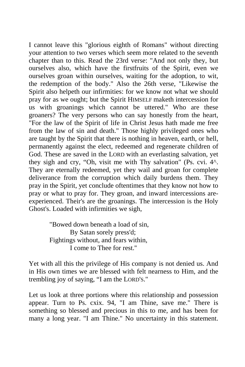I cannot leave this "glorious eighth of Romans" without directing your attention to two verses which seem more related to the seventh chapter than to this. Read the 23rd verse: "And not only they, but ourselves also, which have the firstfruits of the Spirit, even we ourselves groan within ourselves, waiting for the adoption, to wit, the redemption of the body." Also the 26th verse, "Likewise the Spirit also helpeth our infirmities: for we know not what we should pray for as we ought; but the Spirit HIMSELF maketh intercession for us with groanings which cannot be uttered." Who are these groaners? The very persons who can say honestly from the heart, "For the law of the Spirit of life in Christ Jesus hath made me free from the law of sin and death." Those highly privileged ones who are taught by the Spirit that there is nothing in heaven, earth, or hell, permanently against the elect, redeemed and regenerate children of God. These are saved in the LORD with an everlasting salvation, yet they sigh and cry, "Oh, visit me with Thy salvation" (Ps. cvi. 4^. They are eternally redeemed, yet they wail and groan for complete deliverance from the corruption which daily burdens them. They pray in the Spirit, yet conclude oftentimes that they know not how to pray or what to pray for. They groan, and inward intercessions areexperienced. Their's are the groanings. The intercession is the Holy Ghost's. Loaded with infirmities we sigh,

> "Bowed down beneath a load of sin, By Satan sorely press'd; Fightings without, and fears within, I come to Thee for rest.''

Yet with all this the privilege of His company is not denied us. And in His own times we are blessed with felt nearness to Him, and the trembling joy of saying, "I am the LORD'S."

Let us look at three portions where this relationship and possession appear. Turn to Ps. cxix. 94, "I am Thine, save me." There is something so blessed and precious in this to me, and has been for many a long year. "I am Thine." No uncertainty in this statement.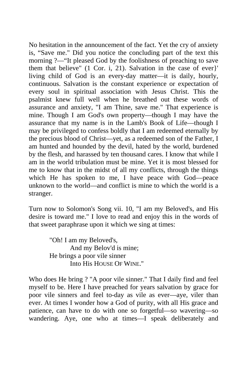No hesitation in the announcement of the fact. Yet the cry of anxiety is, "Save me." Did you notice the concluding part of the text this morning ?—"It pleased God by the foolishness of preaching to save them that believe" (1 Cor. i, 21). Salvation in the case of ever}' living child of God is an every-day matter—it is daily, hourly, continuous. Salvation is the constant experience or expectation of every soul in spiritual association with Jesus Christ. This the psalmist knew full well when he breathed out these words of assurance and anxiety, "I am Thine, save me." That experience is mine. Though I am God's own property—though I may have the assurance that my name is in the Lamb's Book of Life—though I may be privileged to confess boldly that I am redeemed eternally by the precious blood of Christ—yet, as a redeemed son of the Father, I am hunted and hounded by the devil, hated by the world, burdened by the flesh, and harassed by ten thousand cares. I know that while I am in the world tribulation must be mine. Yet it is most blessed for me to know that in the midst of all my conflicts, through the things which He has spoken to me, I have peace with God—peace unknown to the world—and conflict is mine to which the world is a stranger.

Turn now to Solomon's Song vii. 10, "I am my Beloved's, and His desire is toward me." I love to read and enjoy this in the words of that sweet paraphrase upon it which we sing at times:

> "Oh! I am my Beloved's, And my Belov'd is mine; He brings a poor vile sinner Into His HOUSE OF WINE.''

Who does He bring ? "A poor vile sinner." That I daily find and feel myself to be. Here I have preached for years salvation by grace for poor vile sinners and feel to-day as vile as ever—aye, viler than ever. At times I wonder how a God of purity, with all His grace and patience, can have to do with one so forgetful—so wavering—so wandering. Aye, one who at times—I speak deliberately and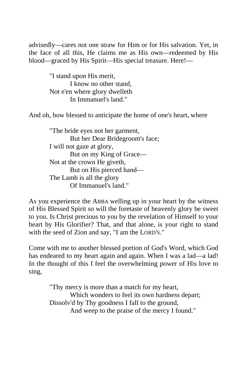advisedly—cares not one straw for Him or for His salvation. Yet, in the face of all this, He claims me as His own—redeemed by His blood—graced by His Spirit—His special treasure. Here!—

> "I stand upon His merit, I know no other stand, Not e'en where glory dwelleth In Immanuel's land."

And oh, how blessed to anticipate the home of one's heart, where

"The bride eyes not her garment, But her Dear Bridegroom's face; I will not gaze at glory, But on my King of Grace— Not at the crown He giveth, But on His pierced hand— The Lamb is all the glory Of Immanuel's land."

As you experience the ABBA welling up in your heart by the witness of His Blessed Spirit so will the foretaste of heavenly glory be sweet to you. Is Christ precious to you by the revelation of Himself to your heart by His Glorifier? That, and that alone, is your right to stand with the seed of Zion and say, "I am the LORD'S."

Come with me to another blessed portion of God's Word, which God has endeared to my heart again and again. When I was a lad—a lad! In the thought of this I feel the overwhelming power of His love to sing,

> "Thy mercy is more than a match for my heart, Which wonders to feel its own hardness depart; Dissolv'd by Thy goodness I fall to the ground, And weep to the praise of the mercy I found."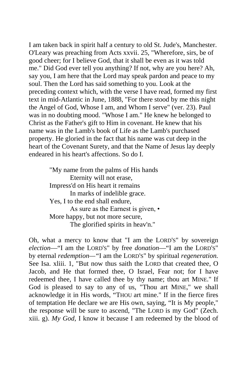I am taken back in spirit half a century to old St. Jude's, Manchester. O'Leary was preaching from Acts xxvii. 25, "Wherefore, sirs, be of good cheer; for I believe God, that it shall be even as it was told me." Did God ever tell you anything? If not, why are you here? Ah, say you, I am here that the Lord may speak pardon and peace to my soul. Then the Lord has said something to you. Look at the preceding context which, with the verse I have read, formed my first text in mid-Atlantic in June, 1888, "For there stood by me this night the Angel of God, Whose I am, and Whom I serve" (ver. 23). Paul was in no doubting mood. "Whose I am." He knew he belonged to Christ as the Father's gift to Him in covenant. He knew that his name was in the Lamb's book of Life as the Lamb's purchased property. He gloried in the fact that his name was cut deep in the heart of the Covenant Surety, and that the Name of Jesus lay deeply endeared in his heart's affections. So do I.

> "My name from the palms of His hands Eternity will not erase, Impress'd on His heart it remains In marks of indelible grace. Yes, I to the end shall endure, As sure as the Earnest is given, • More happy, but not more secure, The glorified spirits in heav'n.''

Oh, what a mercy to know that "I am the LORD'S" by sovereign *election*—"I am the LORD'S" by free *donation*—"I am the LORD'S" by eternal *redemption—"*I am the LORD'S" by spiritual *regeneration.*  See Isa. xliii. 1, "But now thus saith the LORD that created thee, O Jacob, and He that formed thee, O Israel, Fear not; for I have redeemed thee, I have called thee by thy name; thou art MINE." If God is pleased to say to any of us, "Thou art MINE," we shall acknowledge it in His words, "THOU art mine." If in the fierce fires of temptation He declare we are His own, saying, "It is My people," the response will be sure to ascend, "The LORD is my God" (Zech. xiii. g). *My God,* I know it because I am redeemed by the blood of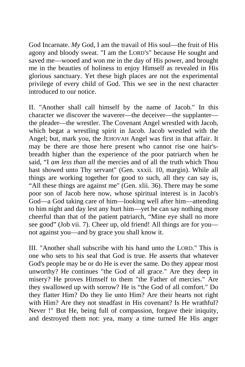God Incarnate. *My* God, I am the travail of His soul—the fruit of His agony and bloody sweat. "I am the LORD'S" because He sought and saved me—wooed and won me in the day of His power, and brought me in the beauties of holiness to enjoy Himself as revealed in His glorious sanctuary. Yet these high places are not the experimental privilege of every child of God. This we see in the next character introduced to our notice.

II. "Another shall call himself by the name of Jacob." In this character we discover the waverer—the deceiver—the supplanter the pleader—the wrestler. The Covenant Angel wrestled with Jacob, which begat a wrestling spirit in Jacob. Jacob wrestled with the Angel; but, mark you, the JEHOVAH Angel was first in that affair. It may be there are those here present who cannot rise one hair'sbreadth higher than the experience of the poor patriarch when he said, "I *am less than all* the mercies and of all the truth which Thou hast showed unto Thy servant" (Gen. xxxii. 10, margin). While all things are working together for good to such, all they can say is, "All these things are against me" (Gen. xlii. 36). There may be some poor son of Jacob here now, whose spiritual interest is in Jacob's God—a God taking care of him—looking well after him—attending to him night and day lest any hurt him—yet he can say nothing more cheerful than that of the patient patriarch, "Mine eye shall no more see good" (Job vii. 7). Cheer up, old friend! All things are for you not against you—and by grace you shall know it.

III. "Another shall subscribe with his hand unto the LORD." This is one who sets to his seal that God is true. He asserts that whatever God's people may be or do He is ever the same. Do they appear most unworthy? He continues "the God of all grace." Are they deep in misery? He proves Himself to them "the Father of mercies." Are they swallowed up with sorrow? He is "the God of all comfort." Do they flatter Him? Do they lie unto Him? Are their hearts not right with Him? Are they not steadfast in His covenant? Is He wrathful? Never !" But He, being full of compassion, forgave their iniquity, and destroyed them not: yea, many a time turned He His anger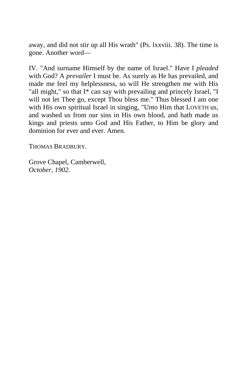away, and did not stir up all His wrath" (Ps. lxxviii. 38). The time is gone. Another word—

IV. "And surname Himself by the name of Israel." Have I *pleaded*  with God? A *prevailer* I must be. As surely as He has prevailed, and made me feel my helplessness, so will He strengthen me with His "all might," so that I\* can say with prevailing and princely Israel, "I will not let Thee go, except Thou bless me." Thus blessed I am one with His own spiritual Israel in singing, "Unto Him that LOVETH us, and washed us from our sins in His own blood, and hath made us kings and priests unto God and His Father, to Him be glory and dominion for ever and ever. Amen.

THOMAS BRADBURY.

Grove Chapel, Camberwell, *October, 1902.*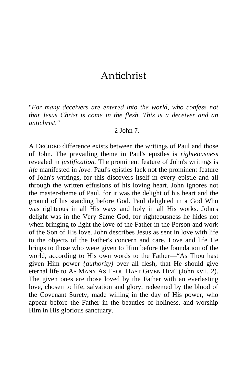## Antichrist

"*For many deceivers are entered into the world, who confess not that Jesus Christ is come in the flesh. This is a deceiver and an antichrist."*

 $-2$  John 7.

A DECIDED difference exists between the writings of Paul and those of John. The prevailing theme in Paul's epistles is *righteousness*  revealed in *justification.* The prominent feature of John's writings is *life* manifested in *love.* Paul's epistles lack not the prominent feature of John's writings, for this discovers itself in every epistle and all through the written effusions of his loving heart. John ignores not the master-theme of Paul, for it was the delight of his heart and the ground of his standing before God. Paul delighted in a God Who was righteous in all His ways and holy in all His works. John's delight was in the Very Same God, for righteousness he hides not when bringing to light the love of the Father in the Person and work of the Son of His love. John describes Jesus as sent in love with life to the objects of the Father's concern and care. Love and life He brings to those who were given to Him before the foundation of the world, according to His own words to the Father—"As Thou hast given Him power *{authority)* over all flesh, that He should give eternal life to AS MANY AS THOU HAST GIVEN HIM" (John xvii. 2). The given ones are those loved by the Father with an everlasting love, chosen to life, salvation and glory, redeemed by the blood of the Covenant Surety, made willing in the day of His power, who appear before the Father in the beauties of holiness, and worship Him in His glorious sanctuary.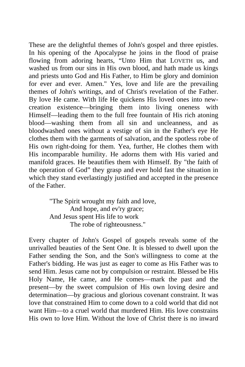These are the delightful themes of John's gospel and three epistles. In his opening of the Apocalypse he joins in the flood of praise flowing from adoring hearts, "Unto Him that LOVETH us, and washed us from our sins in His own blood, and hath made us kings and priests unto God and His Father, to Him be glory and dominion for ever and ever. Amen." Yes, love and life are the prevailing themes of John's writings, and of Christ's revelation of the Father. By love He came. With life He quickens His loved ones into newcreation existence—bringing them into living oneness with Himself—leading them to the full free fountain of His rich atoning blood—washing them from all sin and uncleanness, and as bloodwashed ones without a vestige of sin in the Father's eye He clothes them with the garments of salvation, and the spotless robe of His own right-doing for them. Yea, further, He clothes them with His incomparable humility. He adorns them with His varied and manifold graces. He beautifies them with Himself. By "the faith of the operation of God" they grasp and ever hold fast the situation in which they stand everlastingly justified and accepted in the presence of the Father.

> "The Spirit wrought my faith and love, And hope, and ev'ry grace; And Jesus spent His life to work The robe of righteousness."

Every chapter of John's Gospel of gospels reveals some of the unrivalled beauties of the Sent One. It is blessed to dwell upon the Father sending the Son, and the Son's willingness to come at the Father's bidding. He was just as eager to come as His Father was to send Him. Jesus came not by compulsion or restraint. Blessed be His Holy Name, He came, and He comes—mark the past and the present—by the sweet compulsion of His own loving desire and determination—by gracious and glorious covenant constraint. It was love that constrained Him to come down to a cold world that did not want Him—to a cruel world that murdered Him. His love constrains His own to love Him. Without the love of Christ there is no inward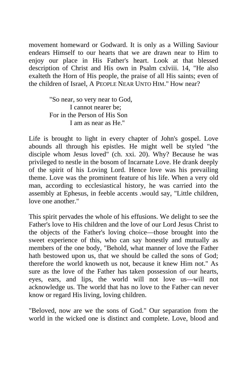movement homeward or Godward. It is only as a Willing Saviour endears Himself to our hearts that we are drawn near to Him to enjoy our place in His Father's heart. Look at that blessed description of Christ and His own in Psalm cxlviii. 14, "He also exalteth the Horn of His people, the praise of all His saints; even of the children of Israel, A PEOPLE NEAR UNTO HIM." How near?

> "So near, so very near to God, I cannot nearer be; For in the Person of His Son I am as near as He.''

Life is brought to light in every chapter of John's gospel. Love abounds all through his epistles. He might well be styled "the disciple whom Jesus loved" (ch. xxi. 20). Why? Because he was privileged to nestle in the bosom of Incarnate Love. He drank deeply of the spirit of his Loving Lord. Hence love was his prevailing theme. Love was the prominent feature of his life. When a very old man, according to ecclesiastical history, he was carried into the assembly at Ephesus, in feeble accents .would say, "Little children, love one another."

This spirit pervades the whole of his effusions. We delight to see the Father's love to His children and the love of our Lord Jesus Christ to the objects of the Father's loving choice—those brought into the sweet experience of this, who can say honestly and mutually as members of the one body, "Behold, what manner of love the Father hath bestowed upon us, that we should be called the sons of God; therefore the world knoweth us not, because it knew Him not." As sure as the love of the Father has taken possession of our hearts, eyes, ears, and lips, the world will not love us—will not acknowledge us. The world that has no love to the Father can never know or regard His living, loving children.

"Beloved, now are we the sons of God." Our separation from the world in the wicked one is distinct and complete. Love, blood and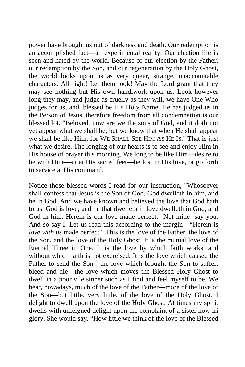power have brought us out of darkness and death. Our redemption is an accomplished fact—an experimental reality. Our election life is seen and hated by the world. Because of our election by the Father, our redemption by the Son, and our regeneration by the Holy Ghost, the world looks upon us as very queer, strange, unaccountable characters. All right! Let them look! May the Lord grant that they may see nothing but His own handiwork upon us. Look however long they may, and judge as cruelly as they will, we have One Who judges for us, and, blessed be His Holy Name, He has judged us in the Person of Jesus, therefore freedom from all condemnation is our blessed lot. "Beloved, now are we the sons of God, and it doth not yet appear what we shall be; but we know that when He shall appear we shall be like Him, for WE SHALL SEE HIM AS HE IS." That is just what we desire. The longing of our hearts is to see and enjoy Him in His house of prayer this morning. We long to be like Him—desire to be with Him—sit at His sacred feet—be lost in His love, or go forth to service at His command.

Notice those blessed words I read for our instruction, "Whosoever shall confess that Jesus is the Son of God, God dwelleth in him, and he in God. And we have known and believed the love that God hath to us. God is love; and he that dwelleth in love dwelleth in God, and God in him. Herein is our love made perfect." Not mine! say you. And so say I. Let us read this according to the margin—"Herein is *love with us* made perfect." This is the love of the Father, the love of the Son, and the love of the Holy Ghost. It is the mutual love of the Eternal Three in One. It is the love by which faith works, and without which faith is not exercised. It is the love which caused the Father to send the Son—the love which brought the Son to suffer, bleed and die—the love which moves the Blessed Holy Ghost to dwell in a poor vile sinner such as I find and feel myself to be. We hear, nowadays, much of the love of the Father—more of the love of the Son—but little, very little, of the love of the Holy Ghost. I delight to dwell upon the love of the Holy Ghost. At times my spirit dwells with unfeigned delight upon the complaint of a sister now iri glory. She would say, "How little we think of the love of the Blessed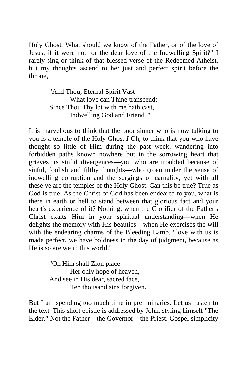Holy Ghost. What should we know of the Father, or of the love of Jesus, if it were not for the dear love of the Indwelling Spirit?" I rarely sing or think of that blessed verse of the Redeemed Atheist, but my thoughts ascend to her just and perfect spirit before the throne,

> "And Thou, Eternal Spirit Vast— What love can Thine transcend; Since Thou Thy lot with me hath cast, Indwelling God and Friend?"

It is marvellous to think that the poor sinner who is now talking to you is a temple of the Holy Ghost *I* Oh, to think that you who have thought so little of Him during the past week, wandering into forbidden paths known nowhere but in the sorrowing heart that grieves its sinful divergences—you who are troubled because of sinful, foolish and filthy thoughts—who groan under the sense of indwelling corruption and the surgings of carnality, yet with all these ye are the temples of the Holy Ghost. Can this be true? True as God is true. As the Christ of God has been endeared to you, what is there in earth or hell to stand between that glorious fact and your heart's experience of it? Nothing, when the Glorifier of the Father's Christ exalts Him in your spiritual understanding—when He delights the memory with His beauties—when He exercises the will with the endearing charms of the Bleeding Lamb, "love with us is made perfect, we have boldness in the day of judgment, because as He is so are we in this world."

> "On Him shall Zion place Her only hope of heaven, And see in His dear, sacred face, Ten thousand sins forgiven."

But I am spending too much time in preliminaries. Let us hasten to the text. This short epistle is addressed by John, styling himself "The Elder." Not the Father—the Governor—the Priest. Gospel simplicity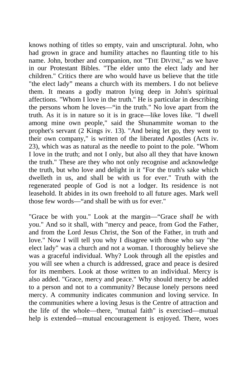knows nothing of titles so empty, vain and unscriptural. John, who had grown in grace and humility attaches no flaunting title to his name. John, brother and companion, not "THE DIVINE," as we have in our Protestant Bibles. "The elder unto the elect lady and her children." Critics there are who would have us believe that the title "the elect lady" means a church with its members. I do not believe them. It means a godly matron lying deep in John's spiritual affections. "Whom I love in the truth." He is particular in describing the persons whom he loves—"in the truth." No love apart from the truth. As it is in nature so it is in grace—like loves like. "I dwell among mine own people," said the Shunammite woman to the prophet's servant (2 Kings iv. 13). "And being let go, they went to their own company," is written of the liberated Apostles (Acts iv. 23), which was as natural as the needle to point to the pole. "Whom I love in the truth; and not I only, but also all they that have known the truth." These are they who not only recognise and acknowledge the truth, but who love and delight in it "For the truth's sake which dwelleth in us, and shall be with us for ever." Truth with the regenerated people of God is not a lodger. Its residence is not leasehold. It abides in its own freehold to all future ages. Mark well those few words—"and shall be with us for ever."

"Grace be with you." Look at the margin—"Grace *shall be* with you." And so it shall, with "mercy and peace, from God the Father, and from the Lord Jesus Christ, the Son of the Father, in truth and love." Now I will tell you why I disagree with those who say "the elect lady" was a church and not a woman. I thoroughly believe she was a graceful individual. Why? Look through all the epistles and you will see when a church is addressed, grace and peace is desired for its members. Look at those written to an individual. Mercy is also added. "Grace, mercy and peace." Why should mercy be added to a person and not to a community? Because lonely persons need mercy. A community indicates communion and loving service. In the communities where a loving Jesus is the Centre of attraction and the life of the whole—there, "mutual faith" is exercised—mutual help is extended—mutual encouragement is enjoyed. There, woes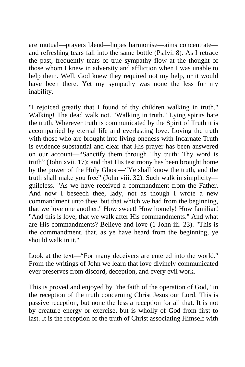are mutual—prayers blend—hopes harmonise—aims concentrate and refreshing tears fall into the same bottle (Ps.lvi. 8). As I retrace the past, frequently tears of true sympathy flow at the thought of those whom I knew in adversity and affliction when I was unable to help them. Well, God knew they required not my help, or it would have been there. Yet my sympathy was none the less for my inability.

"I rejoiced greatly that I found of thy children walking in truth." Walking! The dead walk not. "Walking in truth." Lying spirits hate the truth. Wherever truth is communicated by the Spirit of Truth it is accompanied by eternal life and everlasting love. Loving the truth with those who are brought into living oneness with Incarnate Truth is evidence substantial and clear that His prayer has been answered on our account—"Sanctify them through Thy truth: Thy word is truth" (John xvii. 17); and that His testimony has been brought home by the power of the Holy Ghost—"Ye shall know the truth, and the truth shall make you free" (John viii. 32). Such walk in simplicity guileless. "As we have received a commandment from the Father. And now I beseech thee, lady, not as though I wrote a new commandment unto thee, but that which we had from the beginning, that we love one another." How sweet! How homely! How familiar! "And this is love, that we walk after His commandments." And what are His commandments? Believe and love (1 John iii. 23). "This is the commandment, that, as ye have heard from the beginning, ye should walk in it."

Look at the text—"For many deceivers are entered into the world." From the writings of John we learn that love divinely communicated ever preserves from discord, deception, and every evil work.

This is proved and enjoyed by "the faith of the operation of God," in the reception of the truth concerning Christ Jesus our Lord. This is passive reception, but none the less a reception for all that. It is not by creature energy or exercise, but is wholly of God from first to last. It is the reception of the truth of Christ associating Himself with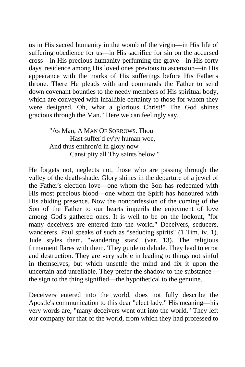us in His sacred humanity in the womb of the virgin—in His life of suffering obedience for us—in His sacrifice for sin on the accursed cross—in His precious humanity perfuming the grave—in His forty days' residence among His loved ones previous to ascension—in His appearance with the marks of His sufferings before His Father's throne. There He pleads with and commands the Father to send down covenant bounties to the needy members of His spiritual body, which are conveyed with infallible certainty to those for whom they were designed. Oh, what a glorious Christ!" The God shines gracious through the Man." Here we can feelingly say,

> "As Man, A MAN OF SORROWS. Thou Hast suffer'd ev'ry human woe, And thus enthron'd in glory now Canst pity all Thy saints below."

He forgets not, neglects not, those who are passing through the valley of the death-shade. Glory shines in the departure of a jewel of the Father's election love—one whom the Son has redeemed with His most precious blood—one whom the Spirit has honoured with His abiding presence. Now the nonconfession of the coming of the Son of the Father to our hearts imperils the enjoyment of love among God's gathered ones. It is well to be on the lookout, "for many deceivers are entered into the world." Deceivers, seducers, wanderers. Paul speaks of such as "seducing spirits" (1 Tim. iv. 1). Jude styles them, "wandering stars" (ver. 13). The religious firmament flares with them. They guide to delude. They lead to error and destruction. They are very subtle in leading to things not sinful in themselves, but which unsettle the mind and fix it upon the uncertain and unreliable. They prefer the shadow to the substance the sign to the thing signified—the hypothetical to the genuine.

Deceivers entered into the world, does not fully describe the Apostle's communication to this dear "elect lady." His meaning—his very words are, "many deceivers went out into the world." They left our company for that of the world, from which they had professed to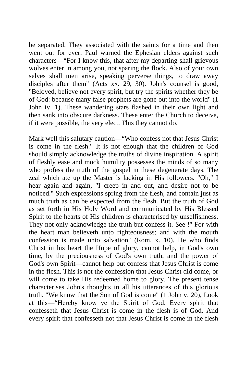be separated. They associated with the saints for a time and then went out for ever. Paul warned the Ephesian elders against such characters—"For I know this, that after my departing shall grievous wolves enter in among you, not sparing the flock. Also of your own selves shall men arise, speaking perverse things, to draw away disciples after them" (Acts xx. 29, 30). John's counsel is good, "Beloved, believe not every spirit, but try the spirits whether they be of God: because many false prophets are gone out into the world" (1 John iv. 1). These wandering stars flashed in their own light and then sank into obscure darkness. These enter the Church to deceive, if it were possible, the very elect. This they cannot do.

Mark well this salutary caution—"Who confess not that Jesus Christ is come in the flesh." It is not enough that the children of God should simply acknowledge the truths of divine inspiration. A spirit of fleshly ease and mock humility possesses the minds of so many who profess the truth of the gospel in these degenerate days. The zeal which ate up the Master is lacking in His followers. "Oh," I hear again and again, "I creep in and out, and desire not to be noticed." Such expressions spring from the flesh, and contain just as much truth as can be expected from the flesh. But the truth of God as set forth in His Holy Word and communicated by His Blessed Spirit to the hearts of His children is characterised by unselfishness. They not only acknowledge the truth but confess it. See !" For with the heart man believeth unto righteousness; and with the mouth confession is made unto salvation" (Rom. x. 10). He who finds Christ in his heart the Hope of glory, cannot help, in God's own time, by the preciousness of God's own truth, and the power of God's own Spirit—cannot help but confess that Jesus Christ is come in the flesh. This is not the confession that Jesus Christ did come, or will come to take His redeemed home to glory. The present tense characterises John's thoughts in all his utterances of this glorious truth. "We know that the Son of God is come" (1 John v. 20), Look at this—"Hereby know ye the Spirit of God. Every spirit that confesseth that Jesus Christ is come in the flesh is of God. And every spirit that confesseth not that Jesus Christ is come in the flesh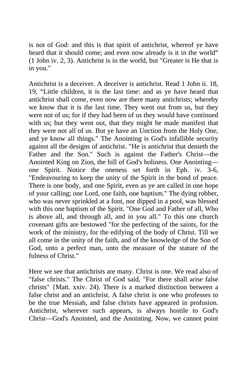is not of God: and this is that spirit of antichrist, whereof ye have heard that it should come; and even now already is it in the world" (1 John iv. 2, 3). Antichrist is in the world, but "Greater is He that is in you."

Antichrist is a deceiver. A deceiver is antichrist. Read 1 John ii. 18, 19, "Little children, it is the last time: and as ye have heard that antichrist shall come, even now are there many antichrists; whereby we know that it is the last time. They went out from us, but they were not of us; for if they had been of us they would have continued with us; but they went out, that they might be made manifest that they were not all of us. But ye have an Unction from the Holy One, and ye know all things." The Anointing is God's infallible security against all the designs of antichrist. "He is antichrist that denieth the Father and the Son." Such is against the Father's Christ—the Anointed King on Zion, the hill of God's holiness. One Anointing one Spirit. Notice the oneness set forth in Eph. iv. 3-6, "Endeavouring to keep the unity of the Spirit in the bond of peace. There is one body, and one Spirit, even as ye are called in one hope of your calling; one Lord, one faith, one baptism." The dying robber, who was never sprinkled at a font, nor dipped in a pool, was blessed with this one baptism of the Spirit. "One God and Father of all, Who is above all, and through all, and in you all." To this one church covenant gifts are bestowed "for the perfecting of the saints, for the work of the ministry, for the edifying of the body of Christ. Till we all come in the unity of the faith, and of the knowledge of the Son of God, unto a perfect man, unto the measure of the stature of the fulness of Christ."

Here we see that antichrists are many. Christ is one. We read also of "false christs." The Christ of God said, "For there shall arise false christs" {Matt. xxiv. 24). There is a marked distinction between a false christ and an antichrist. A false christ is one who professes to be the true Messiah, and false christs have appeared in profusion. Antichrist, wherever such appears, is always hostile to God's Christ—God's Anointed, and the Anointing. Now, we cannot point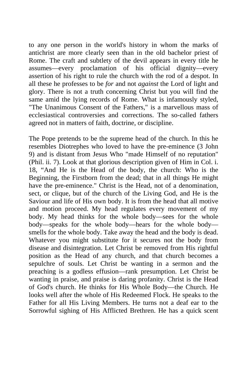to any one person in the world's history in whom the marks of antichrist are more clearly seen than in the old bachelor priest of Rome. The craft and subtlety of the devil appears in every title he assumes—every proclamation of his official dignity—every assertion of his right to rule the church with the rod of a despot. In all these he professes to be *for* and not *against* the Lord of light and glory. There is not a truth concerning Christ but you will find the same amid the lying records of Rome. What is infamously styled, "The Unanimous Consent of the Fathers," is a marvellous mass of ecclesiastical controversies and corrections. The so-called fathers agreed not in matters of faith, doctrine, or discipline.

The Pope pretends to be the supreme head of the church. In this he resembles Diotrephes who loved to have the pre-eminence (3 John 9) and is distant from Jesus Who "made Himself of no reputation" (Phil. ii. 7). Look at that glorious description given of Him in Col. i. 18, "And He is the Head of the body, the church: Who is the Beginning, the Firstborn from the dead; that in all things He might have the pre-eminence." Christ is the Head, not of a denomination, sect, or clique, but of the church of the Living God, and He is the Saviour and life of His own body. It is from the head that all motive and motion proceed. My head regulates every movement of my body. My head thinks for the whole body—sees for the whole body—speaks for the whole body—hears for the whole body smells for the whole body. Take away the head and the body is dead. Whatever you might substitute for it secures not the body from disease and disintegration. Let Christ be removed from His rightful position as the Head of any church, and that church becomes a sepulchre of souls. Let Christ be wanting in a sermon and the preaching is a godless effusion—rank presumption. Let Christ be wanting in praise, and praise is daring profanity. Christ is the Head of God's church. He thinks for His Whole Body—the Church. He looks well after the whole of His Redeemed Flock. He speaks to the Father for all His Living Members. He turns not a deaf ear to the Sorrowful sighing of His Afflicted Brethren. He has a quick scent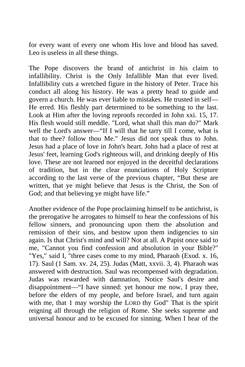for every want of every one whom His love and blood has saved. Leo is useless in all these things.

The Pope discovers the brand of antichrist in his claim to infallibility. Christ is the Only Infallible Man that ever lived. Infallibility cuts a wretched figure in the history of Peter. Trace his conduct all along his history. He was a pretty head to guide and govern a church. He was ever liable to mistakes. He trusted in self— He erred. His fleshly part determined to be something to the last. Look at Him after the loving reproofs recorded in John xxi. 15, 17. His flesh would still meddle. "Lord, what shall this man do?" Mark well the Lord's answer—"If I will that he tarry till I come, what is that to thee? follow thou Me." Jesus did not speak thus to John. Jesus had a place of love in John's heart. John had a place of rest at Jesus' feet, learning God's righteous will, and drinking deeply of His love. These are not learned nor enjoyed in the deceitful declarations of tradition, but in the clear enunciations of Holy Scripture according to the last verse of the previous chapter, "But these are written, that ye might believe that Jesus is the Christ, the Son of God; and that believing ye might have life."

Another evidence of the Pope proclaiming himself to be antichrist, is the prerogative he arrogates to himself to hear the confessions of his fellow sinners, and pronouncing upon them the absolution and remission of their sins, and bestow upon them indigencies to sin again. Is that Christ's mind and will? Not at all. A Papist once said to me, "Cannot you find confession and absolution in your Bible?" "Yes," said I, "three cases come to my mind, Pharaoh (Exod. x. 16, 17). Saul (1 Sam. xv. 24, 25). Judas (Matt, xxvii. 3, 4). Pharaoh was answered with destruction. Saul was recompensed with degradation. Judas was rewarded with damnation, Notice Saul's desire and disappointment—"I have sinned: yet honour me now, I pray thee, before the elders of my people, and before Israel, and turn again with me, that 1 may worship the LORD thy God" That is the spirit reigning all through the religion of Rome. She seeks supreme and universal honour and to be excused for sinning. When I hear of the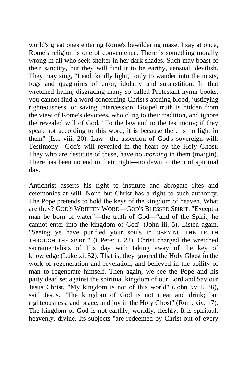world's great ones entering Rome's bewildering maze, I say at once, Rome's religion is one of convenience. There is something morally wrong in all who seek shelter in her dark shades. Such may boast of their sanctity, but they will find it to be earthy, sensual, devilish. They may sing, "Lead, kindly light," only to wander into the mists, fogs and quagmires of error, idolatry and superstition. In that wretched hymn, disgracing many so-called Protestant hymn books, you cannot find a word concerning Christ's atoning blood, justifying righteousness, or saving intercession. Gospel truth is hidden from the view of Rome's devotees, who cling to their tradition, and ignore the revealed will of God. "To the law and to the testimony; if they speak not according to this word, it is because there is no light in them" (Isa. viii. 20). Law—the assertion of God's sovereign will. Testimony—God's will revealed in the heart by the Holy Ghost. They who are destitute of these, have no *morning* in them (margin). There has been no end to their night—no dawn to them of spiritual day.

Antichrist asserts his right to institute and abrogate rites and ceremonies at will. None but Christ has a right to such authority. The Pope pretends to hold the keys of the kingdom of heaven. What are they? GOD'S WRITTEN WORD—GOD'S BLESSED SPIRIT. "Except a man be born of water"—the truth of God—"and of the Spirit, he cannot enter into the kingdom of God" (John iii. 5). Listen again. "Seeing ye have purified your souls in OBEYING THE TRUTH THROUGH THE SPIRIT" (i Peter i. 22). Christ charged the wretched sacramentalists of His day with taking away of the key of knowledge (Luke xi. 52). That is, they ignored the Holy Ghost in the work of regeneration and revelation, and believed in the ability of man to regenerate himself. Then again, we see the Pope and his party dead set against the spiritual kingdom of our Lord and Saviour Jesus Christ. "My kingdom is not of this world" (John xviii. 36), said Jesus. "The kingdom of God is not meat and drink; but righteousness, and peace, and joy in the Holy Ghost" (Rom. xiv. 17). The kingdom of God is not earthly, worldly, fleshly. It is spiritual, heavenly, divine. Its subjects "are redeemed by Christ out of every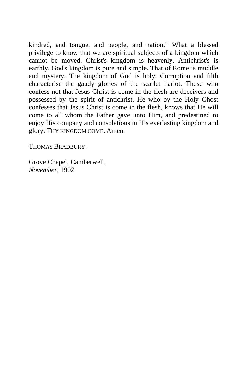kindred, and tongue, and people, and nation." What a blessed privilege to know that we are spiritual subjects of a kingdom which cannot be moved. Christ's kingdom is heavenly. Antichrist's is earthly. God's kingdom is pure and simple. That of Rome is muddle and mystery. The kingdom of God is holy. Corruption and filth characterise the gaudy glories of the scarlet harlot. Those who confess not that Jesus Christ is come in the flesh are deceivers and possessed by the spirit of antichrist. He who by the Holy Ghost confesses that Jesus Christ is come in the flesh, knows that He will come to all whom the Father gave unto Him, and predestined to enjoy His company and consolations in His everlasting kingdom and glory. THY KINGDOM COME. Amen.

THOMAS BRADBURY.

Grove Chapel, Camberwell, *November,* 1902.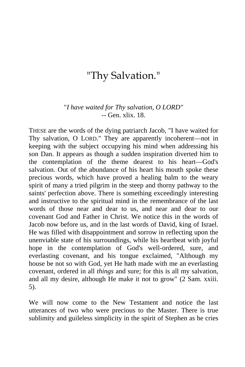## "Thy Salvation."

## "*I have waited for Thy salvation, O LORD" --* Gen. xlix. 18.

THESE are the words of the dying patriarch Jacob, "I have waited for Thy salvation, O LORD." They are apparently incoherent—not in keeping with the subject occupying his mind when addressing his son Dan. It appears as though a sudden inspiration diverted him to the contemplation of the theme dearest to his heart—God's salvation. Out of the abundance of his heart his mouth spoke these precious words, which have proved a healing balm to the weary spirit of many a tried pilgrim in the steep and thorny pathway to the saints' perfection above. There is something exceedingly interesting and instructive to the spiritual mind in the remembrance of the last words of those near and dear to us, and near and dear to our covenant God and Father in Christ. We notice this in the words of Jacob now before us, and in the last words of David, king of Israel. He was filled with disappointment and sorrow in reflecting upon the unenviable state of his surroundings, while his heartbeat with joyful hope in the contemplation of God's well-ordered, sure, and everlasting covenant, and his tongue exclaimed, "Although my house be not so with God, yet He hath made with me an everlasting covenant, ordered in all *things* and sure; for this is all my salvation, and all my desire, although He make it not to grow" (2 Sam. xxiii. 5).

We will now come to the New Testament and notice the last utterances of two who were precious to the Master. There is true sublimity and guileless simplicity in the spirit of Stephen as he cries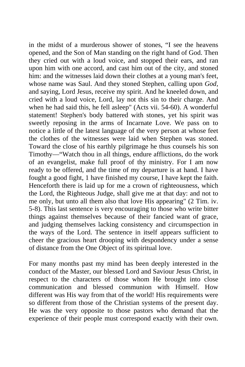in the midst of a murderous shower of stones, "I see the heavens opened, and the Son of Man standing on the right hand of God. Then they cried out with a loud voice, and stopped their ears, and ran upon him with one accord, and cast him out of the city, and stoned him: and the witnesses laid down their clothes at a young man's feet, whose name was Saul. And they stoned Stephen, calling upon *God,*  and saying, Lord Jesus, receive my spirit. And he kneeled down, and cried with a loud voice, Lord, lay not this sin to their charge. And when he had said this, he fell asleep" (Acts vii. 54-60). A wonderful statement! Stephen's body battered with stones, yet his spirit was sweetly reposing in the arms of Incarnate Love. We pass on to notice a little of the latest language of the very person at whose feet the clothes of the witnesses were laid when Stephen was stoned. Toward the close of his earthly pilgrimage he thus counsels his son Timothy—"Watch thou in all things, endure afflictions, do the work of an evangelist, make full proof of thy ministry. For I am now ready to be offered, and the time of my departure is at hand. I have fought a good fight, 1 have finished my course, I have kept the faith. Henceforth there is laid up for me a crown of righteousness, which the Lord, the Righteous Judge, shall give me at that day: and not to me only, but unto all them also that love His appearing" (2 Tim. iv. 5-8). This last sentence is very encouraging to those who write bitter things against themselves because of their fancied want of grace, and judging themselves lacking consistency and circumspection in the ways of the Lord. The sentence in itself appears sufficient to cheer the gracious heart drooping with despondency under a sense of distance from the One Object of its spiritual love.

For many months past my mind has been deeply interested in the conduct of the Master, our blessed Lord and Saviour Jesus Christ, in respect to the characters of those whom He brought into close communication and blessed communion with Himself. How different was His way from that of the world! His requirements were so different from those of the Christian systems of the present day. He was the very opposite to those pastors who demand that the experience of their people must correspond exactly with their own.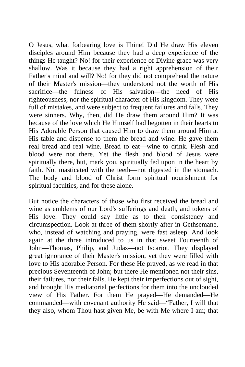O Jesus, what forbearing love is Thine! Did He draw His eleven disciples around Him because they had a deep experience of the things He taught? No! for their experience of Divine grace was very shallow. Was it because they had a right apprehension of their Father's mind and will? No! for they did not comprehend the nature of their Master's mission—they understood not the worth of His sacrifice—the fulness of His salvation—the need of His righteousness, nor the spiritual character of His kingdom. They were full of mistakes, and were subject to frequent failures and falls. They were sinners. Why, then, did He draw them around Him? It was because of the love which He Himself had begotten in their hearts to His Adorable Person that caused Him to draw them around Him at His table and dispense to them the bread and wine. He gave them real bread and real wine. Bread to eat—wine to drink. Flesh and blood were not there. Yet the flesh and blood of Jesus were spiritually there, but, mark you, spiritually fed upon in the heart by faith. Not masticated with the teeth—not digested in the stomach. The body and blood of Christ form spiritual nourishment for spiritual faculties, and for these alone.

But notice the characters of those who first received the bread and wine as emblems of our Lord's sufferings and death, and tokens of His love. They could say little as to their consistency and circumspection. Look at three of them shortly after in Gethsemane, who, instead of watching and praying, were fast asleep. And look again at the three introduced to us in that sweet Fourteenth of John—Thomas, Philip, and Judas—not Iscariot. They displayed great ignorance of their Master's mission, yet they were filled with love to His adorable Person. For these He prayed, as we read in that precious Seventeenth of John; but there He mentioned not their sins, their failures, nor their falls. He kept their imperfections out of sight, and brought His mediatorial perfections for them into the unclouded view of His Father. For them He prayed—He demanded—He commanded—with covenant authority He said—"Father, I will that they also, whom Thou hast given Me, be with Me where I am; that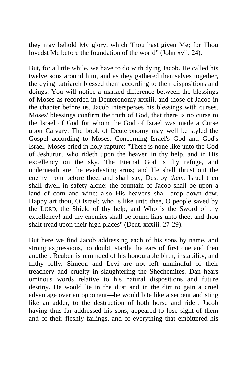they may behold My glory, which Thou hast given Me; for Thou lovedst Me before the foundation of the world" (John xvii. 24).

But, for a little while, we have to do with dying Jacob. He called his twelve sons around him, and as they gathered themselves together, the dying patriarch blessed them according to their dispositions and doings. You will notice a marked difference between the blessings of Moses as recorded in Deuteronomy xxxiii. and those of Jacob in the chapter before us. Jacob intersperses his blessings with curses. Moses' blessings confirm the truth of God, that there is no curse to the Israel of God for whom the God of Israel was made a Curse upon Calvary. The book of Deuteronomy may well be styled the Gospel according to Moses. Concerning Israel's God and God's Israel, Moses cried in holy rapture: "There is none like unto the God of Jeshurun, who rideth upon the heaven in thy help, and in His excellency on the sky. The Eternal God is thy refuge, and underneath are the everlasting arms; and He shall thrust out the enemy from before thee; and shall say, Destroy *them.* Israel then shall dwell in safety alone: the fountain of Jacob shall be upon a land of corn and wine; also His heavens shall drop down dew. Happy art thou, O Israel; who is like unto thee, O people saved by the LORD, the Shield of thy help, and Who is the Sword of thy excellency! and thy enemies shall be found liars unto thee; and thou shalt tread upon their high places" (Deut. xxxiii. 27-29).

But here we find Jacob addressing each of his sons by name, and strong expressions, no doubt, startle the ears of first one and then another. Reuben is reminded of his honourable birth, instability, and filthy folly. Simeon and Levi are not left unmindful of their treachery and cruelty in slaughtering the Shechemites. Dan hears ominous words relative to his natural dispositions and future destiny. He would lie in the dust and in the dirt to gain a cruel advantage over an opponent—he would bite like a serpent and sting like an adder, to the destruction of both horse and rider. Jacob having thus far addressed his sons, appeared to lose sight of them and of their fleshly failings, and of everything that embittered his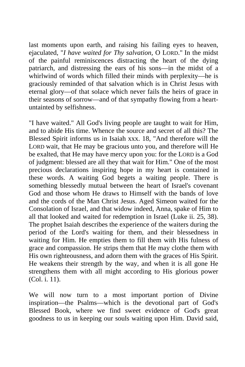last moments upon earth, and raising his failing eyes to heaven, ejaculated, "*I have waited for Thy salvation,* O LORD." In the midst of the painful reminiscences distracting the heart of the dying patriarch, and distressing the ears of his sons—in the midst of a whirlwind of words which filled their minds with perplexity—he is graciously reminded of that salvation which is in Christ Jesus with eternal glory—of that solace which never fails the heirs of grace in their seasons of sorrow—and of that sympathy flowing from a heartuntainted by selfishness.

"I have waited." All God's living people are taught to wait for Him, and to abide His time. Whence the source and secret of all this? The Blessed Spirit informs us in Isaiah xxx. 18, "And therefore will the LORD wait, that He may be gracious unto you, and therefore will He be exalted, that He may have mercy upon you: for the LORD is a God of judgment: blessed are all they that wait for Him." One of the most precious declarations inspiring hope in my heart is contained in these words. A waiting God begets a waiting people. There is something blessedly mutual between the heart of Israel's covenant God and those whom He draws to Himself with the bands of love and the cords of the Man Christ Jesus. Aged Simeon waited for the Consolation of Israel, and that widow indeed, Anna, spake of Him to all that looked and waited for redemption in Israel (Luke ii. 25, 38). The prophet Isaiah describes the experience of the waiters during the period of the Lord's waiting for them, and their blessedness in waiting for Him. He empties them to fill them with His fulness of grace and compassion. He strips them that He may clothe them with His own righteousness, and adorn them with the graces of His Spirit. He weakens their strength by the way, and when it is all gone He strengthens them with all might according to His glorious power (Col. i. 11).

We will now turn to a most important portion of Divine inspiration—the Psalms—which is the devotional part of God's Blessed Book, where we find sweet evidence of God's great goodness to us in keeping our souls waiting upon Him. David said,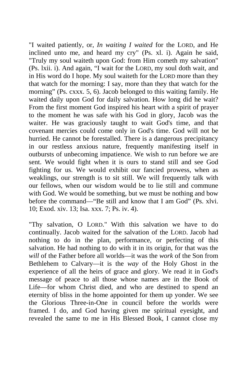"I waited patiently, or, *In waiting I waited* for the LORD, and He inclined unto me, and heard my cry" (Ps. xl. i). Again he said, "Truly my soul waiteth upon God: from Him cometh my salvation" (Ps. lxii. i). And again, "I wait for the LORD, my soul doth wait, and in His word do I hope. My soul waiteth for the LORD more than they that watch for the morning: I say, more than they that watch for the morning" (Ps. cxxx. 5, 6). Jacob belonged to this waiting family. He waited daily upon God for daily salvation. How long did he wait? From the first moment God inspired his heart with a spirit of prayer to the moment he was safe with his God in glory, Jacob was the waiter. He was graciously taught to wait God's time, and that covenant mercies could come only in God's time. God will not be hurried. He cannot be forestalled. There is a dangerous precipitancy in our restless anxious nature, frequently manifesting itself in outbursts of unbecoming impatience. We wish to run before we are sent. We would fight when it is ours to stand still and see God fighting for us. We would exhibit our fancied prowess, when as weaklings, our strength is to sit still. We will frequently talk with our fellows, when our wisdom would be to lie still and commune with God. We would be something, but we must be nothing and bow before the command—"Be still and know that I am God" (Ps. xlvi. 10; Exod. xiv. 13; Isa. xxx. 7; Ps. iv. 4).

"Thy salvation, O LORD." With this salvation we have to do continually. Jacob waited for the salvation of the LORD. Jacob had nothing to do in the plan, performance, or perfecting of this salvation. He had nothing to do with it in its origin, for that was the *will* of the Father before all worlds—it was the *work* of the Son from Bethlehem to Calvary—it is the *way* of the Holy Ghost in the experience of all the heirs of grace and glory. We read it in God's message of peace to all those whose names are in the Book of Life—for whom Christ died, and who are destined to spend an eternity of bliss in the home appointed for them up yonder. We see the Glorious Three-in-One in council before the worlds were framed. I do, and God having given me spiritual eyesight, and revealed the same to me in His Blessed Book, I cannot close my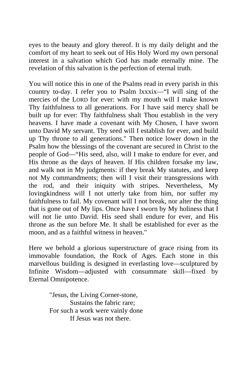eyes to the beauty and glory thereof. It is my daily delight and the comfort of my heart to seek out of His Holy Word my own personal interest in a salvation which God has made eternally mine. The revelation of this salvation is the perfection of eternal truth.

You will notice this in one of the Psalms read in every parish in this country to-day. I refer you to Psalm lxxxix—"I will sing of the mercies of the LORD for ever: with my mouth will I make known Thy faithfulness to all generations. For I have said mercy shall be built up for ever: Thy faithfulness shalt Thou establish in the very heavens. I have made a covenant with My Chosen, I have sworn unto David My servant. Thy seed will I establish for ever, and build up Thy throne to all generations." Then notice lower down in the Psalm how the blessings of the covenant are secured in Christ to the people of God—"His seed, also, will I make to endure for ever, and His throne as the days of heaven. If His children forsake my law, and walk not in My judgments: if they break My statutes, and keep not My commandments; then will I visit their transgressions with the rod, and their iniquity with stripes. Nevertheless, My lovingkindness will I not utterly take from him, nor suffer my faithfulness to fail. My covenant will I not break, nor alter the thing that is gone out of My lips. Once have I sworn by My holiness that I will not lie unto David. His seed shall endure for ever, and His throne as the sun before Me. It shall be established for ever as the moon, and as a faithful witness in heaven."

Here we behold a glorious superstructure of grace rising from its immovable foundation, the Rock of Ages. Each stone in this marvellous building is designed in everlasting love—sculptured by Infinite Wisdom—adjusted with consummate skill—fixed by Eternal Omnipotence.

> "Jesus, the Living Corner-stone, Sustains the fabric rare; For such a work were vainly done If Jesus was not there.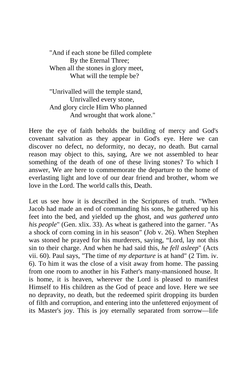"And if each stone be filled complete By the Eternal Three; When all the stones in glory meet, What will the temple be?

"Unrivalled will the temple stand, Unrivalled every stone, And glory circle Him Who planned And wrought that work alone."

Here the eye of faith beholds the building of mercy and God's covenant salvation as they appear in God's eye. Here we can discover no defect, no deformity, no decay, no death. But carnal reason may object to this, saying, Are we not assembled to hear something of the death of one of these living stones? To which I answer, We are here to commemorate the departure to the home of everlasting light and love of our dear friend and brother, whom we love in the Lord. The world calls this, Death.

Let us see how it is described in the Scriptures of truth. "When Jacob had made an end of commanding his sons, he gathered up his feet into the bed, and yielded up the ghost, and *was gathered unto his people*" (Gen. xlix. 33). As wheat is gathered into the garner. "As a shock of corn coming in in his season" (Job v. 26). When Stephen was stoned he prayed for his murderers, saying, "Lord, lay not this sin to their charge. And when he had said this, *he fell asleep*" (Acts vii. 60). Paul says, "The time of *my departure* is at hand" (2 Tim. iv. 6). To him it was the close of a visit away from home. The passing from one room to another in his Father's many-mansioned house. It is home, it is heaven, wherever the Lord is pleased to manifest Himself to His children as the God of peace and love. Here we see no depravity, no death, but the redeemed spirit dropping its burden of filth and corruption, and entering into the unfettered enjoyment of its Master's joy. This is joy eternally separated from sorrow—life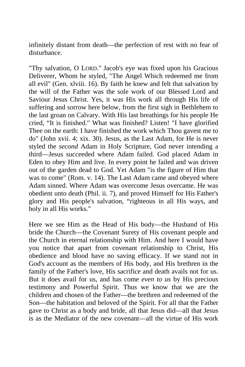infinitely distant from death—the perfection of rest with no fear of disturbance.

"Thy salvation, O LORD." Jacob's eye was fixed upon his Gracious Deliverer, Whom he styled, "The Angel Which redeemed me from all evil" (Gen. xlviii. 16). By faith he knew and felt that salvation by the will of the Father was the sole work of our Blessed Lord and Saviour Jesus Christ. Yes, it was His work all through His life of suffering and sorrow here below, from the first sigh in Bethlehem to the last groan on Calvary. With His last breathings for his people He cried, "It is finished." What was finished? Listen! "I have glorified Thee on the earth: I have finished the work which Thou gavest me to do" (John xvii. 4; xix. 30). Jesus, as the Last Adam, for He is never styled the *second* Adam in Holy Scripture, God never intending a third—Jesus succeeded where Adam failed. God placed Adam in Eden to obey Him and live. In every point he failed and was driven out of the garden dead to God. Yet Adam "is the figure of Him that was to come" (Rom. v. 14). The Last Adam came and obeyed where Adam sinned. Where Adam was overcome Jesus overcame. He was obedient unto death (Phil. ii. 7), and proved Himself for His Father's glory and His people's salvation, "righteous in all His ways, and holy in all His works."

Here we see Him as the Head of His body—the Husband of His bride the Church—the Covenant Surety of His covenant people and the Church in eternal relationship with Him. And here I would have you notice that apart from covenant relationship to Christ, His obedience and blood have no saving efficacy. If we stand not in God's account as the members of His body, and His brethren in the family of the Father's love, His sacrifice and death avails not for us. But it does avail for us, and has come *even to us* by His precious testimony and Powerful Spirit. Thus we know that we are the children and chosen of the Father—the brethren and redeemed of the Son—the habitation and beloved of the Spirit. For all that the Father gave to Christ as a body and bride, all that Jesus did—all that Jesus is as the Mediator of the new covenant—all the virtue of His work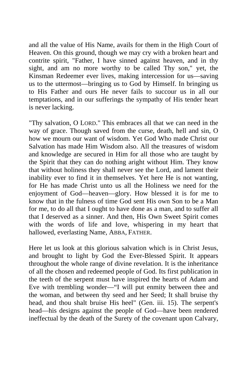and all the value of His Name, avails for them in the High Court of Heaven. On this ground, though we may cry with a broken heart and contrite spirit, "Father, I have sinned against heaven, and in thy sight, and am no more worthy to be called Thy son," yet, the Kinsman Redeemer ever lives, making intercession for us—saving us to the uttermost—bringing us to God by Himself. In bringing us to His Father and ours He never fails to succour us in all our temptations, and in our sufferings the sympathy of His tender heart is never lacking.

"Thy salvation, O LORD." This embraces all that we can need in the way of grace. Though saved from the curse, death, hell and sin, O how we mourn our want of wisdom. Yet God Who made Christ our Salvation has made Him Wisdom also. All the treasures of wisdom and knowledge are secured in Him for all those who are taught by the Spirit that they can do nothing aright without Him. They know that without holiness they shall never see the Lord, and lament their inability ever to find it in themselves. Yet here He is not wanting, for He has made Christ unto us all the Holiness we need for the enjoyment of God—heaven—glory. How blessed it is for me to know that in the fulness of time God sent His own Son to be a Man for me, to do all that I ought to have done as a man, and to suffer all that I deserved as a sinner. And then, His Own Sweet Spirit comes with the words of life and love, whispering in my heart that hallowed, everlasting Name, ABBA, FATHER.

Here let us look at this glorious salvation which is in Christ Jesus, and brought to light by God the Ever-Blessed Spirit. It appears throughout the whole range of divine revelation. It is the inheritance of all the chosen and redeemed people of God. Its first publication in the teeth of the serpent must have inspired the hearts of Adam and Eve with trembling wonder—"I will put enmity between thee and the woman, and between thy seed and her Seed; It shall bruise thy head, and thou shalt bruise His heel" (Gen. iii. 15). The serpent's head—his designs against the people of God—have been rendered ineffectual by the death of the Surety of the covenant upon Calvary,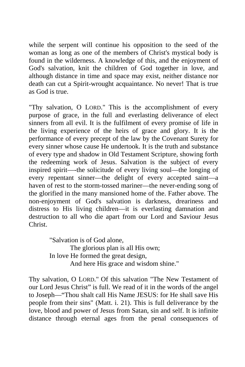while the serpent will continue his opposition to the seed of the woman as long as one of the members of Christ's mystical body is found in the wilderness. A knowledge of this, and the enjoyment of God's salvation, knit the children of God together in love, and although distance in time and space may exist, neither distance nor death can cut a Spirit-wrought acquaintance. No never! That is true as God is true.

"Thy salvation, O LORD." This is the accomplishment of every purpose of grace, in the full and everlasting deliverance of elect sinners from all evil. It is the fulfilment of every promise of life in the living experience of the heirs of grace and glory. It is the performance of every precept of the law by the Covenant Surety for every sinner whose cause He undertook. It is the truth and substance of every type and shadow in Old Testament Scripture, showing forth the redeeming work of Jesus. Salvation is the subject of every inspired spirit—-the solicitude of every living soul—the longing of every repentant sinner—the delight of every accepted saint—a haven of rest to the storm-tossed mariner—the never-ending song of the glorified in the many mansioned home of the. Father above. The non-enjoyment of God's salvation is darkness, dreariness and distress to His living children—it is everlasting damnation and destruction to all who die apart from our Lord and Saviour Jesus Christ.

> "Salvation is of God alone, The glorious plan is all His own; In love He formed the great design, And here His grace and wisdom shine."

Thy salvation, O LORD." Of this salvation "The New Testament of our Lord Jesus Christ" is full. We read of it in the words of the angel to Joseph—"Thou shalt call His Name JESUS: for He shall save His people from their sins" (Matt. i. 21). This is full deliverance by the love, blood and power of Jesus from Satan, sin and self. It is infinite distance through eternal ages from the penal consequences of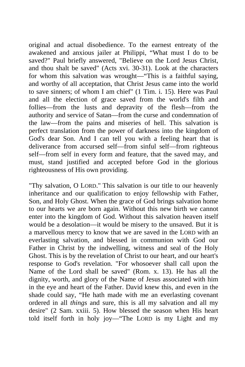original and actual disobedience. To the earnest entreaty of the awakened and anxious jailer at Philippi, "What must I do to be saved?" Paul briefly answered, "Believe on the Lord Jesus Christ, and thou shalt be saved" (Acts xvi. 30-31). Look at the characters for whom this salvation was wrought—"This is a faithful saying, and worthy of all acceptation, that Christ Jesus came into the world to save sinners; of whom I am chief" (1 Tim. i. 15). Here was Paul and all the election of grace saved from the world's filth and follies—from the lusts and depravity of the flesh—from the authority and service of Satan—from the curse and condemnation of the law—from the pains and miseries of hell. This salvation is perfect translation from the power of darkness into the kingdom of God's dear Son. And I can tell you with a feeling heart that is deliverance from accursed self—from sinful self—from righteous self—from self in every form and feature, that the saved may, and must, stand justified and accepted before God in the glorious righteousness of His own providing.

"Thy salvation, O LORD." This salvation is our title to our heavenly inheritance and our qualification to enjoy fellowship with Father, Son, and Holy Ghost. When the grace of God brings salvation home to our hearts we are born again. Without this new birth we cannot enter into the kingdom of God. Without this salvation heaven itself would be a desolation—it would be misery to the unsaved. But it is a marvellous mercy to know that we are saved in the LORD with an everlasting salvation, and blessed in communion with God our Father in Christ by the indwelling, witness and seal of the Holy Ghost. This is by the revelation of Christ to our heart, and our heart's response to God's revelation. "For whosoever shall call upon the Name of the Lord shall be saved" (Rom. x. 13). He has all the dignity, worth, and glory of the Name of Jesus associated with him in the eye and heart of the Father. David knew this, and even in the shade could say, "He hath made with me an everlasting covenant ordered in all *things* and sure, this is all my salvation and all my desire" (2 Sam. xxiii. 5). How blessed the season when His heart told itself forth in holy joy—"The LORD is my Light and my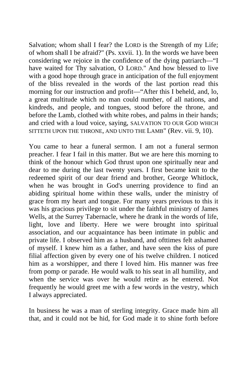Salvation; whom shall I fear? the LORD is the Strength of my Life; of whom shall I be afraid?" (Ps. xxvii. 1). In the words we have been considering we rejoice in the confidence of the dying patriarch—"I have waited for Thy salvation, O LORD." And how blessed to live with a good hope through grace in anticipation of the full enjoyment of the bliss revealed in the words of the last portion read this morning for our instruction and profit—"After this I beheld, and, lo, a great multitude which no man could number, of all nations, and kindreds, and people, and tongues, stood before the throne, and before the Lamb, clothed with white robes, and palms in their hands; and cried with a loud voice, saying, SALVATION TO OUR GOD WHICH SITTETH UPON THE THRONE, AND UNTO THE LAMB" (Rev. vii. 9, 10).

You came to hear a funeral sermon. I am not a funeral sermon preacher. I fear I fail in this matter. But we are here this morning to think of the honour which God thrust upon one spiritually near and dear to me during the last twenty years. I first became knit to the redeemed spirit of our dear friend and brother, George Whitlock, when he was brought in God's unerring providence to find an abiding spiritual home within these walls, under the ministry of grace from my heart and tongue. For many years previous to this it was his gracious privilege to sit under the faithful ministry of James Wells, at the Surrey Tabernacle, where he drank in the words of life, light, love and liberty. Here we were brought into spiritual association, and our acquaintance has been intimate in public and private life. I observed him as a husband, and ofttimes felt ashamed of myself. I knew him as a father, and have seen the kiss of pure filial affection given by every one of his twelve children. I noticed him as a worshipper, and there I loved him. His manner was free from pomp or parade. He would walk to his seat in all humility, and when the service was over he would retire as he entered. Not frequently he would greet me with a few words in the vestry, which I always appreciated.

In business he was a man of sterling integrity. Grace made him all that, and it could not be hid, for God made it to shine forth before